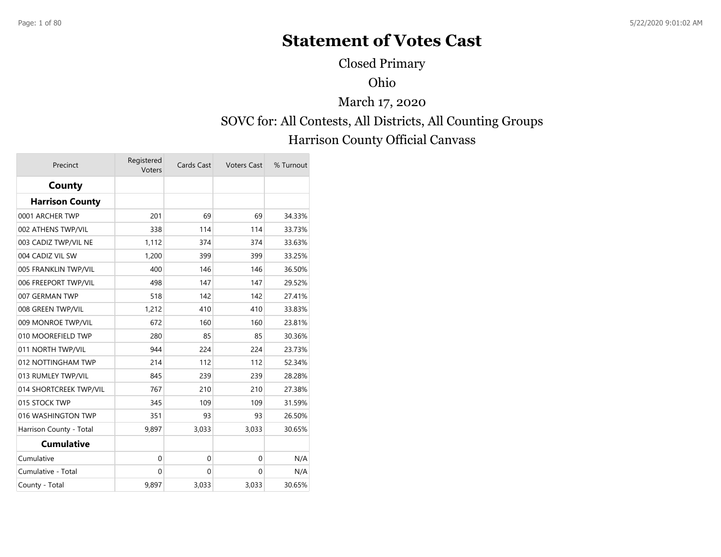# **Statement of Votes Cast**

Closed Primary

Ohio

SOVC for: All Contests, All Districts, All Counting Groups Harrison County Official Canvass March 17, 2020

| Precinct                | Registered<br>Voters | Cards Cast  | <b>Voters Cast</b> | % Turnout |
|-------------------------|----------------------|-------------|--------------------|-----------|
| County                  |                      |             |                    |           |
| <b>Harrison County</b>  |                      |             |                    |           |
| 0001 ARCHER TWP         | 201                  | 69          | 69                 | 34.33%    |
| 002 ATHENS TWP/VIL      | 338                  | 114         | 114                | 33.73%    |
| 003 CADIZ TWP/VIL NE    | 1,112                | 374         | 374                | 33.63%    |
| 004 CADIZ VIL SW        | 1,200                | 399         | 399                | 33.25%    |
| 005 FRANKLIN TWP/VIL    | 400                  | 146         | 146                | 36.50%    |
| 006 FREEPORT TWP/VIL    | 498                  | 147         | 147                | 29.52%    |
| 007 GERMAN TWP          | 518                  | 142         | 142                | 27.41%    |
| 008 GREEN TWP/VIL       | 1,212                | 410         | 410                | 33.83%    |
| 009 MONROE TWP/VIL      | 672                  | 160         | 160                | 23.81%    |
| 010 MOOREFIELD TWP      | 280                  | 85          | 85                 | 30.36%    |
| 011 NORTH TWP/VIL       | 944                  | 224         | 224                | 23.73%    |
| 012 NOTTINGHAM TWP      | 214                  | 112         | 112                | 52.34%    |
| 013 RUMLEY TWP/VIL      | 845                  | 239         | 239                | 28.28%    |
| 014 SHORTCREEK TWP/VIL  | 767                  | 210         | 210                | 27.38%    |
| 015 STOCK TWP           | 345                  | 109         | 109                | 31.59%    |
| 016 WASHINGTON TWP      | 351                  | 93          | 93                 | 26.50%    |
| Harrison County - Total | 9,897                | 3,033       | 3,033              | 30.65%    |
| <b>Cumulative</b>       |                      |             |                    |           |
| Cumulative              | $\mathbf 0$          | $\mathbf 0$ | $\mathbf{0}$       | N/A       |
| Cumulative - Total      | $\mathbf 0$          | $\mathbf 0$ | 0                  | N/A       |
| County - Total          | 9,897                | 3,033       | 3,033              | 30.65%    |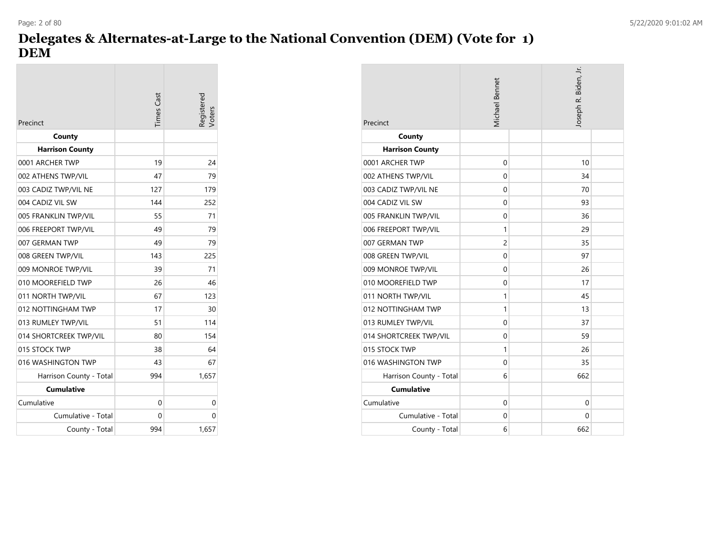## **Delegates & Alternates-at-Large to the National Convention (DEM) (Vote for 1) DEM**

| Precinct                | <b>Times</b> Cast | egistered.<br>/oters |
|-------------------------|-------------------|----------------------|
| County                  |                   |                      |
| <b>Harrison County</b>  |                   |                      |
| 0001 ARCHER TWP         | 19                | 24                   |
| 002 ATHENS TWP/VIL      | 47                | 79                   |
| 003 CADIZ TWP/VIL NE    | 127               | 179                  |
| 004 CADIZ VIL SW        | 144               | 252                  |
| 005 FRANKLIN TWP/VIL    | 55                | 71                   |
| 006 FREEPORT TWP/VIL    | 49                | 79                   |
| 007 GERMAN TWP          | 49                | 79                   |
| 008 GREEN TWP/VIL       | 143               | 225                  |
| 009 MONROE TWP/VIL      | 39                | 71                   |
| 010 MOOREFIELD TWP      | 26                | 46                   |
| 011 NORTH TWP/VIL       | 67                | 123                  |
| 012 NOTTINGHAM TWP      | 17                | 30                   |
| 013 RUMLEY TWP/VIL      | 51                | 114                  |
| 014 SHORTCREEK TWP/VIL  | 80                | 154                  |
| 015 STOCK TWP           | 38                | 64                   |
| 016 WASHINGTON TWP      | 43                | 67                   |
| Harrison County - Total | 994               | 1,657                |
| <b>Cumulative</b>       |                   |                      |
| Cumulative              | 0                 | 0                    |
| Cumulative - Total      | 0                 | 0                    |
| County - Total          | 994               | 1.657                |

| Precinct                | Michael Bennet | Joseph R. Biden, Jr. |  |
|-------------------------|----------------|----------------------|--|
| County                  |                |                      |  |
| <b>Harrison County</b>  |                |                      |  |
| 0001 ARCHER TWP         | 0              | 10                   |  |
| 002 ATHENS TWP/VIL      | 0              | 34                   |  |
| 003 CADIZ TWP/VIL NE    | 0              | 70                   |  |
| 004 CADIZ VIL SW        | 0              | 93                   |  |
| 005 FRANKLIN TWP/VIL    | 0              | 36                   |  |
| 006 FREEPORT TWP/VIL    | 1              | 29                   |  |
| 007 GERMAN TWP          | $\overline{c}$ | 35                   |  |
| 008 GREEN TWP/VIL       | 0              | 97                   |  |
| 009 MONROE TWP/VIL      | 0              | 26                   |  |
| 010 MOOREFIELD TWP      | 0              | 17                   |  |
| 011 NORTH TWP/VIL       | 1              | 45                   |  |
| 012 NOTTINGHAM TWP      | 1              | 13                   |  |
| 013 RUMLEY TWP/VIL      | 0              | 37                   |  |
| 014 SHORTCREEK TWP/VIL  | 0              | 59                   |  |
| 015 STOCK TWP           | 1              | 26                   |  |
| 016 WASHINGTON TWP      | 0              | 35                   |  |
| Harrison County - Total | 6              | 662                  |  |
| <b>Cumulative</b>       |                |                      |  |
| Cumulative              | 0              | 0                    |  |
| Cumulative - Total      | 0              | 0                    |  |
| County - Total          | 6              | 662                  |  |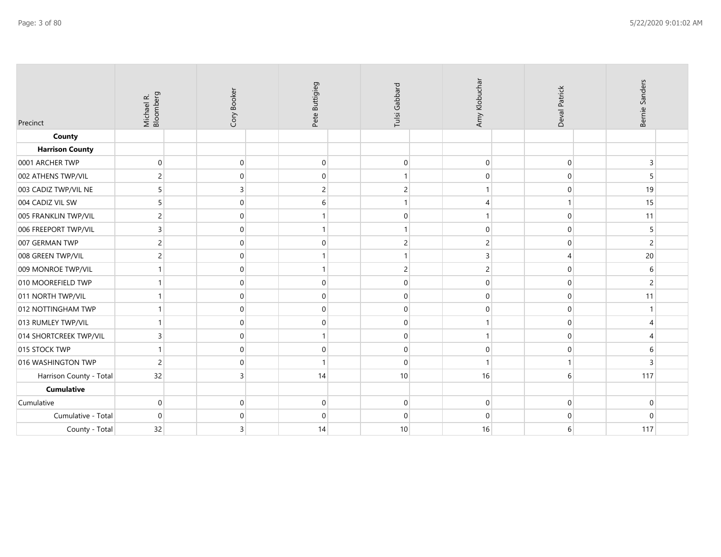| Precinct                | Michael R.<br>Bloomberg | Cory Booker | Pete Buttigieg | Tulsi Gabbard  | Amy Klobuchai  | Deval Patrick | Bernie Sanders  |  |
|-------------------------|-------------------------|-------------|----------------|----------------|----------------|---------------|-----------------|--|
| County                  |                         |             |                |                |                |               |                 |  |
| <b>Harrison County</b>  |                         |             |                |                |                |               |                 |  |
| 0001 ARCHER TWP         | $\Omega$                | $\mathbf 0$ | $\mathbf 0$    | $\mathbf 0$    | $\mathbf 0$    | $\mathbf 0$   | 3               |  |
| 002 ATHENS TWP/VIL      |                         | 0           | $\mathbf{0}$   |                | $\mathbf 0$    | $\Omega$      | 5               |  |
| 003 CADIZ TWP/VIL NE    |                         | 3           | $\overline{c}$ | 2              | 1              | $\Omega$      | 19              |  |
| 004 CADIZ VIL SW        |                         | $\mathbf 0$ | 6              |                | 4              |               | 15              |  |
| 005 FRANKLIN TWP/VIL    |                         | $\Omega$    | 1              | $\mathbf 0$    | 1              | $\Omega$      | 11              |  |
| 006 FREEPORT TWP/VIL    |                         | $\Omega$    | 1              |                | $\mathbf 0$    | $\Omega$      | 5               |  |
| 007 GERMAN TWP          |                         | $\mathbf 0$ | $\mathbf 0$    | 2              | $\overline{c}$ | $\Omega$      | $\overline{2}$  |  |
| 008 GREEN TWP/VIL       |                         | $\Omega$    | 1              |                | $\overline{3}$ | Δ             | 20 <sup>°</sup> |  |
| 009 MONROE TWP/VIL      |                         | $\Omega$    | $\mathbf{1}$   | $\overline{c}$ | $\overline{c}$ | 0             | 6               |  |
| 010 MOOREFIELD TWP      |                         | $\mathbf 0$ | $\mathbf 0$    | $\Omega$       | $\mathbf 0$    | $\Omega$      | $\overline{2}$  |  |
| 011 NORTH TWP/VIL       |                         | $\Omega$    | $\mathbf{0}$   | $\mathbf 0$    | $\mathbf 0$    | 0             | 11              |  |
| 012 NOTTINGHAM TWP      |                         | $\Omega$    | $\mathbf 0$    | $\mathbf 0$    | $\mathbf 0$    | $\mathbf 0$   |                 |  |
| 013 RUMLEY TWP/VIL      |                         | 0           | $\mathbf{0}$   | $\mathbf 0$    |                | $\mathbf 0$   | $\overline{4}$  |  |
| 014 SHORTCREEK TWP/VIL  |                         | $\Omega$    | $\mathbf{1}$   | $\mathbf 0$    | 1              | $\Omega$      | 4               |  |
| 015 STOCK TWP           |                         | $\Omega$    | $\mathbf 0$    | $\mathbf 0$    | $\mathbf 0$    | 0             | 6               |  |
| 016 WASHINGTON TWP      | $\overline{2}$          | $\Omega$    | $\mathbf{1}$   | $\mathbf 0$    |                |               | 3               |  |
| Harrison County - Total | 32                      | 3           | 14             | 10             | 16             | 6             | 117             |  |
| <b>Cumulative</b>       |                         |             |                |                |                |               |                 |  |
| Cumulative              | $\Omega$                | $\mathbf 0$ | $\mathbf{0}$   | $\mathbf 0$    | $\mathbf 0$    | $\Omega$      | $\mathbf{0}$    |  |
| Cumulative - Total      | $\Omega$                | $\Omega$    | $\mathbf{0}$   | $\mathbf 0$    | $\mathbf 0$    | $\Omega$      | $\Omega$        |  |
| County - Total          | 32                      | 3           | 14             | 10             | 16             | 6             | 117             |  |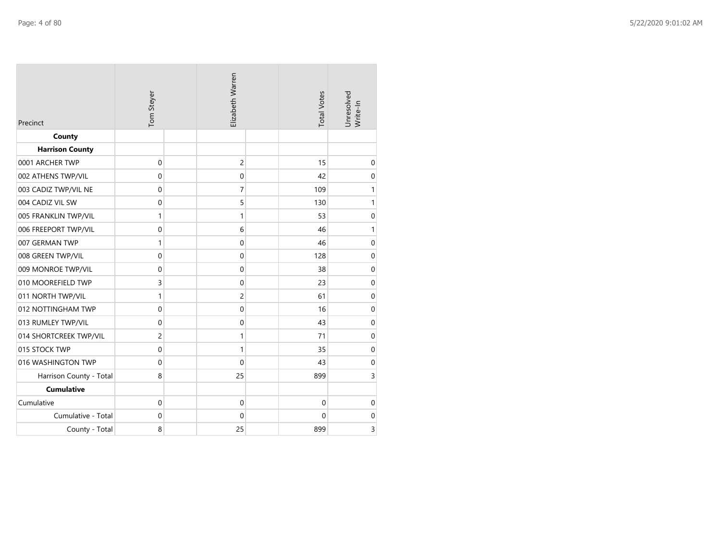| Precinct                | Tom Steyer     | Elizabeth Warren | <b>Total Votes</b> | Unresolved<br>Write-In |
|-------------------------|----------------|------------------|--------------------|------------------------|
| County                  |                |                  |                    |                        |
| <b>Harrison County</b>  |                |                  |                    |                        |
| 0001 ARCHER TWP         | $\mathbf 0$    | $\overline{c}$   | 15                 | $\mathbf 0$            |
| 002 ATHENS TWP/VIL      | $\mathbf 0$    | $\mathbf 0$      | 42                 | $\mathbf 0$            |
| 003 CADIZ TWP/VIL NE    | $\mathbf 0$    | 7                | 109                | $\mathbf{1}$           |
| 004 CADIZ VIL SW        | $\mathbf 0$    | 5                | 130                | 1                      |
| 005 FRANKLIN TWP/VIL    | 1              | 1                | 53                 | $\mathbf 0$            |
| 006 FREEPORT TWP/VIL    | $\mathbf 0$    | 6                | 46                 | $\mathbf{1}$           |
| 007 GERMAN TWP          | 1              | $\boldsymbol{0}$ | 46                 | $\boldsymbol{0}$       |
| 008 GREEN TWP/VIL       | $\mathbf 0$    | $\boldsymbol{0}$ | 128                | $\boldsymbol{0}$       |
| 009 MONROE TWP/VIL      | $\mathbf 0$    | $\mathbf 0$      | 38                 | $\mathbf 0$            |
| 010 MOOREFIELD TWP      | 3              | $\mathbf 0$      | 23                 | $\mathbf 0$            |
| 011 NORTH TWP/VIL       | $\mathbf{1}$   | 2                | 61                 | $\boldsymbol{0}$       |
| 012 NOTTINGHAM TWP      | $\mathbf 0$    | $\mathbf 0$      | 16                 | $\mathbf 0$            |
| 013 RUMLEY TWP/VIL      | $\mathbf 0$    | $\mathbf 0$      | 43                 | $\mathbf 0$            |
| 014 SHORTCREEK TWP/VIL  | $\overline{c}$ | 1                | 71                 | $\mathbf 0$            |
| 015 STOCK TWP           | $\mathbf 0$    | 1                | 35                 | $\mathbf 0$            |
| 016 WASHINGTON TWP      | $\mathbf 0$    | $\mathbf 0$      | 43                 | $\mathbf 0$            |
| Harrison County - Total | 8              | 25               | 899                | 3                      |
| <b>Cumulative</b>       |                |                  |                    |                        |
| Cumulative              | $\mathbf 0$    | $\pmb{0}$        | $\boldsymbol{0}$   | $\boldsymbol{0}$       |
| Cumulative - Total      | $\mathbf 0$    | 0                | $\mathbf 0$        | $\mathbf 0$            |
| County - Total          | 8              | 25               | 899                | 3                      |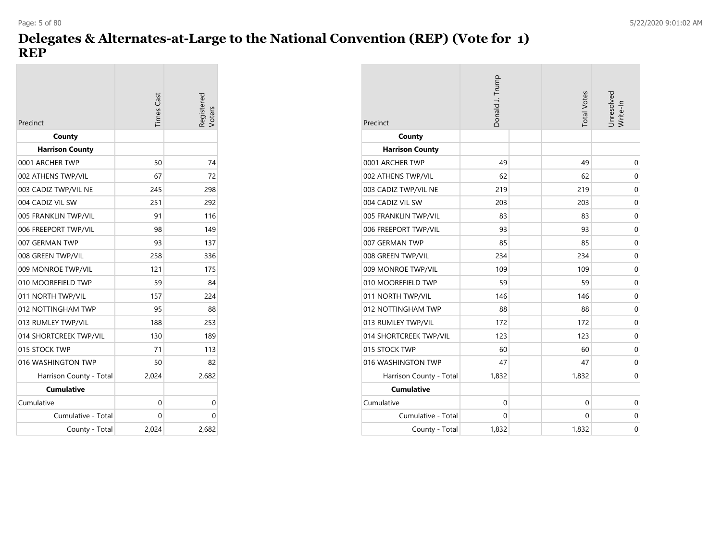## **Delegates & Alternates-at-Large to the National Convention (REP) (Vote for 1) REP**

| Precinct                | <b>Times</b> Cast | egistered.<br>/oters |
|-------------------------|-------------------|----------------------|
| County                  |                   |                      |
| <b>Harrison County</b>  |                   |                      |
| 0001 ARCHER TWP         | 50                | 74                   |
| 002 ATHENS TWP/VIL      | 67                | 72                   |
| 003 CADIZ TWP/VIL NE    | 245               | 298                  |
| 004 CADIZ VIL SW        | 251               | 292                  |
| 005 FRANKLIN TWP/VIL    | 91                | 116                  |
| 006 FREEPORT TWP/VIL    | 98                | 149                  |
| 007 GERMAN TWP          | 93                | 137                  |
| 008 GREEN TWP/VIL       | 258               | 336                  |
| 009 MONROE TWP/VIL      | 121               | 175                  |
| 010 MOOREFIELD TWP      | 59                | 84                   |
| 011 NORTH TWP/VIL       | 157               | 224                  |
| 012 NOTTINGHAM TWP      | 95                | 88                   |
| 013 RUMLEY TWP/VIL      | 188               | 253                  |
| 014 SHORTCREEK TWP/VIL  | 130               | 189                  |
| 015 STOCK TWP           | 71                | 113                  |
| 016 WASHINGTON TWP      | 50                | 82                   |
| Harrison County - Total | 2,024             | 2,682                |
| <b>Cumulative</b>       |                   |                      |
| Cumulative              | 0                 | 0                    |
| Cumulative - Total      | 0                 | 0                    |
| County - Total          | 2.024             | 2,682                |

| Precinct                | Donald J. Trump | <b>Total Votes</b> | Unresolved<br>Write-In |
|-------------------------|-----------------|--------------------|------------------------|
| County                  |                 |                    |                        |
| <b>Harrison County</b>  |                 |                    |                        |
| 0001 ARCHER TWP         | 49              | 49                 | 0                      |
| 002 ATHENS TWP/VIL      | 62              | 62                 | 0                      |
| 003 CADIZ TWP/VIL NE    | 219             | 219                | 0                      |
| 004 CADIZ VIL SW        | 203             | 203                | 0                      |
| 005 FRANKLIN TWP/VIL    | 83              | 83                 | $\mathbf 0$            |
| 006 FREEPORT TWP/VIL    | 93              | 93                 | $\mathbf 0$            |
| 007 GERMAN TWP          | 85              | 85                 | 0                      |
| 008 GREEN TWP/VIL       | 234             | 234                | 0                      |
| 009 MONROE TWP/VIL      | 109             | 109                | $\mathbf 0$            |
| 010 MOOREFIELD TWP      | 59              | 59                 | 0                      |
| 011 NORTH TWP/VIL       | 146             | 146                | 0                      |
| 012 NOTTINGHAM TWP      | 88              | 88                 | $\mathbf 0$            |
| 013 RUMLEY TWP/VIL      | 172             | 172                | 0                      |
| 014 SHORTCREEK TWP/VIL  | 123             | 123                | $\mathbf 0$            |
| 015 STOCK TWP           | 60              | 60                 | $\mathbf 0$            |
| 016 WASHINGTON TWP      | 47              | 47                 | 0                      |
| Harrison County - Total | 1,832           | 1,832              | 0                      |
| <b>Cumulative</b>       |                 |                    |                        |
| Cumulative              | $\mathbf 0$     | $\mathbf 0$        | 0                      |
| Cumulative - Total      | 0               | 0                  | 0                      |
| County - Total          | 1,832           | 1,832              | 0                      |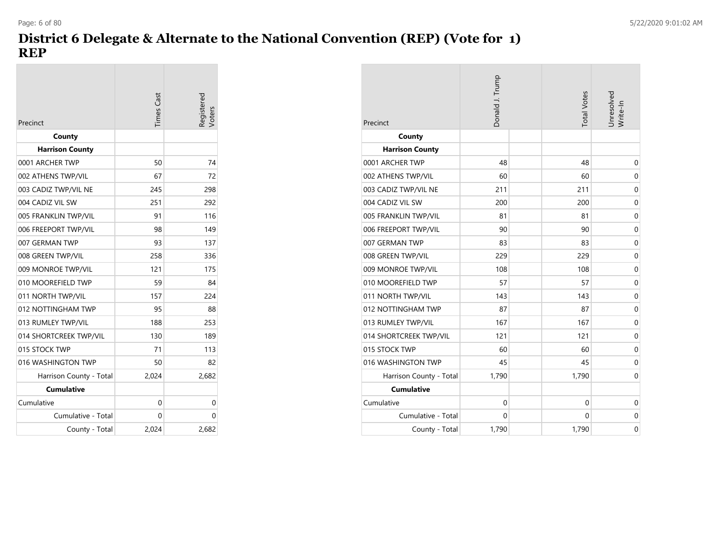## **District 6 Delegate & Alternate to the National Convention (REP) (Vote for 1) REP**

| Precinct                | Times Cast | egistered<br>/oters |
|-------------------------|------------|---------------------|
| County                  |            |                     |
| <b>Harrison County</b>  |            |                     |
| 0001 ARCHER TWP         | 50         | 74                  |
| 002 ATHENS TWP/VIL      | 67         | 72                  |
| 003 CADIZ TWP/VIL NE    | 245        | 298                 |
| 004 CADIZ VIL SW        | 251        | 292                 |
| 005 FRANKLIN TWP/VIL    | 91         | 116                 |
| 006 FREEPORT TWP/VIL    | 98         | 149                 |
| 007 GERMAN TWP          | 93         | 137                 |
| 008 GREEN TWP/VIL       | 258        | 336                 |
| 009 MONROE TWP/VIL      | 121        | 175                 |
| 010 MOOREFIELD TWP      | 59         | 84                  |
| 011 NORTH TWP/VIL       | 157        | 224                 |
| 012 NOTTINGHAM TWP      | 95         | 88                  |
| 013 RUMLEY TWP/VIL      | 188        | 253                 |
| 014 SHORTCREEK TWP/VIL  | 130        | 189                 |
| 015 STOCK TWP           | 71         | 113                 |
| 016 WASHINGTON TWP      | 50         | 82                  |
| Harrison County - Total | 2,024      | 2,682               |
| <b>Cumulative</b>       |            |                     |
| Cumulative              | 0          | 0                   |
| Cumulative - Total      | 0          | 0                   |
| County - Total          | 2.024      | 2,682               |

| Precinct                | Donald J. Trump | <b>Total Votes</b> | Unresolved<br>Write-In |
|-------------------------|-----------------|--------------------|------------------------|
| County                  |                 |                    |                        |
| <b>Harrison County</b>  |                 |                    |                        |
| 0001 ARCHER TWP         | 48              | 48                 | $\mathbf 0$            |
| 002 ATHENS TWP/VIL      | 60              | 60                 | $\mathbf 0$            |
| 003 CADIZ TWP/VIL NE    | 211             | 211                | $\mathbf 0$            |
| 004 CADIZ VIL SW        | 200             | 200                | $\mathbf 0$            |
| 005 FRANKLIN TWP/VIL    | 81              | 81                 | $\mathbf 0$            |
| 006 FREEPORT TWP/VIL    | 90              | 90                 | $\mathbf 0$            |
| 007 GERMAN TWP          | 83              | 83                 | $\mathbf 0$            |
| 008 GREEN TWP/VIL       | 229             | 229                | $\mathbf 0$            |
| 009 MONROE TWP/VIL      | 108             | 108                | $\mathbf 0$            |
| 010 MOOREFIELD TWP      | 57              | 57                 | $\mathbf 0$            |
| 011 NORTH TWP/VIL       | 143             | 143                | $\mathbf 0$            |
| 012 NOTTINGHAM TWP      | 87              | 87                 | $\mathbf 0$            |
| 013 RUMLEY TWP/VIL      | 167             | 167                | $\mathbf 0$            |
| 014 SHORTCREEK TWP/VIL  | 121             | 121                | $\mathbf 0$            |
| 015 STOCK TWP           | 60              | 60                 | $\mathbf 0$            |
| 016 WASHINGTON TWP      | 45              | 45                 | $\mathbf 0$            |
| Harrison County - Total | 1,790           | 1,790              | $\mathbf 0$            |
| <b>Cumulative</b>       |                 |                    |                        |
| Cumulative              | $\mathbf{0}$    | $\mathbf 0$        | $\mathbf 0$            |
| Cumulative - Total      | $\Omega$        | 0                  | 0                      |
| County - Total          | 1,790           | 1,790              | $\mathbf 0$            |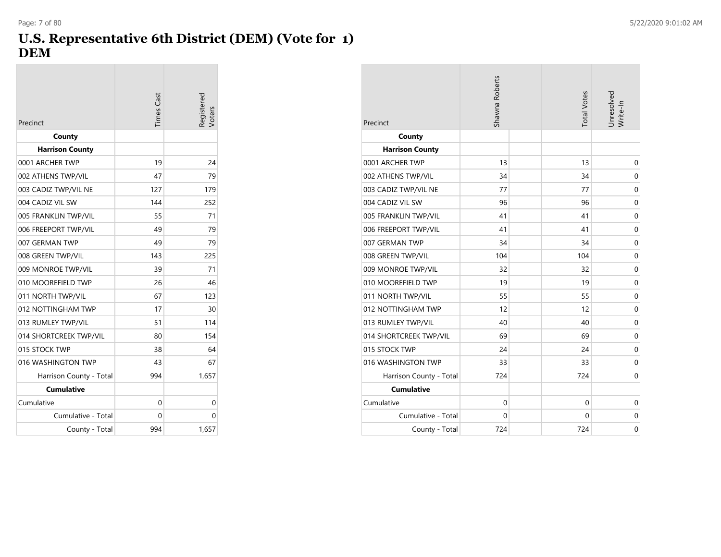## **U.S. Representative 6th District (DEM) (Vote for 1) DEM**

| Precinct                | <b>Times</b> Cast | legistered |
|-------------------------|-------------------|------------|
| County                  |                   |            |
| <b>Harrison County</b>  |                   |            |
| 0001 ARCHER TWP         | 19                | 24         |
| 002 ATHENS TWP/VIL      | 47                | 79         |
| 003 CADIZ TWP/VIL NE    | 127               | 179        |
| 004 CADIZ VIL SW        | 144               | 252        |
| 005 FRANKLIN TWP/VIL    | 55                | 71         |
| 006 FREEPORT TWP/VIL    | 49                | 79         |
| 007 GERMAN TWP          | 49                | 79         |
| 008 GREEN TWP/VIL       | 143               | 225        |
| 009 MONROE TWP/VIL      | 39                | 71         |
| 010 MOOREFIELD TWP      | 26                | 46         |
| 011 NORTH TWP/VIL       | 67                | 123        |
| 012 NOTTINGHAM TWP      | 17                | 30         |
| 013 RUMLEY TWP/VIL      | 51                | 114        |
| 014 SHORTCREEK TWP/VIL  | 80                | 154        |
| 015 STOCK TWP           | 38                | 64         |
| 016 WASHINGTON TWP      | 43                | 67         |
| Harrison County - Total | 994               | 1,657      |
| <b>Cumulative</b>       |                   |            |
| Cumulative              | 0                 | 0          |
| Cumulative - Total      | 0                 | 0          |
| County - Total          | 994               | 1,657      |

| Precinct                | Shawna Roberts | <b>Total Votes</b> | Unresolved<br>Write-In |
|-------------------------|----------------|--------------------|------------------------|
| County                  |                |                    |                        |
| <b>Harrison County</b>  |                |                    |                        |
| 0001 ARCHER TWP         | 13             | 13                 | $\mathbf 0$            |
| 002 ATHENS TWP/VIL      | 34             | 34                 | $\mathbf 0$            |
| 003 CADIZ TWP/VIL NE    | 77             | 77                 | $\mathbf 0$            |
| 004 CADIZ VIL SW        | 96             | 96                 | $\mathbf 0$            |
| 005 FRANKLIN TWP/VIL    | 41             | 41                 | $\mathbf 0$            |
| 006 FREEPORT TWP/VIL    | 41             | 41                 | $\mathbf 0$            |
| 007 GERMAN TWP          | 34             | 34                 | $\mathbf 0$            |
| 008 GREEN TWP/VIL       | 104            | 104                | $\mathbf 0$            |
| 009 MONROE TWP/VIL      | 32             | 32                 | $\mathbf 0$            |
| 010 MOOREFIELD TWP      | 19             | 19                 | $\mathbf 0$            |
| 011 NORTH TWP/VIL       | 55             | 55                 | $\mathbf 0$            |
| 012 NOTTINGHAM TWP      | 12             | 12                 | $\mathbf 0$            |
| 013 RUMLEY TWP/VIL      | 40             | 40                 | $\mathbf 0$            |
| 014 SHORTCREEK TWP/VIL  | 69             | 69                 | $\mathbf 0$            |
| 015 STOCK TWP           | 24             | 24                 | $\mathsf{O}\xspace$    |
| 016 WASHINGTON TWP      | 33             | 33                 | $\mathbf 0$            |
| Harrison County - Total | 724            | 724                | $\mathbf 0$            |
| <b>Cumulative</b>       |                |                    |                        |
| Cumulative              | $\mathbf 0$    | 0                  | $\mathbf 0$            |
| Cumulative - Total      | 0              | 0                  | $\mathbf 0$            |
| County - Total          | 724            | 724                | 0                      |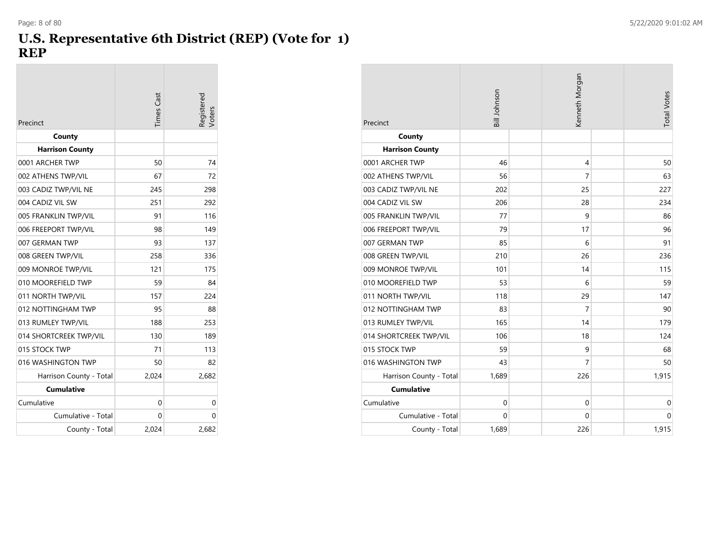#### **U.S. Representative 6th District (REP) (Vote for 1) REP**

|                         | <b>Times</b> Cast | Registered<br>/oters |
|-------------------------|-------------------|----------------------|
| Precinct                |                   |                      |
| County                  |                   |                      |
| <b>Harrison County</b>  |                   |                      |
| 0001 ARCHER TWP         | 50                | 74                   |
| 002 ATHENS TWP/VIL      | 67                | 72                   |
| 003 CADIZ TWP/VIL NE    | 245               | 298                  |
| 004 CADIZ VIL SW        | 251               | 292                  |
| 005 FRANKLIN TWP/VIL    | 91                | 116                  |
| 006 FREEPORT TWP/VIL    | 98                | 149                  |
| 007 GERMAN TWP          | 93                | 137                  |
| 008 GREEN TWP/VIL       | 258               | 336                  |
| 009 MONROE TWP/VIL      | 121               | 175                  |
| 010 MOOREFIELD TWP      | 59                | 84                   |
| 011 NORTH TWP/VIL       | 157               | 224                  |
| 012 NOTTINGHAM TWP      | 95                | 88                   |
| 013 RUMLEY TWP/VIL      | 188               | 253                  |
| 014 SHORTCREEK TWP/VIL  | 130               | 189                  |
| 015 STOCK TWP           | 71                | 113                  |
| 016 WASHINGTON TWP      | 50                | 82                   |
| Harrison County - Total | 2,024             | 2,682                |
| <b>Cumulative</b>       |                   |                      |
| Cumulative              | 0                 | 0                    |
| Cumulative - Total      | 0                 | 0                    |
| County - Total          | 2,024             | 2,682                |

| Precinct                | Bill Johnson | Kenneth Morgan | <b>Total Votes</b> |
|-------------------------|--------------|----------------|--------------------|
| County                  |              |                |                    |
| <b>Harrison County</b>  |              |                |                    |
| 0001 ARCHER TWP         | 46           | 4              | 50                 |
| 002 ATHENS TWP/VIL      | 56           | $\overline{7}$ | 63                 |
| 003 CADIZ TWP/VIL NE    | 202          | 25             | 227                |
| 004 CADIZ VIL SW        | 206          | 28             | 234                |
| 005 FRANKLIN TWP/VIL    | 77           | 9              | 86                 |
| 006 FREEPORT TWP/VIL    | 79           | 17             | 96                 |
| 007 GERMAN TWP          | 85           | 6              | 91                 |
| 008 GREEN TWP/VIL       | 210          | 26             | 236                |
| 009 MONROE TWP/VIL      | 101          | 14             | 115                |
| 010 MOOREFIELD TWP      | 53           | 6              | 59                 |
| 011 NORTH TWP/VIL       | 118          | 29             | 147                |
| 012 NOTTINGHAM TWP      | 83           | $\overline{7}$ | 90                 |
| 013 RUMLEY TWP/VIL      | 165          | 14             | 179                |
| 014 SHORTCREEK TWP/VIL  | 106          | 18             | 124                |
| 015 STOCK TWP           | 59           | 9              | 68                 |
| 016 WASHINGTON TWP      | 43           | $\overline{7}$ | 50                 |
| Harrison County - Total | 1,689        | 226            | 1,915              |
| <b>Cumulative</b>       |              |                |                    |
| Cumulative              | $\mathbf 0$  | $\mathbf 0$    | $\mathbf 0$        |
| Cumulative - Total      | 0            | $\mathbf 0$    | $\mathbf 0$        |
| County - Total          | 1,689        | 226            | 1,915              |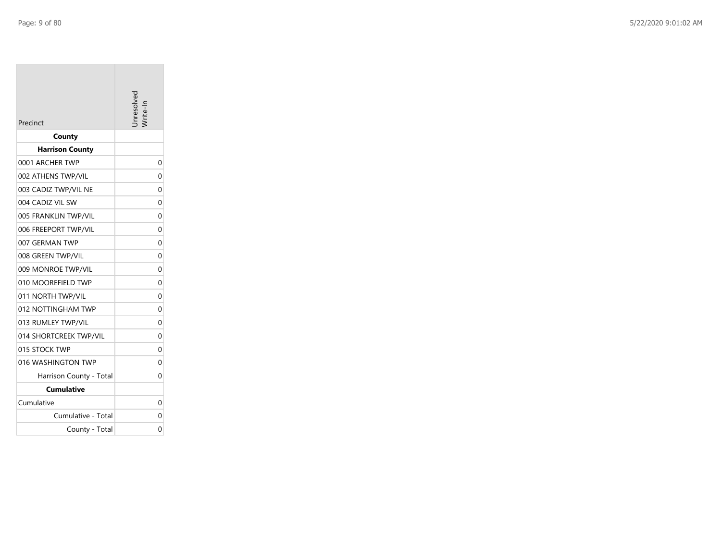Cumulative

Cumulative - Total

County - Total

| Precinct                | nresolvec |
|-------------------------|-----------|
| County                  |           |
| <b>Harrison County</b>  |           |
| 0001 ARCHER TWP         | 0         |
| 002 ATHENS TWP/VIL      | 0         |
| 003 CADIZ TWP/VIL NE    | 0         |
| 004 CADIZ VIL SW        | 0         |
| 005 FRANKLIN TWP/VIL    | 0         |
| 006 FREEPORT TWP/VIL    | 0         |
| 007 GERMAN TWP          | 0         |
| 008 GREEN TWP/VIL       | 0         |
| 009 MONROE TWP/VIL      | 0         |
| 010 MOOREFIELD TWP      | 0         |
| 011 NORTH TWP/VIL       | 0         |
| 012 NOTTINGHAM TWP      | 0         |
| 013 RUMLEY TWP/VIL      | $\Omega$  |
| 014 SHORTCREEK TWP/VIL  | 0         |
| 015 STOCK TWP           | 0         |
| 016 WASHINGTON TWP      | 0         |
| Harrison County - Total | 0         |
| <b>Cumulative</b>       |           |

 $\mathbf{0}$ 

0

 $\overline{0}$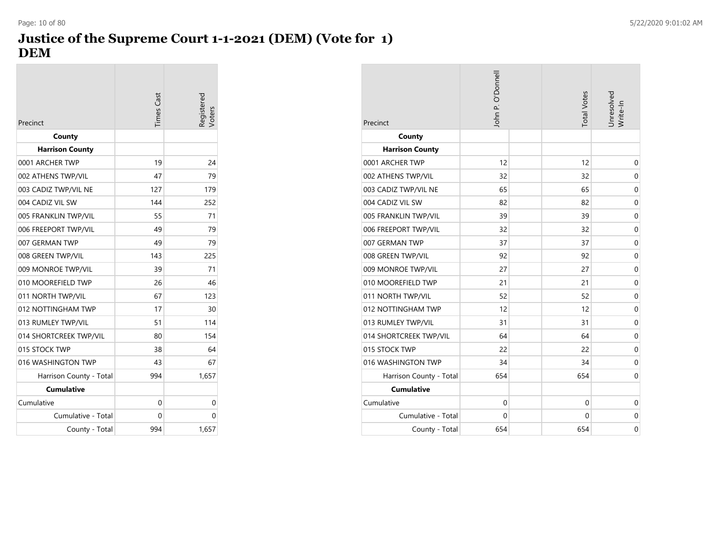# **Justice of the Supreme Court 1-1-2021 (DEM) (Vote for 1) DEM**

| Precinct                | Times Cast | legistered<br>/oters |
|-------------------------|------------|----------------------|
| County                  |            |                      |
| <b>Harrison County</b>  |            |                      |
| 0001 ARCHER TWP         | 19         | 24                   |
| 002 ATHENS TWP/VIL      | 47         | 79                   |
| 003 CADIZ TWP/VIL NE    | 127        | 179                  |
| 004 CADIZ VIL SW        | 144        | 252                  |
| 005 FRANKLIN TWP/VIL    | 55         | 71                   |
| 006 FREEPORT TWP/VIL    | 49         | 79                   |
| 007 GERMAN TWP          | 49         | 79                   |
| 008 GREEN TWP/VIL       | 143        | 225                  |
| 009 MONROE TWP/VIL      | 39         | 71                   |
| 010 MOOREFIELD TWP      | 26         | 46                   |
| 011 NORTH TWP/VIL       | 67         | 123                  |
| 012 NOTTINGHAM TWP      | 17         | 30                   |
| 013 RUMLEY TWP/VIL      | 51         | 114                  |
| 014 SHORTCREEK TWP/VIL  | 80         | 154                  |
| 015 STOCK TWP           | 38         | 64                   |
| 016 WASHINGTON TWP      | 43         | 67                   |
| Harrison County - Total | 994        | 1,657                |
| <b>Cumulative</b>       |            |                      |
| Cumulative              | 0          | 0                    |
| Cumulative - Total      | 0          | 0                    |
| County - Total          | 994        | 1,657                |

| Precinct                | John P. O'Donnell | <b>Total Votes</b> | Jnresolved<br>Write-In |
|-------------------------|-------------------|--------------------|------------------------|
| County                  |                   |                    |                        |
| <b>Harrison County</b>  |                   |                    |                        |
| 0001 ARCHER TWP         | 12                | 12                 | $\mathbf 0$            |
| 002 ATHENS TWP/VIL      | 32                | 32                 | $\mathbf 0$            |
| 003 CADIZ TWP/VIL NE    | 65                | 65                 | $\mathbf 0$            |
| 004 CADIZ VIL SW        | 82                | 82                 | $\mathbf 0$            |
| 005 FRANKLIN TWP/VIL    | 39                | 39                 | $\mathbf 0$            |
| 006 FREEPORT TWP/VIL    | 32                | 32                 | $\mathbf 0$            |
| 007 GERMAN TWP          | 37                | 37                 | $\mathbf 0$            |
| 008 GREEN TWP/VIL       | 92                | 92                 | $\mathbf 0$            |
| 009 MONROE TWP/VIL      | 27                | 27                 | $\mathbf 0$            |
| 010 MOOREFIELD TWP      | 21                | 21                 | $\mathbf 0$            |
| 011 NORTH TWP/VIL       | 52                | 52                 | $\mathbf 0$            |
| 012 NOTTINGHAM TWP      | 12                | 12                 | $\mathbf 0$            |
| 013 RUMLEY TWP/VIL      | 31                | 31                 | $\mathbf 0$            |
| 014 SHORTCREEK TWP/VIL  | 64                | 64                 | $\mathbf 0$            |
| 015 STOCK TWP           | 22                | 22                 | $\mathbf 0$            |
| 016 WASHINGTON TWP      | 34                | 34                 | $\mathbf 0$            |
| Harrison County - Total | 654               | 654                | $\mathbf 0$            |
| <b>Cumulative</b>       |                   |                    |                        |
| Cumulative              | $\Omega$          | 0                  | 0                      |
| Cumulative - Total      | $\mathbf 0$       | 0                  | $\mathbf 0$            |
| County - Total          | 654               | 654                | 0                      |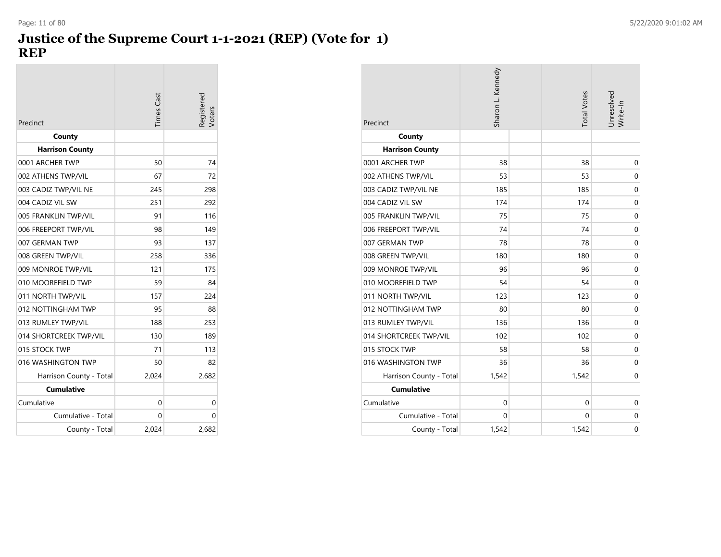# **Justice of the Supreme Court 1-1-2021 (REP) (Vote for 1) REP**

| Precinct                | imes Cast | Registered<br>Voters |
|-------------------------|-----------|----------------------|
| County                  |           |                      |
| <b>Harrison County</b>  |           |                      |
| 0001 ARCHER TWP         | 50        | 74                   |
| 002 ATHENS TWP/VIL      | 67        | 72                   |
| 003 CADIZ TWP/VIL NE    | 245       | 298                  |
| 004 CADIZ VIL SW        | 251       | 292                  |
| 005 FRANKLIN TWP/VIL    | 91        | 116                  |
| 006 FREEPORT TWP/VIL    | 98        | 149                  |
| 007 GERMAN TWP          | 93        | 137                  |
| 008 GREEN TWP/VIL       | 258       | 336                  |
| 009 MONROE TWP/VIL      | 121       | 175                  |
| 010 MOOREFIELD TWP      | 59        | 84                   |
| 011 NORTH TWP/VIL       | 157       | 224                  |
| 012 NOTTINGHAM TWP      | 95        | 88                   |
| 013 RUMLEY TWP/VIL      | 188       | 253                  |
| 014 SHORTCREEK TWP/VIL  | 130       | 189                  |
| 015 STOCK TWP           | 71        | 113                  |
| 016 WASHINGTON TWP      | 50        | 82                   |
| Harrison County - Total | 2,024     | 2,682                |
| <b>Cumulative</b>       |           |                      |
| Cumulative              | 0         | 0                    |
| Cumulative - Total      | 0         | 0                    |
| County - Total          | 2.024     | 2,682                |

| Precinct                | Sharon L. Kennedy | <b>Total Votes</b> | Unresolved<br>Write-In |
|-------------------------|-------------------|--------------------|------------------------|
| County                  |                   |                    |                        |
| <b>Harrison County</b>  |                   |                    |                        |
| 0001 ARCHER TWP         | 38                | 38                 | 0                      |
| 002 ATHENS TWP/VIL      | 53                | 53                 | $\mathbf 0$            |
| 003 CADIZ TWP/VIL NE    | 185               | 185                | $\mathbf 0$            |
| 004 CADIZ VIL SW        | 174               | 174                | $\mathbf 0$            |
| 005 FRANKLIN TWP/VIL    | 75                | 75                 | $\mathbf 0$            |
| 006 FREEPORT TWP/VIL    | 74                | 74                 | $\mathbf 0$            |
| 007 GERMAN TWP          | 78                | 78                 | $\mathbf 0$            |
| 008 GREEN TWP/VIL       | 180               | 180                | $\mathbf 0$            |
| 009 MONROE TWP/VIL      | 96                | 96                 | $\mathbf 0$            |
| 010 MOOREFIELD TWP      | 54                | 54                 | $\mathbf 0$            |
| 011 NORTH TWP/VIL       | 123               | 123                | $\mathbf 0$            |
| 012 NOTTINGHAM TWP      | 80                | 80                 | $\mathbf 0$            |
| 013 RUMLEY TWP/VIL      | 136               | 136                | $\mathbf 0$            |
| 014 SHORTCREEK TWP/VIL  | 102               | 102                | $\mathbf 0$            |
| 015 STOCK TWP           | 58                | 58                 | $\mathbf 0$            |
| 016 WASHINGTON TWP      | 36                | 36                 | $\mathbf 0$            |
| Harrison County - Total | 1,542             | 1,542              | 0                      |
| <b>Cumulative</b>       |                   |                    |                        |
| Cumulative              | $\mathbf 0$       | $\mathbf 0$        | $\mathbf 0$            |
| Cumulative - Total      | $\Omega$          | 0                  | 0                      |
| County - Total          | 1,542             | 1,542              | $\mathbf 0$            |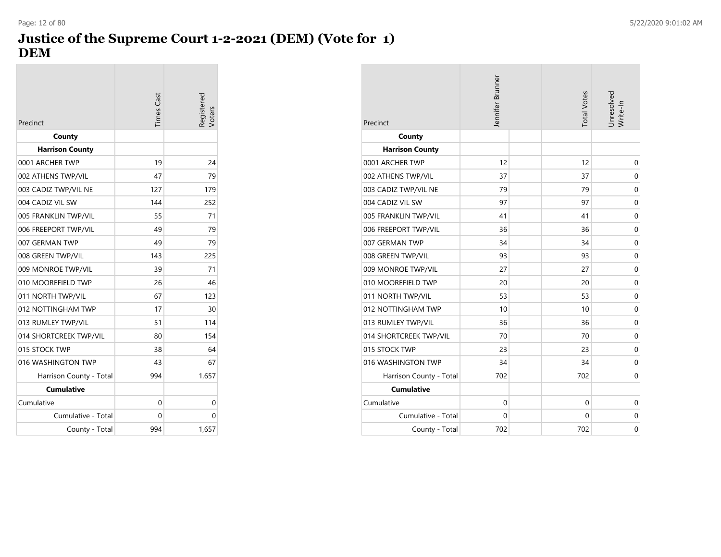# **Justice of the Supreme Court 1-2-2021 (DEM) (Vote for 1) DEM**

| Precinct                | <b>Times Cast</b> | legistered<br>/oters |
|-------------------------|-------------------|----------------------|
| County                  |                   |                      |
| <b>Harrison County</b>  |                   |                      |
| 0001 ARCHER TWP         | 19                | 24                   |
| 002 ATHENS TWP/VIL      | 47                | 79                   |
| 003 CADIZ TWP/VIL NE    | 127               | 179                  |
| 004 CADIZ VIL SW        | 144               | 252                  |
| 005 FRANKLIN TWP/VIL    | 55                | 71                   |
| 006 FREEPORT TWP/VIL    | 49                | 79                   |
| 007 GERMAN TWP          | 49                | 79                   |
| 008 GREEN TWP/VIL       | 143               | 225                  |
| 009 MONROE TWP/VIL      | 39                | 71                   |
| 010 MOOREFIELD TWP      | 26                | 46                   |
| 011 NORTH TWP/VIL       | 67                | 123                  |
| 012 NOTTINGHAM TWP      | 17                | 30                   |
| 013 RUMLEY TWP/VIL      | 51                | 114                  |
| 014 SHORTCREEK TWP/VIL  | 80                | 154                  |
| 015 STOCK TWP           | 38                | 64                   |
| 016 WASHINGTON TWP      | 43                | 67                   |
| Harrison County - Total | 994               | 1,657                |
| <b>Cumulative</b>       |                   |                      |
| Cumulative              | 0                 | 0                    |
| Cumulative - Total      | 0                 | 0                    |
| County - Total          | 994               | 1,657                |

| Precinct                | Jennifer Brunner | <b>Total Votes</b> | Unresolved<br>Write-In |
|-------------------------|------------------|--------------------|------------------------|
| County                  |                  |                    |                        |
| <b>Harrison County</b>  |                  |                    |                        |
| 0001 ARCHER TWP         | 12               | 12                 | 0                      |
| 002 ATHENS TWP/VIL      | 37               | 37                 | $\mathbf 0$            |
| 003 CADIZ TWP/VIL NE    | 79               | 79                 | $\mathbf 0$            |
| 004 CADIZ VIL SW        | 97               | 97                 | $\mathbf 0$            |
| 005 FRANKLIN TWP/VIL    | 41               | 41                 | $\mathbf 0$            |
| 006 FREEPORT TWP/VIL    | 36               | 36                 | $\mathbf 0$            |
| 007 GERMAN TWP          | 34               | 34                 | $\mathbf 0$            |
| 008 GREEN TWP/VIL       | 93               | 93                 | $\mathbf 0$            |
| 009 MONROE TWP/VIL      | 27               | 27                 | $\mathbf 0$            |
| 010 MOOREFIELD TWP      | 20               | 20                 | $\mathbf 0$            |
| 011 NORTH TWP/VIL       | 53               | 53                 | $\mathbf 0$            |
| 012 NOTTINGHAM TWP      | 10               | 10                 | $\mathbf 0$            |
| 013 RUMLEY TWP/VIL      | 36               | 36                 | $\mathbf 0$            |
| 014 SHORTCREEK TWP/VIL  | 70               | 70                 | $\mathbf 0$            |
| 015 STOCK TWP           | 23               | 23                 | $\mathbf 0$            |
| 016 WASHINGTON TWP      | 34               | 34                 | $\mathbf 0$            |
| Harrison County - Total | 702              | 702                | $\mathbf 0$            |
| <b>Cumulative</b>       |                  |                    |                        |
| Cumulative              | 0                | 0                  | $\mathbf 0$            |
| Cumulative - Total      | 0                | 0                  | $\mathbf 0$            |
| County - Total          | 702              | 702                | $\mathbf 0$            |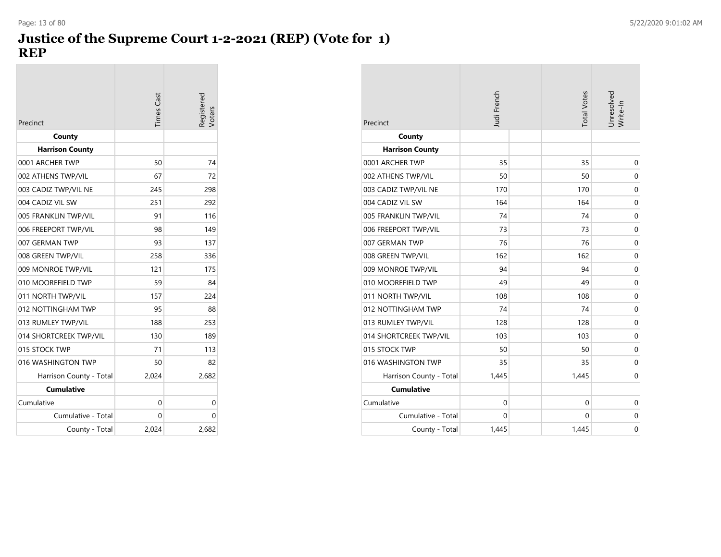#### **Justice of the Supreme Court 1-2-2021 (REP) (Vote for 1) REP** Page: 13 of 80 5/22/2020 9:01:02 AM

| Precinct                | imes Cast | legistered<br>/oters |
|-------------------------|-----------|----------------------|
| County                  |           |                      |
| <b>Harrison County</b>  |           |                      |
| 0001 ARCHER TWP         | 50        | 74                   |
| 002 ATHENS TWP/VIL      | 67        | 72                   |
| 003 CADIZ TWP/VIL NE    | 245       | 298                  |
| 004 CADIZ VIL SW        | 251       | 292                  |
| 005 FRANKLIN TWP/VIL    | 91        | 116                  |
| 006 FREEPORT TWP/VIL    | 98        | 149                  |
| 007 GERMAN TWP          | 93        | 137                  |
| 008 GREEN TWP/VIL       | 258       | 336                  |
| 009 MONROE TWP/VIL      | 121       | 175                  |
| 010 MOOREFIELD TWP      | 59        | 84                   |
| 011 NORTH TWP/VIL       | 157       | 224                  |
| 012 NOTTINGHAM TWP      | 95        | 88                   |
| 013 RUMLEY TWP/VIL      | 188       | 253                  |
| 014 SHORTCREEK TWP/VIL  | 130       | 189                  |
| 015 STOCK TWP           | 71        | 113                  |
| 016 WASHINGTON TWP      | 50        | 82                   |
| Harrison County - Total | 2,024     | 2,682                |
| <b>Cumulative</b>       |           |                      |
| Cumulative              | 0         | 0                    |
| Cumulative - Total      | 0         | 0                    |
| County - Total          | 2.024     | 2,682                |

| Precinct                | Judi French  | <b>Total Votes</b> | Unresolved<br>Write-In |
|-------------------------|--------------|--------------------|------------------------|
| County                  |              |                    |                        |
| <b>Harrison County</b>  |              |                    |                        |
| 0001 ARCHER TWP         | 35           | 35                 | $\mathbf 0$            |
| 002 ATHENS TWP/VIL      | 50           | 50                 | $\mathbf 0$            |
| 003 CADIZ TWP/VIL NE    | 170          | 170                | $\mathbf 0$            |
| 004 CADIZ VIL SW        | 164          | 164                | $\mathbf 0$            |
| 005 FRANKLIN TWP/VIL    | 74           | 74                 | $\mathbf 0$            |
| 006 FREEPORT TWP/VIL    | 73           | 73                 | $\mathbf 0$            |
| 007 GERMAN TWP          | 76           | 76                 | $\mathbf 0$            |
| 008 GREEN TWP/VIL       | 162          | 162                | $\mathbf 0$            |
| 009 MONROE TWP/VIL      | 94           | 94                 | $\mathbf 0$            |
| 010 MOOREFIELD TWP      | 49           | 49                 | $\mathbf 0$            |
| 011 NORTH TWP/VIL       | 108          | 108                | $\mathbf 0$            |
| 012 NOTTINGHAM TWP      | 74           | 74                 | $\mathbf 0$            |
| 013 RUMLEY TWP/VIL      | 128          | 128                | $\mathbf 0$            |
| 014 SHORTCREEK TWP/VIL  | 103          | 103                | $\mathbf 0$            |
| 015 STOCK TWP           | 50           | 50                 | $\mathbf 0$            |
| 016 WASHINGTON TWP      | 35           | 35                 | $\mathbf 0$            |
| Harrison County - Total | 1,445        | 1,445              | $\mathbf 0$            |
| <b>Cumulative</b>       |              |                    |                        |
| Cumulative              | $\mathbf{0}$ | 0                  | $\mathbf 0$            |
| Cumulative - Total      | $\mathbf{0}$ | 0                  | 0                      |
| County - Total          | 1,445        | 1,445              | $\overline{0}$         |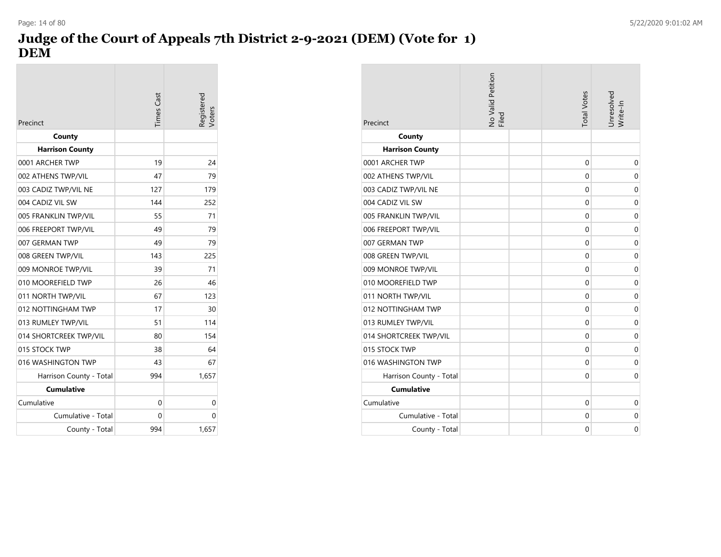# **Judge of the Court of Appeals 7th District 2-9-2021 (DEM) (Vote for 1) DEM**

| Precinct                | <b>Times Cast</b> | legistered |
|-------------------------|-------------------|------------|
| County                  |                   |            |
| <b>Harrison County</b>  |                   |            |
| 0001 ARCHER TWP         | 19                | 24         |
| 002 ATHENS TWP/VIL      | 47                | 79         |
| 003 CADIZ TWP/VIL NE    | 127               | 179        |
| 004 CADIZ VIL SW        | 144               | 252        |
| 005 FRANKLIN TWP/VIL    | 55                | 71         |
| 006 FREEPORT TWP/VIL    | 49                | 79         |
| 007 GERMAN TWP          | 49                | 79         |
| 008 GREEN TWP/VIL       | 143               | 225        |
| 009 MONROE TWP/VIL      | 39                | 71         |
| 010 MOOREFIELD TWP      | 26                | 46         |
| 011 NORTH TWP/VIL       | 67                | 123        |
| 012 NOTTINGHAM TWP      | 17                | 30         |
| 013 RUMLEY TWP/VIL      | 51                | 114        |
| 014 SHORTCREEK TWP/VIL  | 80                | 154        |
| 015 STOCK TWP           | 38                | 64         |
| 016 WASHINGTON TWP      | 43                | 67         |
| Harrison County - Total | 994               | 1,657      |
| <b>Cumulative</b>       |                   |            |
| Cumulative              | 0                 | 0          |
| Cumulative - Total      | 0                 | 0          |
| County - Total          | 994               | 1,657      |

| Precinct                | No Valid Petition<br>Filed | <b>Total Votes</b> | Unresolved<br>Write-In |
|-------------------------|----------------------------|--------------------|------------------------|
| County                  |                            |                    |                        |
| <b>Harrison County</b>  |                            |                    |                        |
| 0001 ARCHER TWP         |                            | $\mathbf 0$        | $\mathbf 0$            |
| 002 ATHENS TWP/VIL      |                            | $\mathbf 0$        | $\mathbf 0$            |
| 003 CADIZ TWP/VIL NE    |                            | 0                  | $\mathbf 0$            |
| 004 CADIZ VIL SW        |                            | 0                  | $\mathbf 0$            |
| 005 FRANKLIN TWP/VIL    |                            | 0                  | $\mathbf 0$            |
| 006 FREEPORT TWP/VIL    |                            | 0                  | 0                      |
| 007 GERMAN TWP          |                            | $\mathbf 0$        | 0                      |
| 008 GREEN TWP/VIL       |                            | $\Omega$           | $\mathbf 0$            |
| 009 MONROE TWP/VIL      |                            | 0                  | $\mathbf 0$            |
| 010 MOOREFIELD TWP      |                            | $\mathbf 0$        | 0                      |
| 011 NORTH TWP/VIL       |                            | 0                  | 0                      |
| 012 NOTTINGHAM TWP      |                            | 0                  | 0                      |
| 013 RUMLEY TWP/VIL      |                            | $\mathbf 0$        | $\mathbf 0$            |
| 014 SHORTCREEK TWP/VIL  |                            | 0                  | 0                      |
| 015 STOCK TWP           |                            | 0                  | $\mathbf 0$            |
| 016 WASHINGTON TWP      |                            | $\mathbf 0$        | $\mathbf 0$            |
| Harrison County - Total |                            | 0                  | $\mathbf 0$            |
| <b>Cumulative</b>       |                            |                    |                        |
| Cumulative              |                            | $\mathbf 0$        | 0                      |
| Cumulative - Total      |                            | 0                  | 0                      |
| County - Total          |                            | $\mathbf 0$        | $\mathbf 0$            |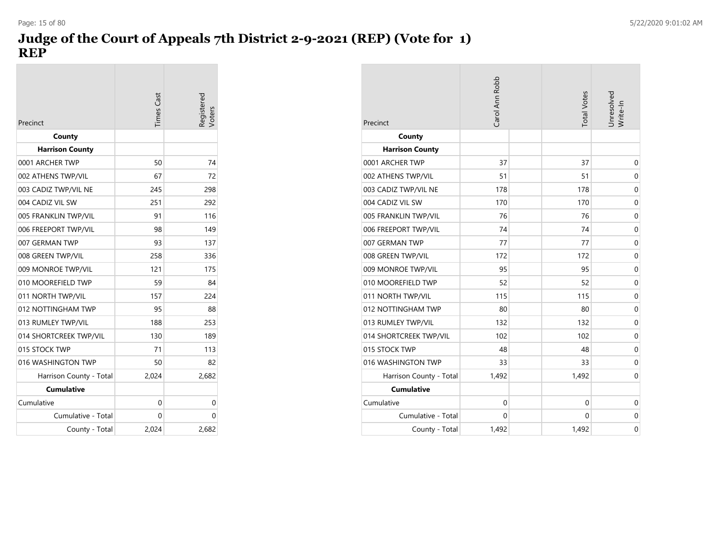# **Judge of the Court of Appeals 7th District 2-9-2021 (REP) (Vote for 1) REP**

| Precinct                | <b>Times</b> Cast | Registered<br>/oters |
|-------------------------|-------------------|----------------------|
| County                  |                   |                      |
| <b>Harrison County</b>  |                   |                      |
| 0001 ARCHER TWP         | 50                | 74                   |
| 002 ATHENS TWP/VIL      | 67                | 72                   |
| 003 CADIZ TWP/VIL NE    | 245               | 298                  |
| 004 CADIZ VIL SW        | 251               | 292                  |
| 005 FRANKLIN TWP/VIL    | 91                | 116                  |
| 006 FREEPORT TWP/VIL    | 98                | 149                  |
| 007 GERMAN TWP          | 93                | 137                  |
| 008 GREEN TWP/VIL       | 258               | 336                  |
| 009 MONROE TWP/VIL      | 121               | 175                  |
| 010 MOOREFIELD TWP      | 59                | 84                   |
| 011 NORTH TWP/VIL       | 157               | 224                  |
| 012 NOTTINGHAM TWP      | 95                | 88                   |
| 013 RUMLEY TWP/VIL      | 188               | 253                  |
| 014 SHORTCREEK TWP/VIL  | 130               | 189                  |
| 015 STOCK TWP           | 71                | 113                  |
| 016 WASHINGTON TWP      | 50                | 82                   |
| Harrison County - Total | 2,024             | 2,682                |
| <b>Cumulative</b>       |                   |                      |
| Cumulative              | 0                 | 0                    |
| Cumulative - Total      | 0                 | 0                    |
| County - Total          | 2,024             | 2,682                |

| Precinct                | Carol Ann Robb | <b>Total Votes</b> | Unresolved<br>Write-In |
|-------------------------|----------------|--------------------|------------------------|
| County                  |                |                    |                        |
| <b>Harrison County</b>  |                |                    |                        |
| 0001 ARCHER TWP         | 37             | 37                 | $\mathbf 0$            |
| 002 ATHENS TWP/VIL      | 51             | 51                 | $\mathbf 0$            |
| 003 CADIZ TWP/VIL NE    | 178            | 178                | 0                      |
| 004 CADIZ VIL SW        | 170            | 170                | 0                      |
| 005 FRANKLIN TWP/VIL    | 76             | 76                 | $\mathbf 0$            |
| 006 FREEPORT TWP/VIL    | 74             | 74                 | $\mathbf 0$            |
| 007 GERMAN TWP          | 77             | 77                 | $\mathbf 0$            |
| 008 GREEN TWP/VIL       | 172            | 172                | $\mathbf 0$            |
| 009 MONROE TWP/VIL      | 95             | 95                 | $\mathbf 0$            |
| 010 MOOREFIELD TWP      | 52             | 52                 | 0                      |
| 011 NORTH TWP/VIL       | 115            | 115                | 0                      |
| 012 NOTTINGHAM TWP      | 80             | 80                 | $\mathbf 0$            |
| 013 RUMLEY TWP/VIL      | 132            | 132                | 0                      |
| 014 SHORTCREEK TWP/VIL  | 102            | 102                | 0                      |
| 015 STOCK TWP           | 48             | 48                 | $\mathbf 0$            |
| 016 WASHINGTON TWP      | 33             | 33                 | 0                      |
| Harrison County - Total | 1,492          | 1,492              | 0                      |
| <b>Cumulative</b>       |                |                    |                        |
| Cumulative              | $\mathbf 0$    | 0                  | 0                      |
| Cumulative - Total      | $\Omega$       | 0                  | 0                      |
| County - Total          | 1,492          | 1,492              | 0                      |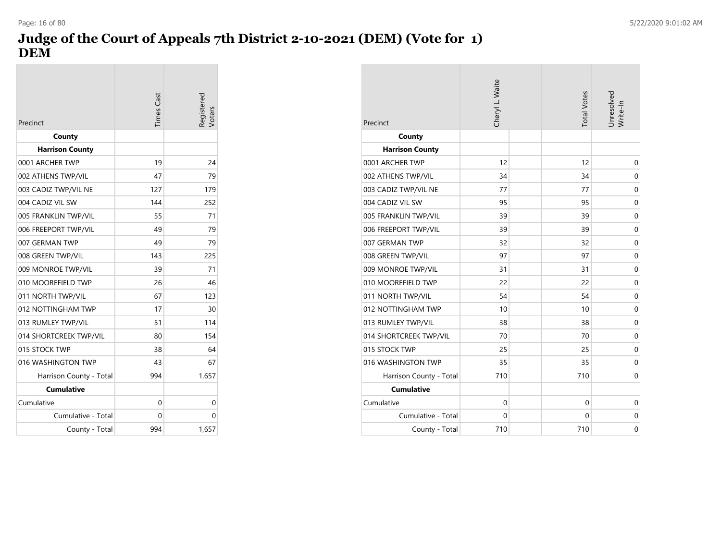# **Judge of the Court of Appeals 7th District 2-10-2021 (DEM) (Vote for 1) DEM**

| Precinct                | <b>Times Cast</b> | legistered<br>/oters |
|-------------------------|-------------------|----------------------|
| County                  |                   |                      |
| <b>Harrison County</b>  |                   |                      |
| 0001 ARCHER TWP         | 19                | 24                   |
| 002 ATHENS TWP/VIL      | 47                | 79                   |
| 003 CADIZ TWP/VIL NE    | 127               | 179                  |
| 004 CADIZ VIL SW        | 144               | 252                  |
| 005 FRANKLIN TWP/VIL    | 55                | 71                   |
| 006 FREEPORT TWP/VIL    | 49                | 79                   |
| 007 GERMAN TWP          | 49                | 79                   |
| 008 GREEN TWP/VIL       | 143               | 225                  |
| 009 MONROE TWP/VIL      | 39                | 71                   |
| 010 MOOREFIELD TWP      | 26                | 46                   |
| 011 NORTH TWP/VIL       | 67                | 123                  |
| 012 NOTTINGHAM TWP      | 17                | 30                   |
| 013 RUMLEY TWP/VIL      | 51                | 114                  |
| 014 SHORTCREEK TWP/VIL  | 80                | 154                  |
| 015 STOCK TWP           | 38                | 64                   |
| 016 WASHINGTON TWP      | 43                | 67                   |
| Harrison County - Total | 994               | 1,657                |
| <b>Cumulative</b>       |                   |                      |
| Cumulative              | 0                 | 0                    |
| Cumulative - Total      | 0                 | 0                    |
| County - Total          | 994               | 1.657                |

| Precinct                | Cheryl L. Waite | <b>Total Votes</b> | Unresolved<br>Write-In |
|-------------------------|-----------------|--------------------|------------------------|
| County                  |                 |                    |                        |
| <b>Harrison County</b>  |                 |                    |                        |
| 0001 ARCHER TWP         | 12              | 12                 | 0                      |
| 002 ATHENS TWP/VIL      | 34              | 34                 | $\mathbf 0$            |
| 003 CADIZ TWP/VIL NE    | 77              | 77                 | $\mathbf 0$            |
| 004 CADIZ VIL SW        | 95              | 95                 | $\mathbf 0$            |
| 005 FRANKLIN TWP/VIL    | 39              | 39                 | $\mathbf 0$            |
| 006 FREEPORT TWP/VIL    | 39              | 39                 | $\mathbf 0$            |
| 007 GERMAN TWP          | 32              | 32                 | $\mathbf 0$            |
| 008 GREEN TWP/VIL       | 97              | 97                 | $\mathbf 0$            |
| 009 MONROE TWP/VIL      | 31              | 31                 | $\mathbf 0$            |
| 010 MOOREFIELD TWP      | 22              | 22                 | $\mathbf 0$            |
| 011 NORTH TWP/VIL       | 54              | 54                 | 0                      |
| 012 NOTTINGHAM TWP      | 10              | 10                 | $\mathbf 0$            |
| 013 RUMLEY TWP/VIL      | 38              | 38                 | $\mathbf 0$            |
| 014 SHORTCREEK TWP/VIL  | 70              | 70                 | 0                      |
| 015 STOCK TWP           | 25              | 25                 | $\mathbf 0$            |
| 016 WASHINGTON TWP      | 35              | 35                 | $\mathbf 0$            |
| Harrison County - Total | 710             | 710                | 0                      |
| <b>Cumulative</b>       |                 |                    |                        |
| Cumulative              | 0               | $\mathbf 0$        | 0                      |
| Cumulative - Total      | $\Omega$        | 0                  | $\mathbf 0$            |
| County - Total          | 710             | 710                | $\mathbf 0$            |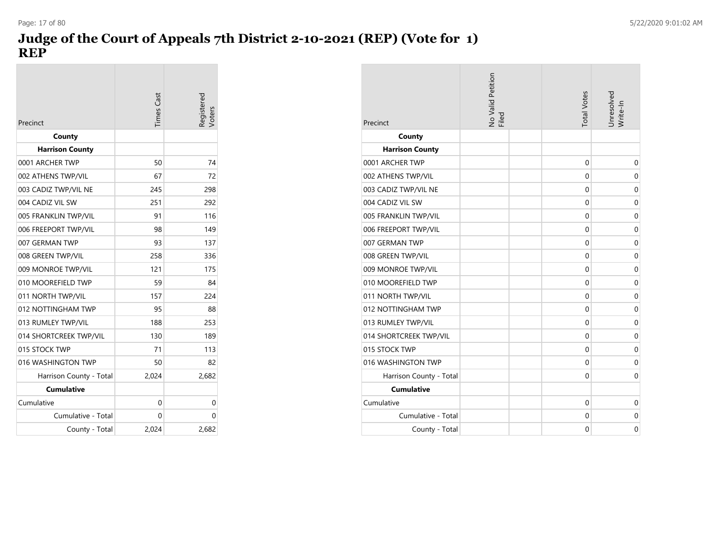# **Judge of the Court of Appeals 7th District 2-10-2021 (REP) (Vote for 1) REP**

| Precinct                | <b>Times</b> Cast | Registered |
|-------------------------|-------------------|------------|
| County                  |                   |            |
| <b>Harrison County</b>  |                   |            |
| 0001 ARCHER TWP         | 50                | 74         |
| 002 ATHENS TWP/VIL      | 67                | 72         |
| 003 CADIZ TWP/VIL NE    | 245               | 298        |
| 004 CADIZ VIL SW        | 251               | 292        |
| 005 FRANKLIN TWP/VIL    | 91                | 116        |
| 006 FREEPORT TWP/VIL    | 98                | 149        |
| 007 GERMAN TWP          | 93                | 137        |
| 008 GREEN TWP/VIL       | 258               | 336        |
| 009 MONROE TWP/VIL      | 121               | 175        |
| 010 MOOREFIELD TWP      | 59                | 84         |
| 011 NORTH TWP/VIL       | 157               | 224        |
| 012 NOTTINGHAM TWP      | 95                | 88         |
| 013 RUMLEY TWP/VIL      | 188               | 253        |
| 014 SHORTCREEK TWP/VIL  | 130               | 189        |
| 015 STOCK TWP           | 71                | 113        |
| 016 WASHINGTON TWP      | 50                | 82         |
| Harrison County - Total | 2,024             | 2,682      |
| <b>Cumulative</b>       |                   |            |
| Cumulative              | 0                 | 0          |
| Cumulative - Total      | 0                 | 0          |
| County - Total          | 2,024             | 2,682      |

| Precinct                | No Valid Petition<br>Filed | <b>Total Votes</b> | Unresolved<br>Write-In |
|-------------------------|----------------------------|--------------------|------------------------|
| County                  |                            |                    |                        |
| <b>Harrison County</b>  |                            |                    |                        |
| 0001 ARCHER TWP         |                            | $\mathbf 0$        | $\mathbf 0$            |
| 002 ATHENS TWP/VIL      |                            | $\mathbf 0$        | $\mathbf 0$            |
| 003 CADIZ TWP/VIL NE    |                            | 0                  | 0                      |
| 004 CADIZ VIL SW        |                            | 0                  | $\mathbf 0$            |
| 005 FRANKLIN TWP/VIL    |                            | $\Omega$           | $\Omega$               |
| 006 FREEPORT TWP/VIL    |                            | 0                  | $\mathbf 0$            |
| 007 GERMAN TWP          |                            | 0                  | 0                      |
| 008 GREEN TWP/VIL       |                            | $\Omega$           | $\mathbf 0$            |
| 009 MONROE TWP/VIL      |                            | 0                  | $\mathbf 0$            |
| 010 MOOREFIELD TWP      |                            | $\mathbf 0$        | $\mathbf 0$            |
| 011 NORTH TWP/VIL       |                            | 0                  | 0                      |
| 012 NOTTINGHAM TWP      |                            | 0                  | $\mathbf 0$            |
| 013 RUMLEY TWP/VIL      |                            | 0                  | $\mathbf 0$            |
| 014 SHORTCREEK TWP/VIL  |                            | $\mathbf 0$        | $\mathbf 0$            |
| 015 STOCK TWP           |                            | 0                  | $\mathbf 0$            |
| 016 WASHINGTON TWP      |                            | $\mathbf 0$        | 0                      |
| Harrison County - Total |                            | 0                  | 0                      |
| <b>Cumulative</b>       |                            |                    |                        |
| Cumulative              |                            | $\mathbf 0$        | $\mathbf 0$            |
| Cumulative - Total      |                            | 0                  | 0                      |
| County - Total          |                            | $\Omega$           | $\mathbf 0$            |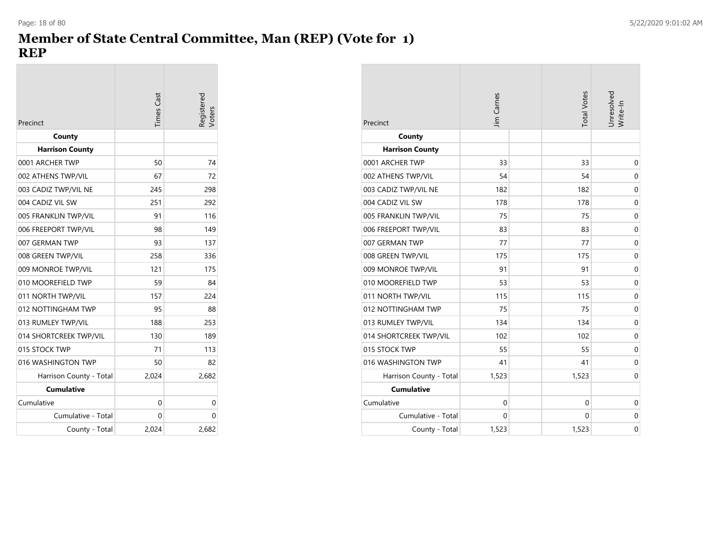## **Member of State Central Committee, Man (REP) (Vote for 1) REP**

| Precinct                | <b>Times</b> Cast | Registered<br>Voters |
|-------------------------|-------------------|----------------------|
| County                  |                   |                      |
| <b>Harrison County</b>  |                   |                      |
| 0001 ARCHER TWP         | 50                | 74                   |
| 002 ATHENS TWP/VIL      | 67                | 72                   |
| 003 CADIZ TWP/VIL NE    | 245               | 298                  |
| 004 CADIZ VIL SW        | 251               | 292                  |
| 005 FRANKLIN TWP/VIL    | 91                | 116                  |
| 006 FREEPORT TWP/VIL    | 98                | 149                  |
| 007 GERMAN TWP          | 93                | 137                  |
| 008 GREEN TWP/VIL       | 258               | 336                  |
| 009 MONROE TWP/VIL      | 121               | 175                  |
| 010 MOOREFIELD TWP      | 59                | 84                   |
| 011 NORTH TWP/VIL       | 157               | 224                  |
| 012 NOTTINGHAM TWP      | 95                | 88                   |
| 013 RUMLEY TWP/VIL      | 188               | 253                  |
| 014 SHORTCREEK TWP/VIL  | 130               | 189                  |
| 015 STOCK TWP           | 71                | 113                  |
| 016 WASHINGTON TWP      | 50                | 82                   |
| Harrison County - Total | 2,024             | 2,682                |
| <b>Cumulative</b>       |                   |                      |
| Cumulative              | 0                 | 0                    |
| Cumulative - Total      | 0                 | 0                    |
| County - Total          | 2.024             | 2,682                |

| Precinct                | Jim Carnes  | <b>Total Votes</b> | Unresolved<br>Write-In |
|-------------------------|-------------|--------------------|------------------------|
| County                  |             |                    |                        |
| <b>Harrison County</b>  |             |                    |                        |
| 0001 ARCHER TWP         | 33          | 33                 | $\mathbf 0$            |
| 002 ATHENS TWP/VIL      | 54          | 54                 | $\mathbf 0$            |
| 003 CADIZ TWP/VIL NE    | 182         | 182                | 0                      |
| 004 CADIZ VIL SW        | 178         | 178                | 0                      |
| 005 FRANKLIN TWP/VIL    | 75          | 75                 | $\mathbf 0$            |
| 006 FREEPORT TWP/VIL    | 83          | 83                 | $\mathbf 0$            |
| 007 GERMAN TWP          | 77          | 77                 | $\mathbf 0$            |
| 008 GREEN TWP/VIL       | 175         | 175                | $\mathbf 0$            |
| 009 MONROE TWP/VIL      | 91          | 91                 | $\mathbf 0$            |
| 010 MOOREFIELD TWP      | 53          | 53                 | $\mathbf 0$            |
| 011 NORTH TWP/VIL       | 115         | 115                | $\mathbf 0$            |
| 012 NOTTINGHAM TWP      | 75          | 75                 | $\mathbf 0$            |
| 013 RUMLEY TWP/VIL      | 134         | 134                | $\mathbf 0$            |
| 014 SHORTCREEK TWP/VIL  | 102         | 102                | $\mathbf 0$            |
| 015 STOCK TWP           | 55          | 55                 | $\mathbf 0$            |
| 016 WASHINGTON TWP      | 41          | 41                 | $\mathbf 0$            |
| Harrison County - Total | 1,523       | 1,523              | $\mathbf 0$            |
| <b>Cumulative</b>       |             |                    |                        |
| Cumulative              | $\mathbf 0$ | $\mathbf 0$        | 0                      |
| Cumulative - Total      | $\Omega$    | 0                  | 0                      |
| County - Total          | 1,523       | 1,523              | 0                      |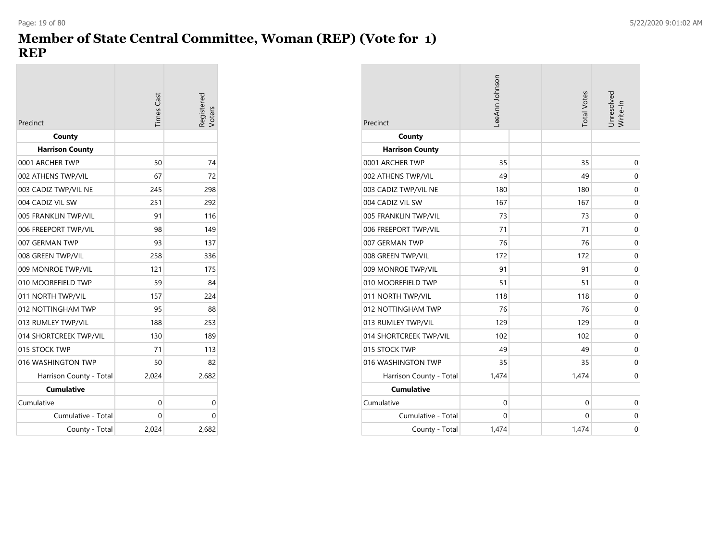## **Member of State Central Committee, Woman (REP) (Vote for 1) REP**

| Precinct                | <b>Times</b> Cast | Registered<br>oters |
|-------------------------|-------------------|---------------------|
| County                  |                   |                     |
| <b>Harrison County</b>  |                   |                     |
| 0001 ARCHER TWP         | 50                | 74                  |
| 002 ATHENS TWP/VIL      | 67                | 72                  |
| 003 CADIZ TWP/VIL NE    | 245               | 298                 |
| 004 CADIZ VIL SW        | 251               | 292                 |
| 005 FRANKLIN TWP/VIL    | 91                | 116                 |
| 006 FREEPORT TWP/VIL    | 98                | 149                 |
| 007 GERMAN TWP          | 93                | 137                 |
| 008 GREEN TWP/VIL       | 258               | 336                 |
| 009 MONROE TWP/VIL      | 121               | 175                 |
| 010 MOOREFIELD TWP      | 59                | 84                  |
| 011 NORTH TWP/VIL       | 157               | 224                 |
| 012 NOTTINGHAM TWP      | 95                | 88                  |
| 013 RUMLEY TWP/VIL      | 188               | 253                 |
| 014 SHORTCREEK TWP/VIL  | 130               | 189                 |
| 015 STOCK TWP           | 71                | 113                 |
| 016 WASHINGTON TWP      | 50                | 82                  |
| Harrison County - Total | 2,024             | 2,682               |
| <b>Cumulative</b>       |                   |                     |
| Cumulative              | 0                 | 0                   |
| Cumulative - Total      | 0                 | 0                   |
| County - Total          | 2,024             | 2,682               |

| Precinct                | LeeAnn Johnson | <b>Total Votes</b> | Unresolved<br>Write-In |
|-------------------------|----------------|--------------------|------------------------|
| County                  |                |                    |                        |
| <b>Harrison County</b>  |                |                    |                        |
| 0001 ARCHER TWP         | 35             | 35                 | 0                      |
| 002 ATHENS TWP/VIL      | 49             | 49                 | 0                      |
| 003 CADIZ TWP/VIL NE    | 180            | 180                | 0                      |
| 004 CADIZ VIL SW        | 167            | 167                | $\mathbf 0$            |
| 005 FRANKLIN TWP/VIL    | 73             | 73                 | $\mathbf 0$            |
| 006 FREEPORT TWP/VIL    | 71             | 71                 | 0                      |
| 007 GERMAN TWP          | 76             | 76                 | $\mathbf 0$            |
| 008 GREEN TWP/VIL       | 172            | 172                | $\mathbf 0$            |
| 009 MONROE TWP/VIL      | 91             | 91                 | $\mathbf 0$            |
| 010 MOOREFIELD TWP      | 51             | 51                 | $\mathbf 0$            |
| 011 NORTH TWP/VIL       | 118            | 118                | $\mathbf 0$            |
| 012 NOTTINGHAM TWP      | 76             | 76                 | $\mathbf 0$            |
| 013 RUMLEY TWP/VIL      | 129            | 129                | $\mathbf 0$            |
| 014 SHORTCREEK TWP/VIL  | 102            | 102                | $\mathbf 0$            |
| 015 STOCK TWP           | 49             | 49                 | $\mathbf 0$            |
| 016 WASHINGTON TWP      | 35             | 35                 | $\mathbf 0$            |
| Harrison County - Total | 1,474          | 1,474              | $\mathbf 0$            |
| <b>Cumulative</b>       |                |                    |                        |
| Cumulative              | $\mathbf{0}$   | $\mathbf 0$        | 0                      |
| Cumulative - Total      | $\mathbf{0}$   | 0                  | $\mathbf 0$            |
| County - Total          | 1,474          | 1,474              | $\mathbf 0$            |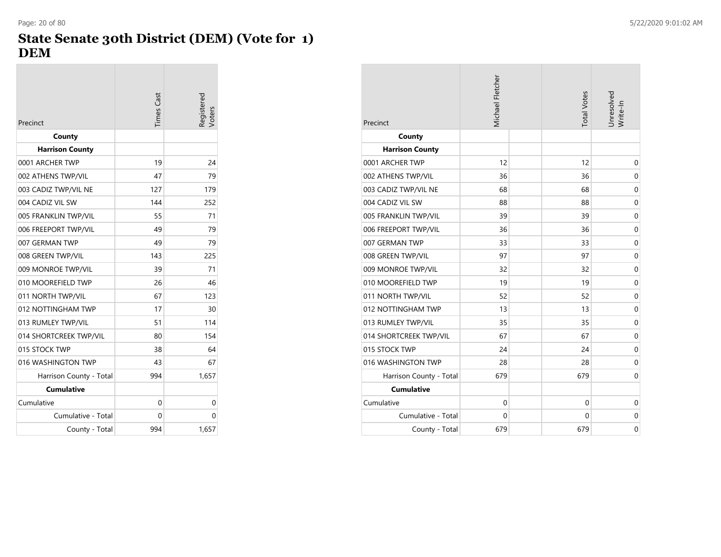### **State Senate 30th District (DEM) (Vote for 1) DEM**

| Precinct                | <b>Times</b> Cast | Registered<br>Voters |
|-------------------------|-------------------|----------------------|
| County                  |                   |                      |
| <b>Harrison County</b>  |                   |                      |
| 0001 ARCHER TWP         | 19                | 24                   |
| 002 ATHENS TWP/VIL      | 47                | 79                   |
| 003 CADIZ TWP/VIL NE    | 127               | 179                  |
| 004 CADIZ VIL SW        | 144               | 252                  |
| 005 FRANKLIN TWP/VIL    | 55                | 71                   |
| 006 FREEPORT TWP/VIL    | 49                | 79                   |
| 007 GERMAN TWP          | 49                | 79                   |
| 008 GREEN TWP/VIL       | 143               | 225                  |
| 009 MONROE TWP/VIL      | 39                | 71                   |
| 010 MOOREFIELD TWP      | 26                | 46                   |
| 011 NORTH TWP/VIL       | 67                | 123                  |
| 012 NOTTINGHAM TWP      | 17                | 30                   |
| 013 RUMLEY TWP/VIL      | 51                | 114                  |
| 014 SHORTCREEK TWP/VIL  | 80                | 154                  |
| 015 STOCK TWP           | 38                | 64                   |
| 016 WASHINGTON TWP      | 43                | 67                   |
| Harrison County - Total | 994               | 1,657                |
| <b>Cumulative</b>       |                   |                      |
| Cumulative              | 0                 | 0                    |
| Cumulative - Total      | 0                 | 0                    |
| County - Total          | 994               | 1,657                |

| Precinct                | Michael Fletcher | <b>Total Votes</b> | Unresolved<br>Write-In |
|-------------------------|------------------|--------------------|------------------------|
| County                  |                  |                    |                        |
| <b>Harrison County</b>  |                  |                    |                        |
| 0001 ARCHER TWP         | 12               | 12                 | 0                      |
| 002 ATHENS TWP/VIL      | 36               | 36                 | 0                      |
| 003 CADIZ TWP/VIL NE    | 68               | 68                 | 0                      |
| 004 CADIZ VIL SW        | 88               | 88                 | $\mathbf 0$            |
| 005 FRANKLIN TWP/VIL    | 39               | 39                 | 0                      |
| 006 FREEPORT TWP/VIL    | 36               | 36                 | 0                      |
| 007 GERMAN TWP          | 33               | 33                 | $\mathbf 0$            |
| 008 GREEN TWP/VIL       | 97               | 97                 | 0                      |
| 009 MONROE TWP/VIL      | 32               | 32                 | 0                      |
| 010 MOOREFIELD TWP      | 19               | 19                 | $\mathbf 0$            |
| 011 NORTH TWP/VIL       | 52               | 52                 | 0                      |
| 012 NOTTINGHAM TWP      | 13               | 13                 | 0                      |
| 013 RUMLEY TWP/VIL      | 35               | 35                 | 0                      |
| 014 SHORTCREEK TWP/VIL  | 67               | 67                 | 0                      |
| 015 STOCK TWP           | 24               | 24                 | 0                      |
| 016 WASHINGTON TWP      | 28               | 28                 | $\mathbf 0$            |
| Harrison County - Total | 679              | 679                | 0                      |
| <b>Cumulative</b>       |                  |                    |                        |
| Cumulative              | $\mathbf 0$      | 0                  | 0                      |
| Cumulative - Total      | $\mathbf 0$      | 0                  | 0                      |
| County - Total          | 679              | 679                | $\mathbf 0$            |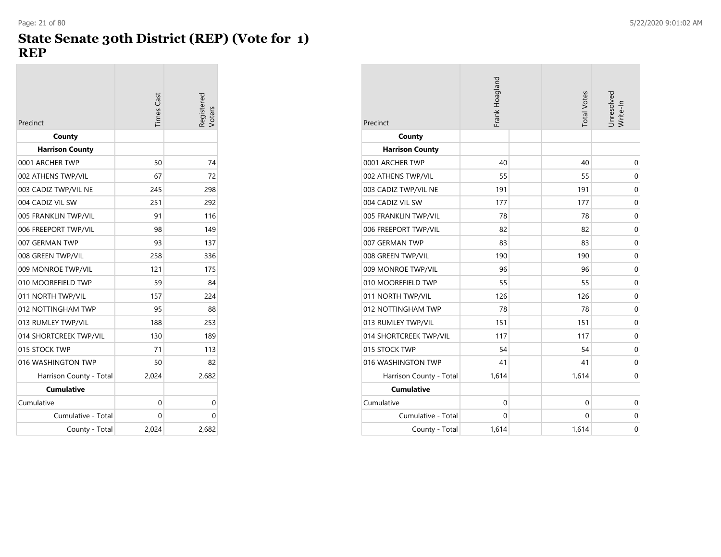## **State Senate 30th District (REP) (Vote for 1) REP**

| Precinct                | <b>Times</b> Cast | Registered<br>Voters |
|-------------------------|-------------------|----------------------|
| County                  |                   |                      |
| <b>Harrison County</b>  |                   |                      |
| 0001 ARCHER TWP         | 50                | 74                   |
| 002 ATHENS TWP/VIL      | 67                | 72                   |
| 003 CADIZ TWP/VIL NE    | 245               | 298                  |
| 004 CADIZ VIL SW        | 251               | 292                  |
| 005 FRANKLIN TWP/VIL    | 91                | 116                  |
| 006 FREEPORT TWP/VIL    | 98                | 149                  |
| 007 GERMAN TWP          | 93                | 137                  |
| 008 GREEN TWP/VIL       | 258               | 336                  |
| 009 MONROE TWP/VIL      | 121               | 175                  |
| 010 MOOREFIELD TWP      | 59                | 84                   |
| 011 NORTH TWP/VIL       | 157               | 224                  |
| 012 NOTTINGHAM TWP      | 95                | 88                   |
| 013 RUMLEY TWP/VIL      | 188               | 253                  |
| 014 SHORTCREEK TWP/VIL  | 130               | 189                  |
| 015 STOCK TWP           | 71                | 113                  |
| 016 WASHINGTON TWP      | 50                | 82                   |
| Harrison County - Total | 2,024             | 2,682                |
| <b>Cumulative</b>       |                   |                      |
| Cumulative              | 0                 | 0                    |
| Cumulative - Total      | 0                 | 0                    |
| County - Total          | 2.024             | 2,682                |

| Precinct                | Frank Hoagland | <b>Total Votes</b> | Unresolved<br>Write-In |
|-------------------------|----------------|--------------------|------------------------|
| County                  |                |                    |                        |
| <b>Harrison County</b>  |                |                    |                        |
| 0001 ARCHER TWP         | 40             | 40                 | 0                      |
| 002 ATHENS TWP/VIL      | 55             | 55                 | 0                      |
| 003 CADIZ TWP/VIL NE    | 191            | 191                | $\overline{0}$         |
| 004 CADIZ VIL SW        | 177            | 177                | $\mathbf 0$            |
| 005 FRANKLIN TWP/VIL    | 78             | 78                 | $\mathbf 0$            |
| 006 FREEPORT TWP/VIL    | 82             | 82                 | 0                      |
| 007 GERMAN TWP          | 83             | 83                 | $\mathbf 0$            |
| 008 GREEN TWP/VIL       | 190            | 190                | $\mathbf 0$            |
| 009 MONROE TWP/VIL      | 96             | 96                 | 0                      |
| 010 MOOREFIELD TWP      | 55             | 55                 | $\mathbf 0$            |
| 011 NORTH TWP/VIL       | 126            | 126                | $\mathbf 0$            |
| 012 NOTTINGHAM TWP      | 78             | 78                 | $\boldsymbol{0}$       |
| 013 RUMLEY TWP/VIL      | 151            | 151                | $\mathbf 0$            |
| 014 SHORTCREEK TWP/VIL  | 117            | 117                | $\mathbf 0$            |
| 015 STOCK TWP           | 54             | 54                 | $\mathbf 0$            |
| 016 WASHINGTON TWP      | 41             | 41                 | $\mathbf 0$            |
| Harrison County - Total | 1,614          | 1,614              | $\mathbf 0$            |
| <b>Cumulative</b>       |                |                    |                        |
| Cumulative              | $\mathbf 0$    | $\mathbf 0$        | $\mathbf 0$            |
| Cumulative - Total      | $\mathbf 0$    | 0                  | 0                      |
| County - Total          | 1,614          | 1,614              | $\mathbf 0$            |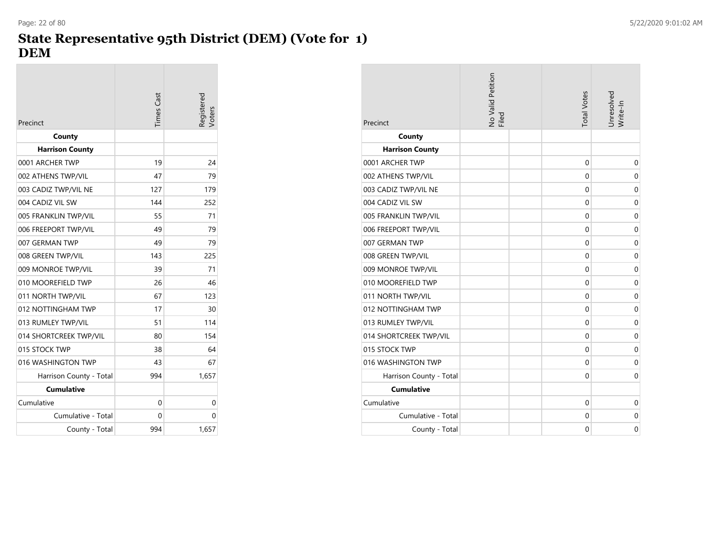# **State Representative 95th District (DEM) (Vote for 1) DEM**

| Precinct                | <b>Times</b> Cast | egistered<br>/oters |
|-------------------------|-------------------|---------------------|
| County                  |                   |                     |
| <b>Harrison County</b>  |                   |                     |
| 0001 ARCHER TWP         | 19                | 24                  |
| 002 ATHENS TWP/VIL      | 47                | 79                  |
| 003 CADIZ TWP/VIL NE    | 127               | 179                 |
| 004 CADIZ VIL SW        | 144               | 252                 |
| 005 FRANKLIN TWP/VIL    | 55                | 71                  |
| 006 FREEPORT TWP/VIL    | 49                | 79                  |
| 007 GERMAN TWP          | 49                | 79                  |
| 008 GREEN TWP/VIL       | 143               | 225                 |
| 009 MONROE TWP/VIL      | 39                | 71                  |
| 010 MOOREFIELD TWP      | 26                | 46                  |
| 011 NORTH TWP/VIL       | 67                | 123                 |
| 012 NOTTINGHAM TWP      | 17                | 30                  |
| 013 RUMLEY TWP/VIL      | 51                | 114                 |
| 014 SHORTCREEK TWP/VIL  | 80                | 154                 |
| 015 STOCK TWP           | 38                | 64                  |
| 016 WASHINGTON TWP      | 43                | 67                  |
| Harrison County - Total | 994               | 1,657               |
| <b>Cumulative</b>       |                   |                     |
| Cumulative              | 0                 | 0                   |
| Cumulative - Total      | 0                 | 0                   |
| County - Total          | 994               | 1,657               |

| Precinct                | No Valid Petition<br>Filed | <b>Total Votes</b> | Jnresolved<br>Write-In |
|-------------------------|----------------------------|--------------------|------------------------|
| County                  |                            |                    |                        |
| <b>Harrison County</b>  |                            |                    |                        |
| 0001 ARCHER TWP         |                            | 0                  | $\mathbf 0$            |
| 002 ATHENS TWP/VIL      |                            | 0                  | $\mathbf 0$            |
| 003 CADIZ TWP/VIL NE    |                            | $\Omega$           | $\mathbf 0$            |
| 004 CADIZ VIL SW        |                            | 0                  | 0                      |
| 005 FRANKLIN TWP/VIL    |                            | 0                  | $\mathbf 0$            |
| 006 FREEPORT TWP/VIL    |                            | 0                  | $\mathbf 0$            |
| 007 GERMAN TWP          |                            | $\mathbf 0$        | $\mathbf 0$            |
| 008 GREEN TWP/VIL       |                            | 0                  | 0                      |
| 009 MONROE TWP/VIL      |                            | 0                  | $\mathbf 0$            |
| 010 MOOREFIELD TWP      |                            | $\mathbf 0$        | $\mathbf 0$            |
| 011 NORTH TWP/VIL       |                            | 0                  | $\mathbf 0$            |
| 012 NOTTINGHAM TWP      |                            | $\Omega$           | $\mathbf 0$            |
| 013 RUMLEY TWP/VIL      |                            | 0                  | 0                      |
| 014 SHORTCREEK TWP/VIL  |                            | 0                  | $\mathbf 0$            |
| 015 STOCK TWP           |                            | $\mathbf 0$        | $\mathbf 0$            |
| 016 WASHINGTON TWP      |                            | $\mathbf 0$        | $\mathbf 0$            |
| Harrison County - Total |                            | 0                  | $\mathbf 0$            |
| <b>Cumulative</b>       |                            |                    |                        |
| Cumulative              |                            | $\mathbf 0$        | $\mathbf 0$            |
| Cumulative - Total      |                            | 0                  | $\mathbf 0$            |
| County - Total          |                            | $\Omega$           | $\Omega$               |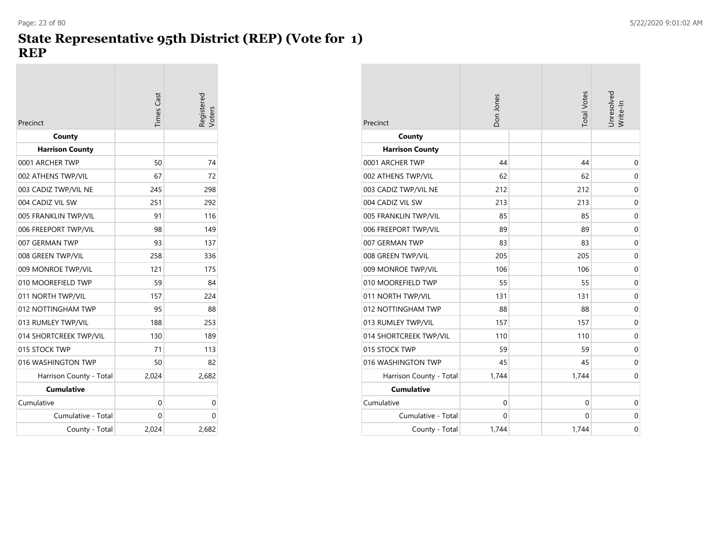#### **State Representative 95th District (REP) (Vote for 1) REP**

|                         | <b>Times</b> Cast | Registered<br>/oters |
|-------------------------|-------------------|----------------------|
| Precinct                |                   |                      |
| County                  |                   |                      |
| <b>Harrison County</b>  |                   |                      |
| 0001 ARCHER TWP         | 50                | 74                   |
| 002 ATHENS TWP/VIL      | 67                | 72                   |
| 003 CADIZ TWP/VIL NE    | 245               | 298                  |
| 004 CADIZ VIL SW        | 251               | 292                  |
| 005 FRANKLIN TWP/VIL    | 91                | 116                  |
| 006 FREEPORT TWP/VIL    | 98                | 149                  |
| 007 GERMAN TWP          | 93                | 137                  |
| 008 GREEN TWP/VIL       | 258               | 336                  |
| 009 MONROE TWP/VIL      | 121               | 175                  |
| 010 MOOREFIELD TWP      | 59                | 84                   |
| 011 NORTH TWP/VIL       | 157               | 224                  |
| 012 NOTTINGHAM TWP      | 95                | 88                   |
| 013 RUMLEY TWP/VIL      | 188               | 253                  |
| 014 SHORTCREEK TWP/VIL  | 130               | 189                  |
| 015 STOCK TWP           | 71                | 113                  |
| 016 WASHINGTON TWP      | 50                | 82                   |
| Harrison County - Total | 2,024             | 2,682                |
| <b>Cumulative</b>       |                   |                      |
| Cumulative              | 0                 | 0                    |
| Cumulative - Total      | 0                 | 0                    |
| County - Total          | 2,024             | 2,682                |

| Precinct                | Don Jones   | <b>Total Votes</b> | Unresolved<br>Write-In |
|-------------------------|-------------|--------------------|------------------------|
| County                  |             |                    |                        |
| <b>Harrison County</b>  |             |                    |                        |
| 0001 ARCHER TWP         | 44          | 44                 | 0                      |
| 002 ATHENS TWP/VIL      | 62          | 62                 | 0                      |
| 003 CADIZ TWP/VIL NE    | 212         | 212                | 0                      |
| 004 CADIZ VIL SW        | 213         | 213                | $\mathbf 0$            |
| 005 FRANKLIN TWP/VIL    | 85          | 85                 | $\mathbf 0$            |
| 006 FREEPORT TWP/VIL    | 89          | 89                 | $\mathbf 0$            |
| 007 GERMAN TWP          | 83          | 83                 | $\mathbf 0$            |
| 008 GREEN TWP/VIL       | 205         | 205                | 0                      |
| 009 MONROE TWP/VIL      | 106         | 106                | $\mathbf 0$            |
| 010 MOOREFIELD TWP      | 55          | 55                 | $\mathbf 0$            |
| 011 NORTH TWP/VIL       | 131         | 131                | $\mathbf 0$            |
| 012 NOTTINGHAM TWP      | 88          | 88                 | $\mathbf 0$            |
| 013 RUMLEY TWP/VIL      | 157         | 157                | $\mathbf 0$            |
| 014 SHORTCREEK TWP/VIL  | 110         | 110                | $\mathbf 0$            |
| 015 STOCK TWP           | 59          | 59                 | $\mathbf 0$            |
| 016 WASHINGTON TWP      | 45          | 45                 | 0                      |
| Harrison County - Total | 1,744       | 1,744              | $\mathbf 0$            |
| <b>Cumulative</b>       |             |                    |                        |
| Cumulative              | $\mathbf 0$ | 0                  | 0                      |
| Cumulative - Total      | 0           | 0                  | 0                      |
| County - Total          | 1,744       | 1,744              | 0                      |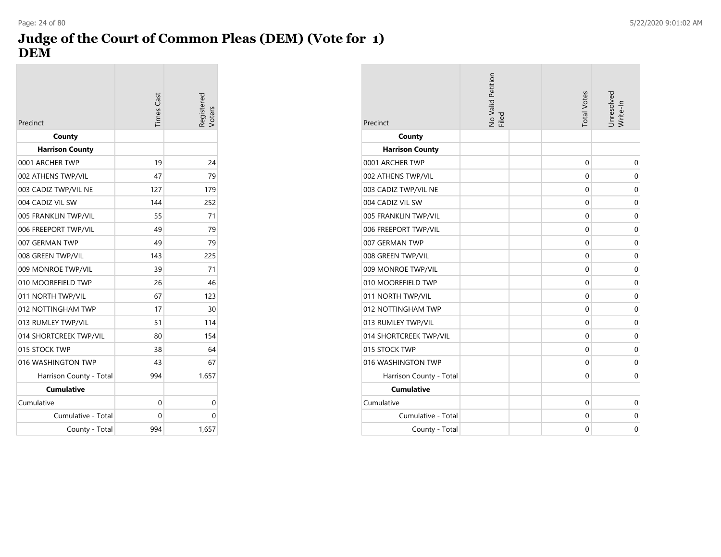#### **Judge of the Court of Common Pleas (DEM) (Vote for 1) DEM** Page: 24 of 80 5/22/2020 9:01:02 AM

| Precinct                | <b>Times Cast</b> | legistered<br>/oters |
|-------------------------|-------------------|----------------------|
| County                  |                   |                      |
| <b>Harrison County</b>  |                   |                      |
| 0001 ARCHER TWP         | 19                | 24                   |
| 002 ATHENS TWP/VIL      | 47                | 79                   |
| 003 CADIZ TWP/VIL NE    | 127               | 179                  |
| 004 CADIZ VIL SW        | 144               | 252                  |
| 005 FRANKLIN TWP/VIL    | 55                | 71                   |
| 006 FREEPORT TWP/VIL    | 49                | 79                   |
| 007 GERMAN TWP          | 49                | 79                   |
| 008 GREEN TWP/VIL       | 143               | 225                  |
| 009 MONROE TWP/VIL      | 39                | 71                   |
| 010 MOOREFIELD TWP      | 26                | 46                   |
| 011 NORTH TWP/VIL       | 67                | 123                  |
| 012 NOTTINGHAM TWP      | 17                | 30                   |
| 013 RUMLEY TWP/VIL      | 51                | 114                  |
| 014 SHORTCREEK TWP/VIL  | 80                | 154                  |
| 015 STOCK TWP           | 38                | 64                   |
| 016 WASHINGTON TWP      | 43                | 67                   |
| Harrison County - Total | 994               | 1,657                |
| <b>Cumulative</b>       |                   |                      |
| Cumulative              | 0                 | 0                    |
| Cumulative - Total      | 0                 | 0                    |
| County - Total          | 994               | 1,657                |

| Precinct                | No Valid Petition<br>Filed | <b>Total Votes</b> | Unresolved<br>Write-In |
|-------------------------|----------------------------|--------------------|------------------------|
| County                  |                            |                    |                        |
| <b>Harrison County</b>  |                            |                    |                        |
| 0001 ARCHER TWP         |                            | $\mathbf 0$        | 0                      |
| 002 ATHENS TWP/VIL      |                            | 0                  | 0                      |
| 003 CADIZ TWP/VIL NE    |                            | 0                  | $\mathbf 0$            |
| 004 CADIZ VIL SW        |                            | 0                  | 0                      |
| 005 FRANKLIN TWP/VIL    |                            | 0                  | $\mathbf 0$            |
| 006 FREEPORT TWP/VIL    |                            | $\Omega$           | $\mathbf 0$            |
| 007 GERMAN TWP          |                            | 0                  | 0                      |
| 008 GREEN TWP/VIL       |                            | 0                  | $\mathbf 0$            |
| 009 MONROE TWP/VIL      |                            | 0                  | $\mathbf 0$            |
| 010 MOOREFIELD TWP      |                            | 0                  | $\mathbf 0$            |
| 011 NORTH TWP/VIL       |                            | 0                  | $\mathbf 0$            |
| 012 NOTTINGHAM TWP      |                            | $\mathbf 0$        | $\mathbf 0$            |
| 013 RUMLEY TWP/VIL      |                            | $\mathbf 0$        | 0                      |
| 014 SHORTCREEK TWP/VIL  |                            | 0                  | 0                      |
| 015 STOCK TWP           |                            | $\mathbf 0$        | $\mathbf 0$            |
| 016 WASHINGTON TWP      |                            | $\Omega$           | $\mathbf 0$            |
| Harrison County - Total |                            | 0                  | $\mathbf 0$            |
| <b>Cumulative</b>       |                            |                    |                        |
| Cumulative              |                            | 0                  | $\mathbf 0$            |
| Cumulative - Total      |                            | 0                  | $\mathbf 0$            |
| County - Total          |                            | $\Omega$           | $\Omega$               |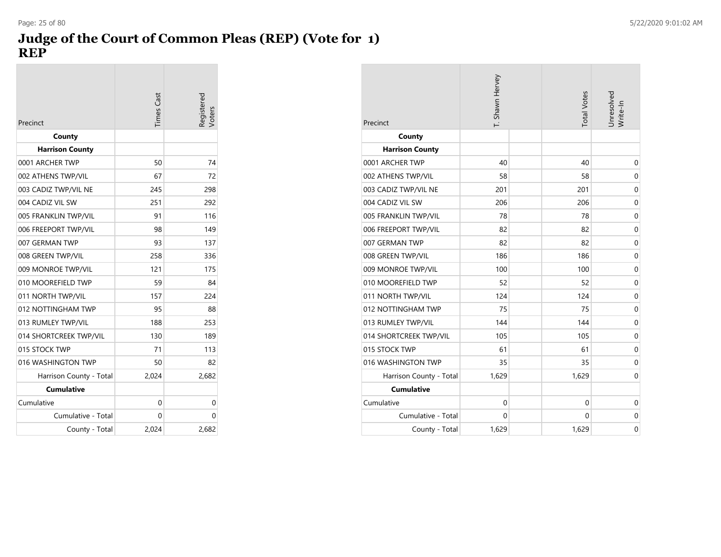#### **Judge of the Court of Common Pleas (REP) (Vote for 1) REP** Page: 25 of 80 5/22/2020 9:01:02 AM

| Precinct                | <b>Times</b> Cast | egistered<br>/oters |
|-------------------------|-------------------|---------------------|
| County                  |                   |                     |
| <b>Harrison County</b>  |                   |                     |
| 0001 ARCHER TWP         | 50                | 74                  |
| 002 ATHENS TWP/VIL      | 67                | 72                  |
| 003 CADIZ TWP/VIL NE    | 245               | 298                 |
| 004 CADIZ VIL SW        | 251               | 292                 |
| 005 FRANKLIN TWP/VIL    | 91                | 116                 |
| 006 FREEPORT TWP/VIL    | 98                | 149                 |
| 007 GERMAN TWP          | 93                | 137                 |
| 008 GREEN TWP/VIL       | 258               | 336                 |
| 009 MONROE TWP/VIL      | 121               | 175                 |
| 010 MOOREFIELD TWP      | 59                | 84                  |
| 011 NORTH TWP/VIL       | 157               | 224                 |
| 012 NOTTINGHAM TWP      | 95                | 88                  |
| 013 RUMLEY TWP/VIL      | 188               | 253                 |
| 014 SHORTCREEK TWP/VIL  | 130               | 189                 |
| 015 STOCK TWP           | 71                | 113                 |
| 016 WASHINGTON TWP      | 50                | 82                  |
| Harrison County - Total | 2,024             | 2,682               |
| <b>Cumulative</b>       |                   |                     |
| Cumulative              | 0                 | 0                   |
| Cumulative - Total      | 0                 | 0                   |
| County - Total          | 2,024             | 2,682               |

| Precinct                | T. Shawn Hervey | <b>Total Votes</b> | Unresolved<br>Write-In |
|-------------------------|-----------------|--------------------|------------------------|
| County                  |                 |                    |                        |
| <b>Harrison County</b>  |                 |                    |                        |
| 0001 ARCHER TWP         | 40              | 40                 | 0                      |
| 002 ATHENS TWP/VIL      | 58              | 58                 | $\mathbf 0$            |
| 003 CADIZ TWP/VIL NE    | 201             | 201                | $\mathbf 0$            |
| 004 CADIZ VIL SW        | 206             | 206                | $\mathbf 0$            |
| 005 FRANKLIN TWP/VIL    | 78              | 78                 | $\mathbf 0$            |
| 006 FREEPORT TWP/VIL    | 82              | 82                 | $\mathbf 0$            |
| 007 GERMAN TWP          | 82              | 82                 | $\mathbf 0$            |
| 008 GREEN TWP/VIL       | 186             | 186                | $\mathbf 0$            |
| 009 MONROE TWP/VIL      | 100             | 100                | $\mathbf 0$            |
| 010 MOOREFIELD TWP      | 52              | 52                 | $\mathbf 0$            |
| 011 NORTH TWP/VIL       | 124             | 124                | $\mathbf 0$            |
| 012 NOTTINGHAM TWP      | 75              | 75                 | $\mathbf 0$            |
| 013 RUMLEY TWP/VIL      | 144             | 144                | $\mathbf 0$            |
| 014 SHORTCREEK TWP/VIL  | 105             | 105                | $\mathbf 0$            |
| 015 STOCK TWP           | 61              | 61                 | $\mathbf 0$            |
| 016 WASHINGTON TWP      | 35              | 35                 | $\mathbf 0$            |
| Harrison County - Total | 1,629           | 1,629              | $\mathbf 0$            |
| <b>Cumulative</b>       |                 |                    |                        |
| Cumulative              | 0               | 0                  | $\mathbf 0$            |
| Cumulative - Total      | 0               | 0                  | $\mathbf 0$            |
| County - Total          | 1,629           | 1,629              | $\mathbf 0$            |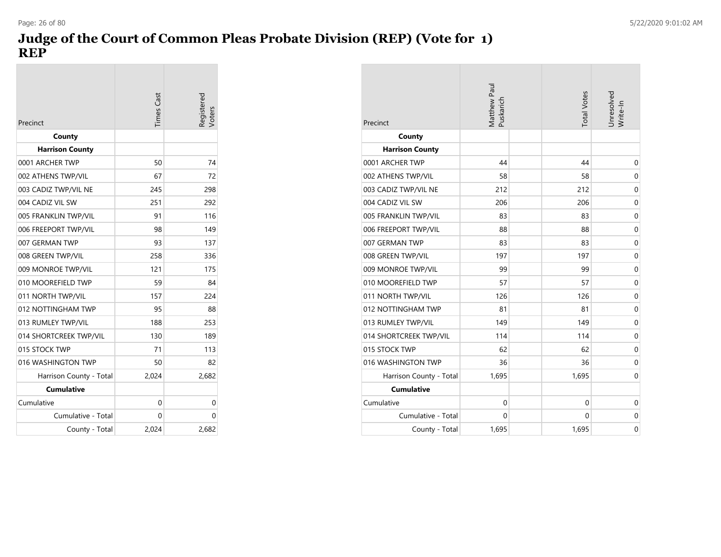## **Judge of the Court of Common Pleas Probate Division (REP) (Vote for 1) REP**

| Precinct                | <b>Times</b> Cast | egistered |
|-------------------------|-------------------|-----------|
| County                  |                   |           |
| <b>Harrison County</b>  |                   |           |
| 0001 ARCHER TWP         | 50                | 74        |
| 002 ATHENS TWP/VIL      | 67                | 72        |
| 003 CADIZ TWP/VIL NE    | 245               | 298       |
| 004 CADIZ VIL SW        | 251               | 292       |
| 005 FRANKLIN TWP/VIL    | 91                | 116       |
| 006 FREEPORT TWP/VIL    | 98                | 149       |
| 007 GERMAN TWP          | 93                | 137       |
| 008 GREEN TWP/VIL       | 258               | 336       |
| 009 MONROE TWP/VIL      | 121               | 175       |
| 010 MOOREFIELD TWP      | 59                | 84        |
| 011 NORTH TWP/VIL       | 157               | 224       |
| 012 NOTTINGHAM TWP      | 95                | 88        |
| 013 RUMLEY TWP/VIL      | 188               | 253       |
| 014 SHORTCREEK TWP/VIL  | 130               | 189       |
| 015 STOCK TWP           | 71                | 113       |
| 016 WASHINGTON TWP      | 50                | 82        |
| Harrison County - Total | 2,024             | 2,682     |
| <b>Cumulative</b>       |                   |           |
| Cumulative              | 0                 | 0         |
| Cumulative - Total      | 0                 | 0         |
| County - Total          | 2.024             | 2,682     |

| Precinct                | Matthew Paul<br>Puskarich | <b>Total Votes</b> | Unresolved<br>Write-In |
|-------------------------|---------------------------|--------------------|------------------------|
| County                  |                           |                    |                        |
| <b>Harrison County</b>  |                           |                    |                        |
| 0001 ARCHER TWP         | 44                        | 44                 | $\mathbf 0$            |
| 002 ATHENS TWP/VIL      | 58                        | 58                 | $\mathbf 0$            |
| 003 CADIZ TWP/VIL NE    | 212                       | 212                | $\mathbf 0$            |
| 004 CADIZ VIL SW        | 206                       | 206                | $\mathbf 0$            |
| 005 FRANKLIN TWP/VIL    | 83                        | 83                 | $\mathbf 0$            |
| 006 FREEPORT TWP/VIL    | 88                        | 88                 | $\mathbf 0$            |
| 007 GERMAN TWP          | 83                        | 83                 | $\mathbf 0$            |
| 008 GREEN TWP/VIL       | 197                       | 197                | 0                      |
| 009 MONROE TWP/VIL      | 99                        | 99                 | $\mathbf 0$            |
| 010 MOOREFIELD TWP      | 57                        | 57                 | $\mathbf 0$            |
| 011 NORTH TWP/VIL       | 126                       | 126                | $\mathbf 0$            |
| 012 NOTTINGHAM TWP      | 81                        | 81                 | $\mathbf 0$            |
| 013 RUMLEY TWP/VIL      | 149                       | 149                | $\mathbf 0$            |
| 014 SHORTCREEK TWP/VIL  | 114                       | 114                | 0                      |
| 015 STOCK TWP           | 62                        | 62                 | $\mathbf 0$            |
| 016 WASHINGTON TWP      | 36                        | 36                 | $\mathbf 0$            |
| Harrison County - Total | 1,695                     | 1,695              | $\mathbf 0$            |
| <b>Cumulative</b>       |                           |                    |                        |
| Cumulative              | $\mathbf 0$               | $\mathbf 0$        | $\mathbf 0$            |
| Cumulative - Total      | $\Omega$                  | 0                  | $\mathbf 0$            |
| County - Total          | 1,695                     | 1,695              | $\mathbf 0$            |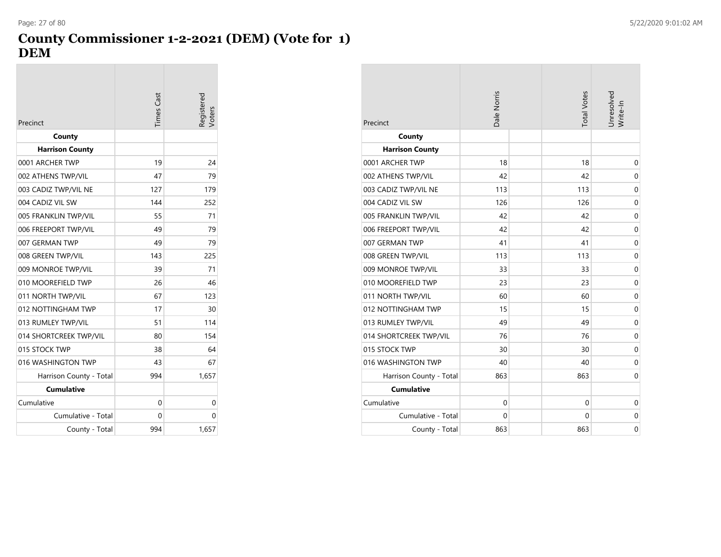## **County Commissioner 1-2-2021 (DEM) (Vote for 1) DEM**

| Precinct                | <b>Times</b> Cast | Registered<br>/oters |
|-------------------------|-------------------|----------------------|
| County                  |                   |                      |
| <b>Harrison County</b>  |                   |                      |
| 0001 ARCHER TWP         | 19                | 24                   |
| 002 ATHENS TWP/VIL      | 47                | 79                   |
| 003 CADIZ TWP/VIL NE    | 127               | 179                  |
| 004 CADIZ VIL SW        | 144               | 252                  |
| 005 FRANKLIN TWP/VIL    | 55                | 71                   |
| 006 FREEPORT TWP/VIL    | 49                | 79                   |
| 007 GERMAN TWP          | 49                | 79                   |
| 008 GREEN TWP/VIL       | 143               | 225                  |
| 009 MONROE TWP/VIL      | 39                | 71                   |
| 010 MOOREFIELD TWP      | 26                | 46                   |
| 011 NORTH TWP/VIL       | 67                | 123                  |
| 012 NOTTINGHAM TWP      | 17                | 30                   |
| 013 RUMLEY TWP/VIL      | 51                | 114                  |
| 014 SHORTCREEK TWP/VIL  | 80                | 154                  |
| 015 STOCK TWP           | 38                | 64                   |
| 016 WASHINGTON TWP      | 43                | 67                   |
| Harrison County - Total | 994               | 1,657                |
| <b>Cumulative</b>       |                   |                      |
| Cumulative              | 0                 | 0                    |
| Cumulative - Total      | 0                 | 0                    |
| County - Total          | 994               | 1,657                |

| Precinct                | Dale Norris | <b>Total Votes</b> | Unresolved<br>Write-In |
|-------------------------|-------------|--------------------|------------------------|
| County                  |             |                    |                        |
| <b>Harrison County</b>  |             |                    |                        |
| 0001 ARCHER TWP         | 18          | 18                 | 0                      |
| 002 ATHENS TWP/VIL      | 42          | 42                 | 0                      |
| 003 CADIZ TWP/VIL NE    | 113         | 113                | $\mathbf 0$            |
| 004 CADIZ VIL SW        | 126         | 126                | $\mathbf 0$            |
| 005 FRANKLIN TWP/VIL    | 42          | 42                 | $\mathbf 0$            |
| 006 FREEPORT TWP/VIL    | 42          | 42                 | 0                      |
| 007 GERMAN TWP          | 41          | 41                 | 0                      |
| 008 GREEN TWP/VIL       | 113         | 113                | $\mathbf 0$            |
| 009 MONROE TWP/VIL      | 33          | 33                 | $\mathbf 0$            |
| 010 MOOREFIELD TWP      | 23          | 23                 | 0                      |
| 011 NORTH TWP/VIL       | 60          | 60                 | 0                      |
| 012 NOTTINGHAM TWP      | 15          | 15                 | 0                      |
| 013 RUMLEY TWP/VIL      | 49          | 49                 | 0                      |
| 014 SHORTCREEK TWP/VIL  | 76          | 76                 | 0                      |
| 015 STOCK TWP           | 30          | 30                 | 0                      |
| 016 WASHINGTON TWP      | 40          | 40                 | $\mathbf 0$            |
| Harrison County - Total | 863         | 863                | $\mathbf 0$            |
| <b>Cumulative</b>       |             |                    |                        |
| Cumulative              | $\mathbf 0$ | $\mathbf 0$        | 0                      |
| Cumulative - Total      | $\mathbf 0$ | $\Omega$           | 0                      |
| County - Total          | 863         | 863                | 0                      |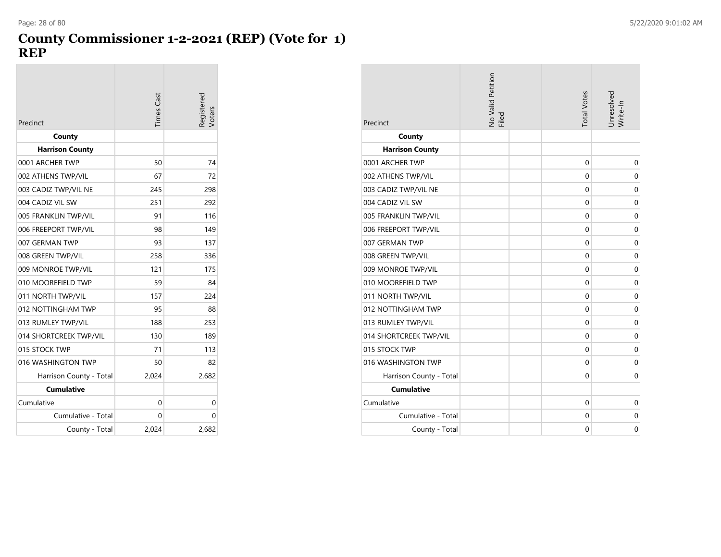#### **County Commissioner 1-2-2021 (REP) (Vote for 1) REP**

|                         | Times Cast | Registered |
|-------------------------|------------|------------|
| Precinct                |            | Voters     |
| County                  |            |            |
| <b>Harrison County</b>  |            |            |
| 0001 ARCHER TWP         | 50         | 74         |
| 002 ATHENS TWP/VIL      | 67         | 72         |
| 003 CADIZ TWP/VIL NE    | 245        | 298        |
| 004 CADIZ VIL SW        | 251        | 292        |
| 005 FRANKLIN TWP/VIL    | 91         | 116        |
| 006 FREEPORT TWP/VIL    | 98         | 149        |
| 007 GERMAN TWP          | 93         | 137        |
| 008 GREEN TWP/VIL       | 258        | 336        |
| 009 MONROE TWP/VIL      | 121        | 175        |
| 010 MOOREFIELD TWP      | 59         | 84         |
| 011 NORTH TWP/VIL       | 157        | 224        |
| 012 NOTTINGHAM TWP      | 95         | 88         |
| 013 RUMLEY TWP/VIL      | 188        | 253        |
| 014 SHORTCREEK TWP/VIL  | 130        | 189        |
| 015 STOCK TWP           | 71         | 113        |
| 016 WASHINGTON TWP      | 50         | 82         |
| Harrison County - Total | 2,024      | 2,682      |
| <b>Cumulative</b>       |            |            |
| Cumulative              | 0          | 0          |
| Cumulative - Total      | 0          | 0          |
| County - Total          | 2,024      | 2,682      |

| Precinct                | No Valid Petition<br>Filed | <b>Total Votes</b> | Jnresolved<br>Write-In |
|-------------------------|----------------------------|--------------------|------------------------|
| County                  |                            |                    |                        |
| <b>Harrison County</b>  |                            |                    |                        |
| 0001 ARCHER TWP         |                            | 0                  | $\mathbf 0$            |
| 002 ATHENS TWP/VIL      |                            | 0                  | $\mathbf 0$            |
| 003 CADIZ TWP/VIL NE    |                            | 0                  | $\mathbf 0$            |
| 004 CADIZ VIL SW        |                            | $\mathbf 0$        | $\mathbf 0$            |
| 005 FRANKLIN TWP/VIL    |                            | 0                  | $\mathbf 0$            |
| 006 FREEPORT TWP/VIL    |                            | 0                  | $\mathbf 0$            |
| 007 GERMAN TWP          |                            | 0                  | $\mathbf 0$            |
| 008 GREEN TWP/VIL       |                            | 0                  | $\mathbf 0$            |
| 009 MONROE TWP/VIL      |                            | 0                  | $\mathbf 0$            |
| 010 MOOREFIELD TWP      |                            | $\mathbf 0$        | $\mathbf 0$            |
| 011 NORTH TWP/VIL       |                            | 0                  | $\mathbf 0$            |
| 012 NOTTINGHAM TWP      |                            | 0                  | $\mathbf 0$            |
| 013 RUMLEY TWP/VIL      |                            | $\mathbf 0$        | $\mathbf 0$            |
| 014 SHORTCREEK TWP/VIL  |                            | 0                  | $\mathbf 0$            |
| 015 STOCK TWP           |                            | 0                  | $\mathbf 0$            |
| 016 WASHINGTON TWP      |                            | 0                  | $\mathbf 0$            |
| Harrison County - Total |                            | $\mathbf 0$        | $\mathbf 0$            |
| <b>Cumulative</b>       |                            |                    |                        |
| Cumulative              |                            | $\mathbf 0$        | $\mathbf 0$            |
| Cumulative - Total      |                            | 0                  | $\mathbf 0$            |
| County - Total          |                            | 0                  | $\mathbf 0$            |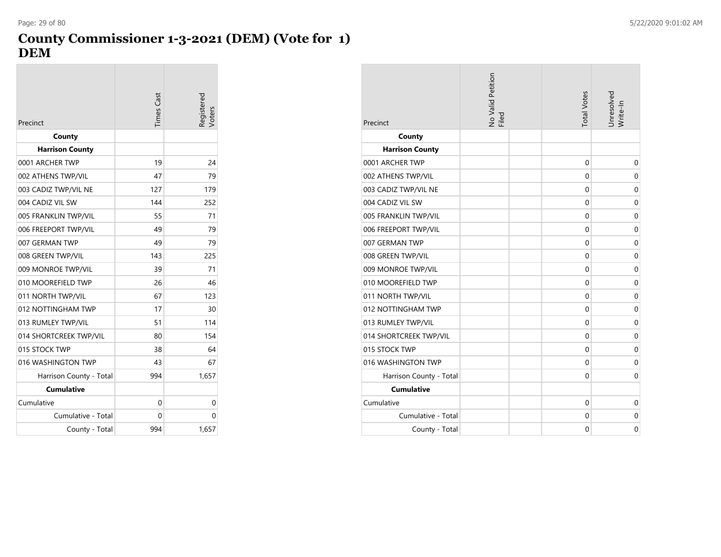# **County Commissioner 1-3-2021 (DEM) (Vote for 1) DEM**

| Precinct                | <b>Times Cast</b> | egistered<br>/oters |
|-------------------------|-------------------|---------------------|
| County                  |                   |                     |
| <b>Harrison County</b>  |                   |                     |
| 0001 ARCHER TWP         | 19                | 24                  |
| 002 ATHENS TWP/VIL      | 47                | 79                  |
| 003 CADIZ TWP/VIL NE    | 127               | 179                 |
| 004 CADIZ VIL SW        | 144               | 252                 |
| 005 FRANKLIN TWP/VIL    | 55                | 71                  |
| 006 FREEPORT TWP/VIL    | 49                | 79                  |
| 007 GERMAN TWP          | 49                | 79                  |
| 008 GREEN TWP/VIL       | 143               | 225                 |
| 009 MONROE TWP/VIL      | 39                | 71                  |
| 010 MOOREFIELD TWP      | 26                | 46                  |
| 011 NORTH TWP/VIL       | 67                | 123                 |
| 012 NOTTINGHAM TWP      | 17                | 30                  |
| 013 RUMLEY TWP/VIL      | 51                | 114                 |
| 014 SHORTCREEK TWP/VIL  | 80                | 154                 |
| 015 STOCK TWP           | 38                | 64                  |
| 016 WASHINGTON TWP      | 43                | 67                  |
| Harrison County - Total | 994               | 1,657               |
| <b>Cumulative</b>       |                   |                     |
| Cumulative              | 0                 | 0                   |
| Cumulative - Total      | 0                 | 0                   |
| County - Total          | 994               | 1,657               |

| Precinct                | No Valid Petition<br>Filed | <b>Total Votes</b> | Unresolved<br>Write-In |
|-------------------------|----------------------------|--------------------|------------------------|
| County                  |                            |                    |                        |
| <b>Harrison County</b>  |                            |                    |                        |
| 0001 ARCHER TWP         |                            | 0                  | 0                      |
| 002 ATHENS TWP/VIL      |                            | 0                  | 0                      |
| 003 CADIZ TWP/VIL NE    |                            | 0                  | $\mathbf 0$            |
| 004 CADIZ VIL SW        |                            | 0                  | $\mathbf 0$            |
| 005 FRANKLIN TWP/VIL    |                            | 0                  | 0                      |
| 006 FREEPORT TWP/VIL    |                            | 0                  | $\Omega$               |
| 007 GERMAN TWP          |                            | 0                  | $\mathbf 0$            |
| 008 GREEN TWP/VIL       |                            | 0                  | 0                      |
| 009 MONROE TWP/VIL      |                            | 0                  | $\Omega$               |
| 010 MOOREFIELD TWP      |                            | 0                  | $\mathbf 0$            |
| 011 NORTH TWP/VIL       |                            | 0                  | 0                      |
| 012 NOTTINGHAM TWP      |                            | 0                  | $\Omega$               |
| 013 RUMLEY TWP/VIL      |                            | 0                  | 0                      |
| 014 SHORTCREEK TWP/VIL  |                            | 0                  | 0                      |
| 015 STOCK TWP           |                            | 0                  | $\mathbf 0$            |
| 016 WASHINGTON TWP      |                            | 0                  | 0                      |
| Harrison County - Total |                            | 0                  | 0                      |
| <b>Cumulative</b>       |                            |                    |                        |
| Cumulative              |                            | 0                  | $\mathbf 0$            |
| Cumulative - Total      |                            | 0                  | 0                      |
| County - Total          |                            | 0                  | $\Omega$               |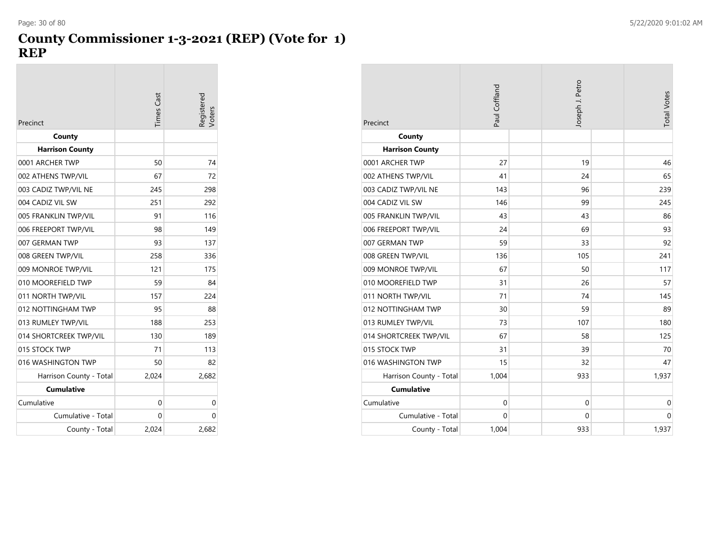#### **County Commissioner 1-3-2021 (REP) (Vote for 1) REP**

| Precinct                | Times Cast | Registered<br>Voters |
|-------------------------|------------|----------------------|
| County                  |            |                      |
| <b>Harrison County</b>  |            |                      |
| 0001 ARCHER TWP         | 50         | 74                   |
| 002 ATHENS TWP/VIL      | 67         | 72                   |
| 003 CADIZ TWP/VIL NE    | 245        | 298                  |
| 004 CADIZ VIL SW        | 251        | 292                  |
| 005 FRANKLIN TWP/VIL    | 91         | 116                  |
| 006 FREEPORT TWP/VIL    | 98         | 149                  |
| 007 GERMAN TWP          | 93         | 137                  |
| 008 GREEN TWP/VIL       | 258        | 336                  |
| 009 MONROE TWP/VIL      | 121        | 175                  |
| 010 MOOREFIELD TWP      | 59         | 84                   |
| 011 NORTH TWP/VIL       | 157        | 224                  |
| 012 NOTTINGHAM TWP      | 95         | 88                   |
| 013 RUMLEY TWP/VIL      | 188        | 253                  |
| 014 SHORTCREEK TWP/VIL  | 130        | 189                  |
| 015 STOCK TWP           | 71         | 113                  |
| 016 WASHINGTON TWP      | 50         | 82                   |
| Harrison County - Total | 2,024      | 2,682                |
| <b>Cumulative</b>       |            |                      |
| Cumulative              | 0          | 0                    |
| Cumulative - Total      | 0          | 0                    |
| County - Total          | 2.024      | 2,682                |

|                                           | Paul Coffland | Joseph J. Petro | <b>Total Votes</b> |
|-------------------------------------------|---------------|-----------------|--------------------|
| Precinct                                  |               |                 |                    |
| County                                    |               |                 |                    |
| <b>Harrison County</b><br>0001 ARCHER TWP | 27            | 19              | 46                 |
|                                           |               |                 |                    |
| 002 ATHENS TWP/VIL                        | 41            | 24              | 65                 |
| 003 CADIZ TWP/VIL NE                      | 143           | 96              | 239                |
| 004 CADIZ VIL SW                          | 146           | 99              | 245                |
| 005 FRANKLIN TWP/VIL                      | 43            | 43              | 86                 |
| 006 FREEPORT TWP/VIL                      | 24            | 69              | 93                 |
| 007 GERMAN TWP                            | 59            | 33              | 92                 |
| 008 GREEN TWP/VIL                         | 136           | 105             | 241                |
| 009 MONROE TWP/VIL                        | 67            | 50              | 117                |
| 010 MOOREFIELD TWP                        | 31            | 26              | 57                 |
| 011 NORTH TWP/VIL                         | 71            | 74              | 145                |
| 012 NOTTINGHAM TWP                        | 30            | 59              | 89                 |
| 013 RUMLEY TWP/VIL                        | 73            | 107             | 180                |
| 014 SHORTCREEK TWP/VIL                    | 67            | 58              | 125                |
| 015 STOCK TWP                             | 31            | 39              | 70                 |
| 016 WASHINGTON TWP                        | 15            | 32              | 47                 |
| Harrison County - Total                   | 1,004         | 933             | 1,937              |
| <b>Cumulative</b>                         |               |                 |                    |
| Cumulative                                | $\mathbf 0$   | $\mathbf 0$     | 0                  |
| Cumulative - Total                        | 0             | $\mathbf 0$     | $\mathbf 0$        |
| County - Total                            | 1,004         | 933             | 1,937              |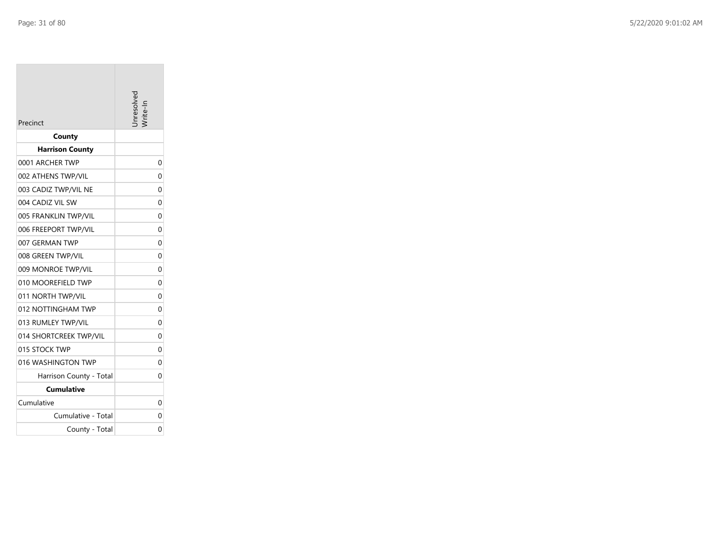|                         | inresolver     |
|-------------------------|----------------|
| Precinct                |                |
| County                  |                |
| <b>Harrison County</b>  |                |
| 0001 ARCHER TWP         | 0              |
| 002 ATHENS TWP/VIL      | $\Omega$       |
| 003 CADIZ TWP/VIL NE    | 0              |
| 004 CADIZ VIL SW        | 0              |
| 005 FRANKLIN TWP/VIL    | 0              |
| 006 FREEPORT TWP/VIL    | 0              |
| 007 GERMAN TWP          | 0              |
| 008 GREEN TWP/VIL       | 0              |
| 009 MONROE TWP/VIL      | 0              |
| 010 MOOREFIELD TWP      | $\overline{0}$ |
| 011 NORTH TWP/VIL       | 0              |
| 012 NOTTINGHAM TWP      | 0              |
| 013 RUMLEY TWP/VIL      | $\overline{0}$ |
| 014 SHORTCREEK TWP/VIL  | 0              |
| 015 STOCK TWP           | 0              |
| 016 WASHINGTON TWP      | 0              |
| Harrison County - Total | 0              |
| <b>Cumulative</b>       |                |
| Cumulative              | 0              |
| Cumulative - Total      | 0              |
| County - Total          | 0              |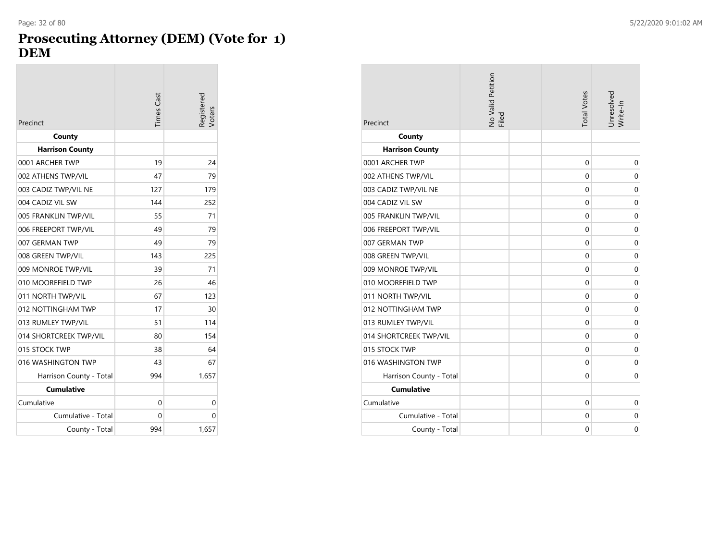## **Prosecuting Attorney (DEM) (Vote for 1) DEM**

| Precinct                | <b>Times</b> Cast | Registered<br>Voters |
|-------------------------|-------------------|----------------------|
| County                  |                   |                      |
| <b>Harrison County</b>  |                   |                      |
| 0001 ARCHER TWP         | 19                | 24                   |
| 002 ATHENS TWP/VIL      | 47                | 79                   |
| 003 CADIZ TWP/VIL NE    | 127               | 179                  |
| 004 CADIZ VIL SW        | 144               | 252                  |
| 005 FRANKLIN TWP/VIL    | 55                | 71                   |
| 006 FREEPORT TWP/VIL    | 49                | 79                   |
| 007 GERMAN TWP          | 49                | 79                   |
| 008 GREEN TWP/VIL       | 143               | 225                  |
| 009 MONROE TWP/VIL      | 39                | 71                   |
| 010 MOOREFIELD TWP      | 26                | 46                   |
| 011 NORTH TWP/VIL       | 67                | 123                  |
| 012 NOTTINGHAM TWP      | 17                | 30                   |
| 013 RUMLEY TWP/VIL      | 51                | 114                  |
| 014 SHORTCREEK TWP/VIL  | 80                | 154                  |
| 015 STOCK TWP           | 38                | 64                   |
| 016 WASHINGTON TWP      | 43                | 67                   |
| Harrison County - Total | 994               | 1,657                |
| <b>Cumulative</b>       |                   |                      |
| Cumulative              | 0                 | 0                    |
| Cumulative - Total      | 0                 | 0                    |
| County - Total          | 994               | 1,657                |

| Precinct                | No Valid Petition<br>Filed | <b>Total Votes</b> | Unresolved<br>Write-In |
|-------------------------|----------------------------|--------------------|------------------------|
| County                  |                            |                    |                        |
| <b>Harrison County</b>  |                            |                    |                        |
| 0001 ARCHER TWP         |                            | $\mathbf 0$        | $\mathbf 0$            |
| 002 ATHENS TWP/VIL      |                            | 0                  | 0                      |
| 003 CADIZ TWP/VIL NE    |                            | $\mathbf 0$        | 0                      |
| 004 CADIZ VIL SW        |                            | $\mathbf 0$        | $\mathbf 0$            |
| 005 FRANKLIN TWP/VIL    |                            | 0                  | 0                      |
| 006 FREEPORT TWP/VIL    |                            | $\mathbf 0$        | $\mathbf 0$            |
| 007 GERMAN TWP          |                            | 0                  | $\mathbf 0$            |
| 008 GREEN TWP/VIL       |                            | 0                  | 0                      |
| 009 MONROE TWP/VIL      |                            | $\mathbf 0$        | $\mathbf 0$            |
| 010 MOOREFIELD TWP      |                            | 0                  | $\mathbf 0$            |
| 011 NORTH TWP/VIL       |                            | 0                  | 0                      |
| 012 NOTTINGHAM TWP      |                            | $\Omega$           | $\mathbf 0$            |
| 013 RUMLEY TWP/VIL      |                            | $\mathbf 0$        | $\mathbf 0$            |
| 014 SHORTCREEK TWP/VIL  |                            | $\mathbf 0$        | 0                      |
| 015 STOCK TWP           |                            | $\mathbf 0$        | $\mathbf 0$            |
| 016 WASHINGTON TWP      |                            | $\mathbf 0$        | $\mathbf 0$            |
| Harrison County - Total |                            | 0                  | 0                      |
| <b>Cumulative</b>       |                            |                    |                        |
| Cumulative              |                            | $\mathbf 0$        | $\mathbf 0$            |
| Cumulative - Total      |                            | 0                  | 0                      |
| County - Total          |                            | 0                  | 0                      |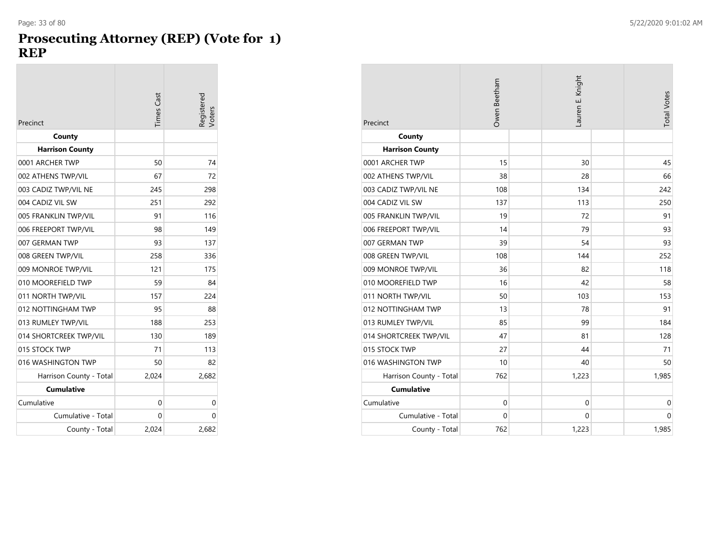#### **Prosecuting Attorney (REP) (Vote for 1) REP**

| Precinct                | <b>Times</b> Cast | Registered<br>Voters |
|-------------------------|-------------------|----------------------|
| County                  |                   |                      |
| <b>Harrison County</b>  |                   |                      |
| 0001 ARCHER TWP         | 50                | 74                   |
| 002 ATHENS TWP/VIL      | 67                | 72                   |
| 003 CADIZ TWP/VIL NE    | 245               | 298                  |
| 004 CADIZ VIL SW        | 251               | 292                  |
| 005 FRANKLIN TWP/VIL    | 91                | 116                  |
| 006 FREEPORT TWP/VIL    | 98                | 149                  |
| 007 GERMAN TWP          | 93                | 137                  |
| 008 GREEN TWP/VIL       | 258               | 336                  |
| 009 MONROE TWP/VIL      | 121               | 175                  |
| 010 MOOREFIELD TWP      | 59                | 84                   |
| 011 NORTH TWP/VIL       | 157               | 224                  |
| 012 NOTTINGHAM TWP      | 95                | 88                   |
| 013 RUMLEY TWP/VIL      | 188               | 253                  |
| 014 SHORTCREEK TWP/VIL  | 130               | 189                  |
| 015 STOCK TWP           | 71                | 113                  |
| 016 WASHINGTON TWP      | 50                | 82                   |
| Harrison County - Total | 2,024             | 2,682                |
| <b>Cumulative</b>       |                   |                      |
| Cumulative              | 0                 | 0                    |
| Cumulative - Total      | 0                 | 0                    |
| County - Total          | 2.024             | 2,682                |

| Precinct                | Owen Beetham | Lauren E. Knight | <b>Total Votes</b> |
|-------------------------|--------------|------------------|--------------------|
| County                  |              |                  |                    |
| <b>Harrison County</b>  |              |                  |                    |
| 0001 ARCHER TWP         | 15           | 30               | 45                 |
| 002 ATHENS TWP/VIL      | 38           | 28               | 66                 |
| 003 CADIZ TWP/VIL NE    | 108          | 134              | 242                |
| 004 CADIZ VIL SW        | 137          | 113              | 250                |
| 005 FRANKLIN TWP/VIL    | 19           | 72               | 91                 |
| 006 FREEPORT TWP/VIL    | 14           | 79               | 93                 |
| 007 GERMAN TWP          | 39           | 54               | 93                 |
| 008 GREEN TWP/VIL       | 108          | 144              | 252                |
| 009 MONROE TWP/VIL      | 36           | 82               | 118                |
| 010 MOOREFIELD TWP      | 16           | 42               | 58                 |
| 011 NORTH TWP/VIL       | 50           | 103              | 153                |
| 012 NOTTINGHAM TWP      | 13           | 78               | 91                 |
| 013 RUMLEY TWP/VIL      | 85           | 99               | 184                |
| 014 SHORTCREEK TWP/VIL  | 47           | 81               | 128                |
| 015 STOCK TWP           | 27           | 44               | 71                 |
| 016 WASHINGTON TWP      | 10           | 40               | 50                 |
| Harrison County - Total | 762          | 1,223            | 1,985              |
| <b>Cumulative</b>       |              |                  |                    |
| Cumulative              | $\mathbf 0$  | $\mathbf 0$      | $\mathbf 0$        |
| Cumulative - Total      | 0            | 0                | 0                  |
| County - Total          | 762          | 1,223            | 1,985              |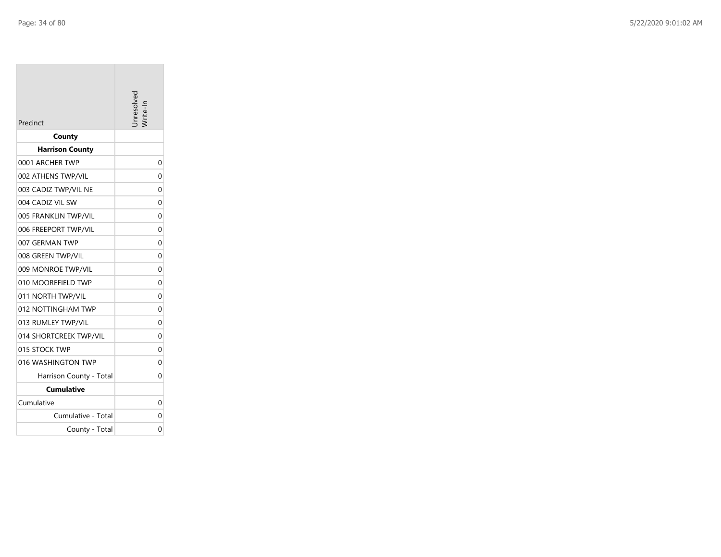|                         | hresolved |
|-------------------------|-----------|
| Precinct                |           |
| County                  |           |
| <b>Harrison County</b>  |           |
| 0001 ARCHER TWP         | 0         |
| 002 ATHENS TWP/VIL      | 0         |
| 003 CADIZ TWP/VIL NE    | 0         |
| 004 CADIZ VIL SW        | 0         |
| 005 FRANKLIN TWP/VIL    | 0         |
| 006 FREEPORT TWP/VIL    | 0         |
| 007 GERMAN TWP          | 0         |
| 008 GREEN TWP/VIL       | 0         |
| 009 MONROE TWP/VIL      | 0         |
| 010 MOOREFIELD TWP      | 0         |
| 011 NORTH TWP/VIL       | 0         |
| 012 NOTTINGHAM TWP      | 0         |
| 013 RUMLEY TWP/VIL      | 0         |
| 014 SHORTCREEK TWP/VIL  | 0         |
| 015 STOCK TWP           | 0         |
| 016 WASHINGTON TWP      | 0         |
| Harrison County - Total | 0         |
| Cumulative              |           |
| Cumulative              | 0         |
| Cumulative - Total      | 0         |
| County - Total          | 0         |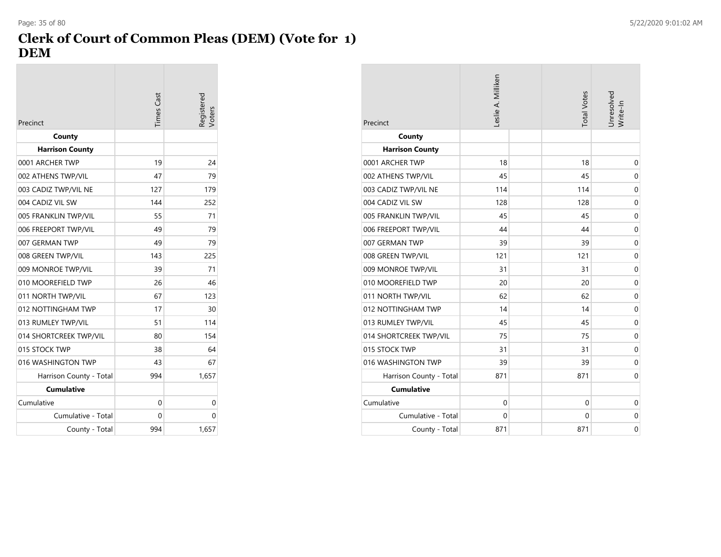# **Clerk of Court of Common Pleas (DEM) (Vote for 1) DEM**

| Precinct                | <b>Times</b> Cast | legistered<br>/oters |
|-------------------------|-------------------|----------------------|
| County                  |                   |                      |
| <b>Harrison County</b>  |                   |                      |
| 0001 ARCHER TWP         | 19                | 24                   |
| 002 ATHENS TWP/VIL      | 47                | 79                   |
| 003 CADIZ TWP/VIL NE    | 127               | 179                  |
| 004 CADIZ VIL SW        | 144               | 252                  |
| 005 FRANKLIN TWP/VIL    | 55                | 71                   |
| 006 FREEPORT TWP/VIL    | 49                | 79                   |
| 007 GERMAN TWP          | 49                | 79                   |
| 008 GREEN TWP/VIL       | 143               | 225                  |
| 009 MONROE TWP/VIL      | 39                | 71                   |
| 010 MOOREFIELD TWP      | 26                | 46                   |
| 011 NORTH TWP/VIL       | 67                | 123                  |
| 012 NOTTINGHAM TWP      | 17                | 30                   |
| 013 RUMLEY TWP/VIL      | 51                | 114                  |
| 014 SHORTCREEK TWP/VIL  | 80                | 154                  |
| 015 STOCK TWP           | 38                | 64                   |
| 016 WASHINGTON TWP      | 43                | 67                   |
| Harrison County - Total | 994               | 1,657                |
| <b>Cumulative</b>       |                   |                      |
| Cumulative              | 0                 | 0                    |
| Cumulative - Total      | 0                 | 0                    |
| County - Total          | 994               | 1,657                |

| Precinct                | Leslie A. Milliken | <b>Total Votes</b> | Unresolved<br>Write-In |
|-------------------------|--------------------|--------------------|------------------------|
| County                  |                    |                    |                        |
| <b>Harrison County</b>  |                    |                    |                        |
| 0001 ARCHER TWP         | 18                 | 18                 | $\mathbf 0$            |
| 002 ATHENS TWP/VIL      | 45                 | 45                 | $\mathbf 0$            |
| 003 CADIZ TWP/VIL NE    | 114                | 114                | $\mathbf 0$            |
| 004 CADIZ VIL SW        | 128                | 128                | $\mathbf 0$            |
| 005 FRANKLIN TWP/VIL    | 45                 | 45                 | $\mathbf 0$            |
| 006 FREEPORT TWP/VIL    | 44                 | 44                 | $\mathbf 0$            |
| 007 GERMAN TWP          | 39                 | 39                 | $\mathbf 0$            |
| 008 GREEN TWP/VIL       | 121                | 121                | $\mathbf 0$            |
| 009 MONROE TWP/VIL      | 31                 | 31                 | $\mathbf 0$            |
| 010 MOOREFIELD TWP      | 20                 | 20                 | $\mathbf 0$            |
| 011 NORTH TWP/VIL       | 62                 | 62                 | $\mathbf 0$            |
| 012 NOTTINGHAM TWP      | 14                 | 14                 | $\mathbf 0$            |
| 013 RUMLEY TWP/VIL      | 45                 | 45                 | $\mathbf 0$            |
| 014 SHORTCREEK TWP/VIL  | 75                 | 75                 | $\mathbf 0$            |
| 015 STOCK TWP           | 31                 | 31                 | $\mathbf 0$            |
| 016 WASHINGTON TWP      | 39                 | 39                 | $\mathbf 0$            |
| Harrison County - Total | 871                | 871                | $\mathbf 0$            |
| <b>Cumulative</b>       |                    |                    |                        |
| Cumulative              | $\mathbf 0$        | 0                  | $\mathbf 0$            |
| Cumulative - Total      | $\Omega$           | 0                  | $\mathbf 0$            |
| County - Total          | 871                | 871                | $\mathbf 0$            |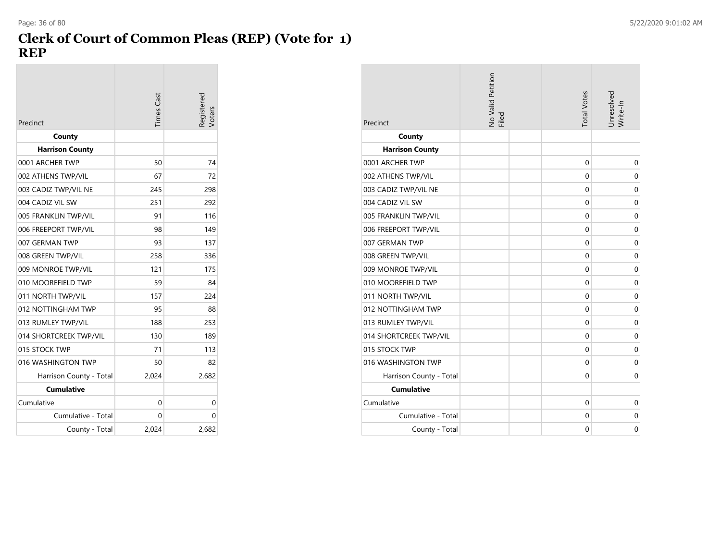#### **Clerk of Court of Common Pleas (REP) (Vote for 1) REP** Page: 36 of 80 5/22/2020 9:01:02 AM

| Precinct                | <b>Times Cast</b> | legistered<br>/oters |
|-------------------------|-------------------|----------------------|
| County                  |                   |                      |
| <b>Harrison County</b>  |                   |                      |
| 0001 ARCHER TWP         | 50                | 74                   |
| 002 ATHENS TWP/VIL      | 67                | 72                   |
| 003 CADIZ TWP/VIL NE    | 245               | 298                  |
| 004 CADIZ VIL SW        | 251               | 292                  |
| 005 FRANKLIN TWP/VIL    | 91                | 116                  |
| 006 FREEPORT TWP/VIL    | 98                | 149                  |
| 007 GERMAN TWP          | 93                | 137                  |
| 008 GREEN TWP/VIL       | 258               | 336                  |
| 009 MONROE TWP/VIL      | 121               | 175                  |
| 010 MOOREFIELD TWP      | 59                | 84                   |
| 011 NORTH TWP/VIL       | 157               | 224                  |
| 012 NOTTINGHAM TWP      | 95                | 88                   |
| 013 RUMLEY TWP/VIL      | 188               | 253                  |
| 014 SHORTCREEK TWP/VIL  | 130               | 189                  |
| 015 STOCK TWP           | 71                | 113                  |
| 016 WASHINGTON TWP      | 50                | 82                   |
| Harrison County - Total | 2,024             | 2,682                |
| <b>Cumulative</b>       |                   |                      |
| Cumulative              | 0                 | 0                    |
| Cumulative - Total      | 0                 | 0                    |
| County - Total          | 2,024             | 2,682                |

| Precinct                | No Valid Petition<br>Filed | <b>Total Votes</b> | Unresolved<br>Write-In |
|-------------------------|----------------------------|--------------------|------------------------|
| County                  |                            |                    |                        |
| <b>Harrison County</b>  |                            |                    |                        |
| 0001 ARCHER TWP         |                            | $\mathbf 0$        | $\mathbf 0$            |
| 002 ATHENS TWP/VIL      |                            | 0                  | $\mathbf 0$            |
| 003 CADIZ TWP/VIL NE    |                            | 0                  | $\mathbf 0$            |
| 004 CADIZ VIL SW        |                            | 0                  | $\mathbf 0$            |
| 005 FRANKLIN TWP/VIL    |                            | 0                  | $\mathbf 0$            |
| 006 FREEPORT TWP/VIL    |                            | 0                  | $\mathbf 0$            |
| 007 GERMAN TWP          |                            | 0                  | $\mathbf 0$            |
| 008 GREEN TWP/VIL       |                            | 0                  | $\mathbf 0$            |
| 009 MONROE TWP/VIL      |                            | 0                  | $\mathbf 0$            |
| 010 MOOREFIELD TWP      |                            | 0                  | $\mathbf 0$            |
| 011 NORTH TWP/VIL       |                            | 0                  | $\mathbf 0$            |
| 012 NOTTINGHAM TWP      |                            | 0                  | $\mathbf 0$            |
| 013 RUMLEY TWP/VIL      |                            | 0                  | $\mathbf 0$            |
| 014 SHORTCREEK TWP/VIL  |                            | 0                  | $\mathbf 0$            |
| 015 STOCK TWP           |                            | 0                  | $\mathbf 0$            |
| 016 WASHINGTON TWP      |                            | 0                  | $\mathbf 0$            |
| Harrison County - Total |                            | 0                  | $\mathbf 0$            |
| <b>Cumulative</b>       |                            |                    |                        |
| Cumulative              |                            | 0                  | $\mathbf 0$            |
| Cumulative - Total      |                            | 0                  | $\mathbf 0$            |
| County - Total          |                            | 0                  | $\mathbf 0$            |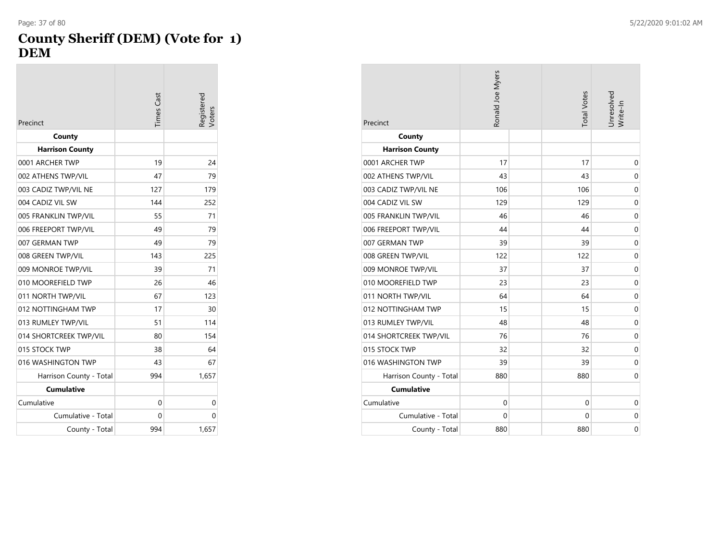#### **County Sheriff (DEM) (Vote for 1) DEM**

| Precinct                | <b>Times</b> Cast | egistered<br><b>Voters</b> |
|-------------------------|-------------------|----------------------------|
| County                  |                   |                            |
| <b>Harrison County</b>  |                   |                            |
| 0001 ARCHER TWP         | 19                | 24                         |
| 002 ATHENS TWP/VIL      | 47                | 79                         |
| 003 CADIZ TWP/VIL NE    | 127               | 179                        |
| 004 CADIZ VIL SW        | 144               | 252                        |
| 005 FRANKLIN TWP/VIL    | 55                | 71                         |
| 006 FREEPORT TWP/VIL    | 49                | 79                         |
| 007 GERMAN TWP          | 49                | 79                         |
| 008 GREEN TWP/VIL       | 143               | 225                        |
| 009 MONROE TWP/VIL      | 39                | 71                         |
| 010 MOOREFIELD TWP      | 26                | 46                         |
| 011 NORTH TWP/VIL       | 67                | 123                        |
| 012 NOTTINGHAM TWP      | 17                | 30                         |
| 013 RUMLEY TWP/VIL      | 51                | 114                        |
| 014 SHORTCREEK TWP/VIL  | 80                | 154                        |
| 015 STOCK TWP           | 38                | 64                         |
| 016 WASHINGTON TWP      | 43                | 67                         |
| Harrison County - Total | 994               | 1,657                      |
| <b>Cumulative</b>       |                   |                            |
| Cumulative              | 0                 | 0                          |
| Cumulative - Total      | 0                 | 0                          |
| County - Total          | 994               | 1,657                      |

| Precinct                | Ronald Joe Myers | <b>Total Votes</b> | Unresolved<br>Write-In |
|-------------------------|------------------|--------------------|------------------------|
| County                  |                  |                    |                        |
| <b>Harrison County</b>  |                  |                    |                        |
| 0001 ARCHER TWP         | 17               | 17                 | $\mathbf 0$            |
| 002 ATHENS TWP/VIL      | 43               | 43                 | 0                      |
| 003 CADIZ TWP/VIL NE    | 106              | 106                | $\mathbf 0$            |
| 004 CADIZ VIL SW        | 129              | 129                | $\mathbf 0$            |
| 005 FRANKLIN TWP/VIL    | 46               | 46                 | $\mathbf 0$            |
| 006 FREEPORT TWP/VIL    | 44               | 44                 | $\mathbf 0$            |
| 007 GERMAN TWP          | 39               | 39                 | $\mathbf 0$            |
| 008 GREEN TWP/VIL       | 122              | 122                | $\mathbf 0$            |
| 009 MONROE TWP/VIL      | 37               | 37                 | $\mathbf 0$            |
| 010 MOOREFIELD TWP      | 23               | 23                 | $\mathbf 0$            |
| 011 NORTH TWP/VIL       | 64               | 64                 | 0                      |
| 012 NOTTINGHAM TWP      | 15               | 15                 | $\mathbf 0$            |
| 013 RUMLEY TWP/VIL      | 48               | 48                 | $\mathbf 0$            |
| 014 SHORTCREEK TWP/VIL  | 76               | 76                 | 0                      |
| 015 STOCK TWP           | 32               | 32                 | $\mathbf 0$            |
| 016 WASHINGTON TWP      | 39               | 39                 | $\mathbf 0$            |
| Harrison County - Total | 880              | 880                | $\mathbf 0$            |
| <b>Cumulative</b>       |                  |                    |                        |
| Cumulative              | $\mathbf 0$      | $\mathbf 0$        | $\mathbf 0$            |
| Cumulative - Total      | 0                | 0                  | $\mathbf 0$            |
| County - Total          | 880              | 880                | $\mathbf 0$            |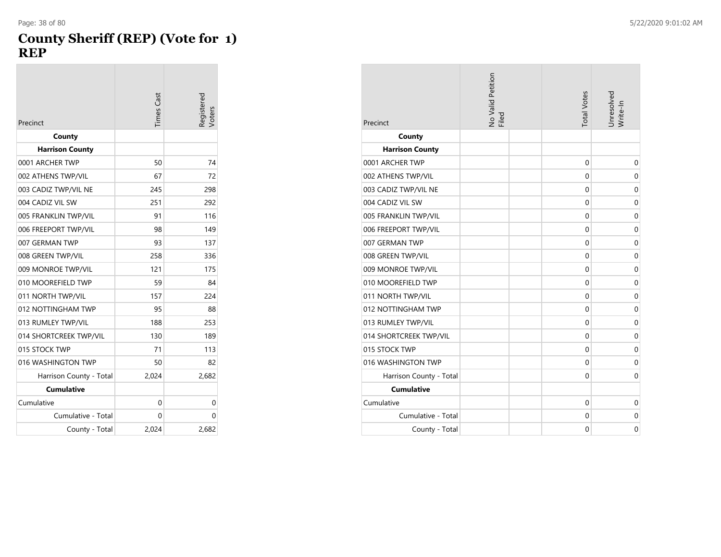#### **County Sheriff (REP) (Vote for 1) REP**

| Precinct                | <b>Times</b> Cast | legistered<br><b>Voters</b> |
|-------------------------|-------------------|-----------------------------|
| County                  |                   |                             |
| <b>Harrison County</b>  |                   |                             |
| 0001 ARCHER TWP         | 50                | 74                          |
| 002 ATHENS TWP/VIL      | 67                | 72                          |
| 003 CADIZ TWP/VIL NE    | 245               | 298                         |
| 004 CADIZ VIL SW        | 251               | 292                         |
| 005 FRANKLIN TWP/VIL    | 91                | 116                         |
| 006 FREEPORT TWP/VIL    | 98                | 149                         |
| 007 GERMAN TWP          | 93                | 137                         |
| 008 GREEN TWP/VIL       | 258               | 336                         |
| 009 MONROE TWP/VIL      | 121               | 175                         |
| 010 MOOREFIELD TWP      | 59                | 84                          |
| 011 NORTH TWP/VIL       | 157               | 224                         |
| 012 NOTTINGHAM TWP      | 95                | 88                          |
| 013 RUMLEY TWP/VIL      | 188               | 253                         |
| 014 SHORTCREEK TWP/VIL  | 130               | 189                         |
| 015 STOCK TWP           | 71                | 113                         |
| 016 WASHINGTON TWP      | 50                | 82                          |
| Harrison County - Total | 2,024             | 2,682                       |
| <b>Cumulative</b>       |                   |                             |
| Cumulative              | 0                 | 0                           |
| Cumulative - Total      | 0                 | 0                           |
| County - Total          | 2,024             | 2,682                       |

| Precinct                | No Valid Petition<br>Filed | <b>Total Votes</b> | Unresolved<br>Write-In |
|-------------------------|----------------------------|--------------------|------------------------|
| County                  |                            |                    |                        |
| <b>Harrison County</b>  |                            |                    |                        |
| 0001 ARCHER TWP         |                            | 0                  | $\mathbf 0$            |
| 002 ATHENS TWP/VIL      |                            | 0                  | 0                      |
| 003 CADIZ TWP/VIL NE    |                            | 0                  | $\mathbf 0$            |
| 004 CADIZ VIL SW        |                            | 0                  | $\mathbf 0$            |
| 005 FRANKLIN TWP/VIL    |                            | 0                  | $\mathbf 0$            |
| 006 FREEPORT TWP/VIL    |                            | 0                  | $\mathbf 0$            |
| 007 GERMAN TWP          |                            | $\mathbf{0}$       | $\mathbf 0$            |
| 008 GREEN TWP/VIL       |                            | 0                  | $\mathbf 0$            |
| 009 MONROE TWP/VIL      |                            | $\mathbf 0$        | $\mathbf 0$            |
| 010 MOOREFIELD TWP      |                            | 0                  | $\mathbf 0$            |
| 011 NORTH TWP/VIL       |                            | $\mathbf 0$        | $\mathbf 0$            |
| 012 NOTTINGHAM TWP      |                            | 0                  | $\mathbf 0$            |
| 013 RUMLEY TWP/VIL      |                            | 0                  | $\mathbf 0$            |
| 014 SHORTCREEK TWP/VIL  |                            | 0                  | $\mathbf 0$            |
| 015 STOCK TWP           |                            | 0                  | $\mathbf 0$            |
| 016 WASHINGTON TWP      |                            | $\mathbf 0$        | $\mathbf 0$            |
| Harrison County - Total |                            | 0                  | $\mathbf 0$            |
| <b>Cumulative</b>       |                            |                    |                        |
| Cumulative              |                            | 0                  | 0                      |
| Cumulative - Total      |                            | 0                  | $\mathbf 0$            |
| County - Total          |                            | 0                  | $\mathbf 0$            |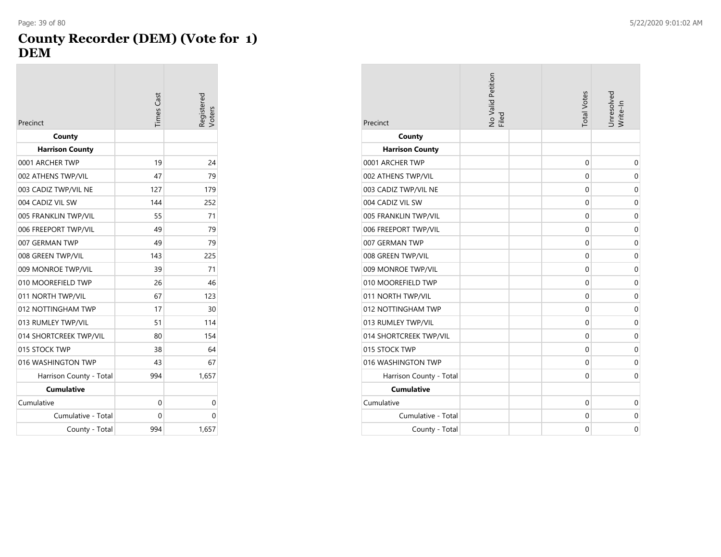#### **County Recorder (DEM) (Vote for 1) DEM**

| Precinct                | <b>Times</b> Cast | egistered<br>Voters |
|-------------------------|-------------------|---------------------|
| County                  |                   |                     |
| <b>Harrison County</b>  |                   |                     |
| 0001 ARCHER TWP         | 19                | 24                  |
| 002 ATHENS TWP/VIL      | 47                | 79                  |
| 003 CADIZ TWP/VIL NE    | 127               | 179                 |
| 004 CADIZ VIL SW        | 144               | 252                 |
| 005 FRANKLIN TWP/VIL    | 55                | 71                  |
| 006 FREEPORT TWP/VIL    | 49                | 79                  |
| 007 GERMAN TWP          | 49                | 79                  |
| 008 GREEN TWP/VIL       | 143               | 225                 |
| 009 MONROE TWP/VIL      | 39                | 71                  |
| 010 MOOREFIELD TWP      | 26                | 46                  |
| 011 NORTH TWP/VIL       | 67                | 123                 |
| 012 NOTTINGHAM TWP      | 17                | 30                  |
| 013 RUMLEY TWP/VIL      | 51                | 114                 |
| 014 SHORTCREEK TWP/VIL  | 80                | 154                 |
| 015 STOCK TWP           | 38                | 64                  |
| 016 WASHINGTON TWP      | 43                | 67                  |
| Harrison County - Total | 994               | 1,657               |
| <b>Cumulative</b>       |                   |                     |
| Cumulative              | 0                 | 0                   |
| Cumulative - Total      | 0                 | 0                   |
| County - Total          | 994               | 1,657               |

| Precinct                | No Valid Petition<br>Filed | <b>Total Votes</b> | Unresolved<br>Write-In |
|-------------------------|----------------------------|--------------------|------------------------|
| County                  |                            |                    |                        |
| <b>Harrison County</b>  |                            |                    |                        |
| 0001 ARCHER TWP         |                            | 0                  | 0                      |
| 002 ATHENS TWP/VIL      |                            | 0                  | 0                      |
| 003 CADIZ TWP/VIL NE    |                            | $\mathbf 0$        | $\mathbf 0$            |
| 004 CADIZ VIL SW        |                            | 0                  | $\mathbf 0$            |
| 005 FRANKLIN TWP/VIL    |                            | 0                  | $\mathbf 0$            |
| 006 FREEPORT TWP/VIL    |                            | $\mathbf 0$        | $\mathbf 0$            |
| 007 GERMAN TWP          |                            | $\mathbf 0$        | $\mathbf 0$            |
| 008 GREEN TWP/VIL       |                            | 0                  | $\mathbf 0$            |
| 009 MONROE TWP/VIL      |                            | 0                  | $\mathbf 0$            |
| 010 MOOREFIELD TWP      |                            | 0                  | $\mathbf 0$            |
| 011 NORTH TWP/VIL       |                            | 0                  | $\mathbf 0$            |
| 012 NOTTINGHAM TWP      |                            | 0                  | $\mathbf 0$            |
| 013 RUMLEY TWP/VIL      |                            | 0                  | $\mathbf 0$            |
| 014 SHORTCREEK TWP/VIL  |                            | 0                  | $\mathbf 0$            |
| 015 STOCK TWP           |                            | 0                  | $\mathbf 0$            |
| 016 WASHINGTON TWP      |                            | 0                  | $\mathbf 0$            |
| Harrison County - Total |                            | 0                  | $\mathbf 0$            |
| <b>Cumulative</b>       |                            |                    |                        |
| Cumulative              |                            | $\Omega$           | $\mathbf 0$            |
| Cumulative - Total      |                            | 0                  | $\mathbf 0$            |
| County - Total          |                            | 0                  | 0                      |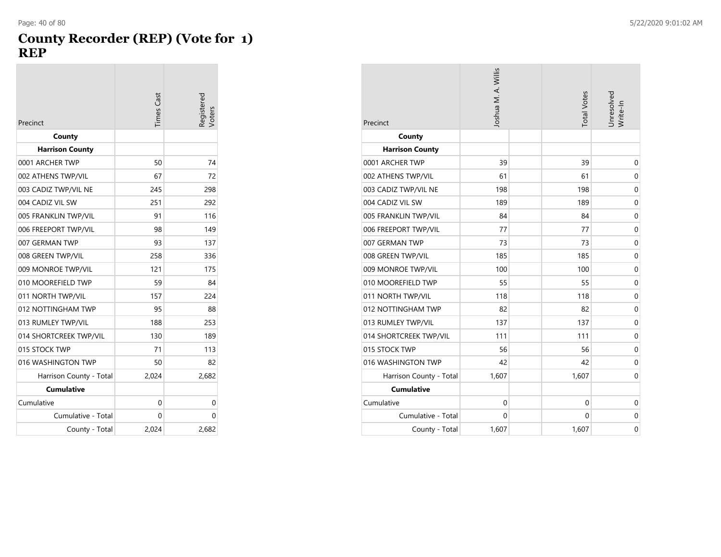#### **County Recorder (REP) (Vote for 1) REP**

| Precinct                | <b>Times</b> Cast | Registered<br>/oters |
|-------------------------|-------------------|----------------------|
| County                  |                   |                      |
| <b>Harrison County</b>  |                   |                      |
| 0001 ARCHER TWP         | 50                | 74                   |
| 002 ATHENS TWP/VIL      | 67                | 72                   |
| 003 CADIZ TWP/VIL NE    | 245               | 298                  |
| 004 CADIZ VIL SW        | 251               | 292                  |
| 005 FRANKLIN TWP/VIL    | 91                | 116                  |
| 006 FREEPORT TWP/VIL    | 98                | 149                  |
| 007 GERMAN TWP          | 93                | 137                  |
| 008 GREEN TWP/VIL       | 258               | 336                  |
| 009 MONROE TWP/VIL      | 121               | 175                  |
| 010 MOOREFIELD TWP      | 59                | 84                   |
| 011 NORTH TWP/VIL       | 157               | 224                  |
| 012 NOTTINGHAM TWP      | 95                | 88                   |
| 013 RUMLEY TWP/VIL      | 188               | 253                  |
| 014 SHORTCREEK TWP/VIL  | 130               | 189                  |
| 015 STOCK TWP           | 71                | 113                  |
| 016 WASHINGTON TWP      | 50                | 82                   |
| Harrison County - Total | 2,024             | 2,682                |
| <b>Cumulative</b>       |                   |                      |
| Cumulative              | 0                 | 0                    |
| Cumulative - Total      | 0                 | 0                    |
| County - Total          | 2.024             | 2,682                |

| Precinct                | Joshua M. A. Willis | <b>Total Votes</b> | Unresolved<br>Write-In |
|-------------------------|---------------------|--------------------|------------------------|
| County                  |                     |                    |                        |
| <b>Harrison County</b>  |                     |                    |                        |
| 0001 ARCHER TWP         | 39                  | 39                 | 0                      |
| 002 ATHENS TWP/VIL      | 61                  | 61                 | 0                      |
| 003 CADIZ TWP/VIL NE    | 198                 | 198                | $\mathbf 0$            |
| 004 CADIZ VIL SW        | 189                 | 189                | $\mathbf 0$            |
| 005 FRANKLIN TWP/VIL    | 84                  | 84                 | $\mathbf 0$            |
| 006 FREEPORT TWP/VIL    | 77                  | 77                 | $\mathbf 0$            |
| 007 GERMAN TWP          | 73                  | 73                 | $\mathbf 0$            |
| 008 GREEN TWP/VIL       | 185                 | 185                | 0                      |
| 009 MONROE TWP/VIL      | 100                 | 100                | $\mathbf 0$            |
| 010 MOOREFIELD TWP      | 55                  | 55                 | $\mathbf 0$            |
| 011 NORTH TWP/VIL       | 118                 | 118                | 0                      |
| 012 NOTTINGHAM TWP      | 82                  | 82                 | $\mathbf 0$            |
| 013 RUMLEY TWP/VIL      | 137                 | 137                | $\mathbf 0$            |
| 014 SHORTCREEK TWP/VIL  | 111                 | 111                | 0                      |
| 015 STOCK TWP           | 56                  | 56                 | $\mathbf 0$            |
| 016 WASHINGTON TWP      | 42                  | 42                 | $\mathbf 0$            |
| Harrison County - Total | 1,607               | 1,607              | 0                      |
| <b>Cumulative</b>       |                     |                    |                        |
| Cumulative              | $\mathbf 0$         | $\Omega$           | $\mathbf 0$            |
| Cumulative - Total      | $\mathbf 0$         | 0                  | 0                      |
| County - Total          | 1,607               | 1,607              | $\mathbf 0$            |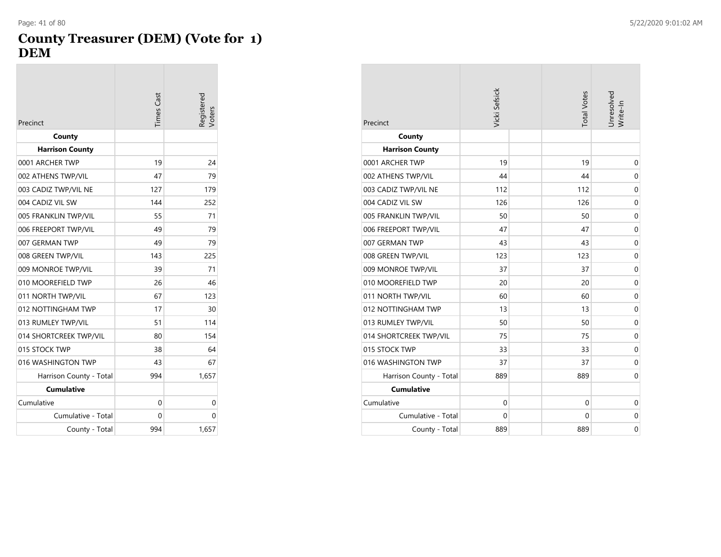#### **County Treasurer (DEM) (Vote for 1) DEM**

| Precinct                | Times Cast | Registered<br>Voters |
|-------------------------|------------|----------------------|
| County                  |            |                      |
| <b>Harrison County</b>  |            |                      |
| 0001 ARCHER TWP         | 19         | 24                   |
| 002 ATHENS TWP/VIL      | 47         | 79                   |
| 003 CADIZ TWP/VIL NE    | 127        | 179                  |
| 004 CADIZ VIL SW        | 144        | 252                  |
| 005 FRANKLIN TWP/VIL    | 55         | 71                   |
| 006 FREEPORT TWP/VIL    | 49         | 79                   |
| 007 GERMAN TWP          | 49         | 79                   |
| 008 GREEN TWP/VIL       | 143        | 225                  |
| 009 MONROE TWP/VIL      | 39         | 71                   |
| 010 MOOREFIELD TWP      | 26         | 46                   |
| 011 NORTH TWP/VIL       | 67         | 123                  |
| 012 NOTTINGHAM TWP      | 17         | 30                   |
| 013 RUMLEY TWP/VIL      | 51         | 114                  |
| 014 SHORTCREEK TWP/VIL  | 80         | 154                  |
| 015 STOCK TWP           | 38         | 64                   |
| 016 WASHINGTON TWP      | 43         | 67                   |
| Harrison County - Total | 994        | 1,657                |
| <b>Cumulative</b>       |            |                      |
| Cumulative              | 0          | 0                    |
| Cumulative - Total      | 0          | 0                    |
| County - Total          | 994        | 1,657                |

| Precinct                | Vicki Sefsick | <b>Total Votes</b> | Unresolved<br>Write-In |
|-------------------------|---------------|--------------------|------------------------|
| County                  |               |                    |                        |
| <b>Harrison County</b>  |               |                    |                        |
| 0001 ARCHER TWP         | 19            | 19                 | $\mathbf 0$            |
| 002 ATHENS TWP/VIL      | 44            | 44                 | 0                      |
| 003 CADIZ TWP/VIL NE    | 112           | 112                | 0                      |
| 004 CADIZ VIL SW        | 126           | 126                | $\mathbf 0$            |
| 005 FRANKLIN TWP/VIL    | 50            | 50                 | 0                      |
| 006 FREEPORT TWP/VIL    | 47            | 47                 | 0                      |
| 007 GERMAN TWP          | 43            | 43                 | $\mathbf 0$            |
| 008 GREEN TWP/VIL       | 123           | 123                | 0                      |
| 009 MONROE TWP/VIL      | 37            | 37                 | $\mathbf 0$            |
| 010 MOOREFIELD TWP      | 20            | 20                 | $\mathbf 0$            |
| 011 NORTH TWP/VIL       | 60            | 60                 | 0                      |
| 012 NOTTINGHAM TWP      | 13            | 13                 | $\mathbf 0$            |
| 013 RUMLEY TWP/VIL      | 50            | 50                 | $\mathbf 0$            |
| 014 SHORTCREEK TWP/VIL  | 75            | 75                 | 0                      |
| 015 STOCK TWP           | 33            | 33                 | $\mathbf 0$            |
| 016 WASHINGTON TWP      | 37            | 37                 | $\mathbf 0$            |
| Harrison County - Total | 889           | 889                | 0                      |
| <b>Cumulative</b>       |               |                    |                        |
| Cumulative              | $\mathbf 0$   | $\mathbf 0$        | $\mathbf 0$            |
| Cumulative - Total      | $\mathbf 0$   | 0                  | 0                      |
| County - Total          | 889           | 889                | 0                      |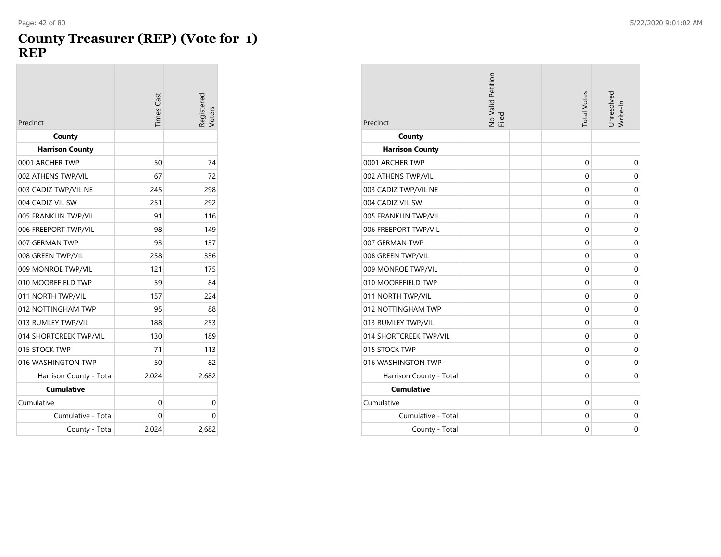#### **County Treasurer (REP) (Vote for 1) REP**

| Precinct                | <b>Times</b> Cast | Registered<br>Voters |
|-------------------------|-------------------|----------------------|
| County                  |                   |                      |
| <b>Harrison County</b>  |                   |                      |
| 0001 ARCHER TWP         | 50                | 74                   |
| 002 ATHENS TWP/VIL      | 67                | 72                   |
| 003 CADIZ TWP/VIL NE    | 245               | 298                  |
| 004 CADIZ VIL SW        | 251               | 292                  |
| 005 FRANKLIN TWP/VIL    | 91                | 116                  |
| 006 FREEPORT TWP/VIL    | 98                | 149                  |
| 007 GERMAN TWP          | 93                | 137                  |
| 008 GREEN TWP/VIL       | 258               | 336                  |
| 009 MONROE TWP/VIL      | 121               | 175                  |
| 010 MOOREFIELD TWP      | 59                | 84                   |
| 011 NORTH TWP/VIL       | 157               | 224                  |
| 012 NOTTINGHAM TWP      | 95                | 88                   |
| 013 RUMLEY TWP/VIL      | 188               | 253                  |
| 014 SHORTCREEK TWP/VIL  | 130               | 189                  |
| 015 STOCK TWP           | 71                | 113                  |
| 016 WASHINGTON TWP      | 50                | 82                   |
| Harrison County - Total | 2,024             | 2,682                |
| <b>Cumulative</b>       |                   |                      |
| Cumulative              | 0                 | 0                    |
| Cumulative - Total      | 0                 | 0                    |
| County - Total          | 2,024             | 2,682                |

| Precinct                | No Valid Petition<br>Filed | <b>Total Votes</b> | Unresolved<br>Write-In |
|-------------------------|----------------------------|--------------------|------------------------|
| County                  |                            |                    |                        |
| <b>Harrison County</b>  |                            |                    |                        |
| 0001 ARCHER TWP         |                            | $\Omega$           | $\mathbf 0$            |
| 002 ATHENS TWP/VIL      |                            | 0                  | $\mathbf 0$            |
| 003 CADIZ TWP/VIL NE    |                            | $\mathbf 0$        | $\mathbf 0$            |
| 004 CADIZ VIL SW        |                            | $\Omega$           | $\mathbf 0$            |
| 005 FRANKLIN TWP/VIL    |                            | 0                  | $\mathbf 0$            |
| 006 FREEPORT TWP/VIL    |                            | $\mathbf 0$        | $\mathbf 0$            |
| 007 GERMAN TWP          |                            | $\Omega$           | $\mathbf 0$            |
| 008 GREEN TWP/VIL       |                            | 0                  | $\mathbf 0$            |
| 009 MONROE TWP/VIL      |                            | $\mathbf 0$        | $\mathbf 0$            |
| 010 MOOREFIELD TWP      |                            | $\Omega$           | $\mathbf 0$            |
| 011 NORTH TWP/VIL       |                            | 0                  | $\mathbf 0$            |
| 012 NOTTINGHAM TWP      |                            | $\mathbf 0$        | $\mathbf 0$            |
| 013 RUMLEY TWP/VIL      |                            | $\Omega$           | $\mathbf 0$            |
| 014 SHORTCREEK TWP/VIL  |                            | 0                  | 0                      |
| 015 STOCK TWP           |                            | $\mathbf 0$        | $\mathbf 0$            |
| 016 WASHINGTON TWP      |                            | $\mathbf{0}$       | $\mathbf 0$            |
| Harrison County - Total |                            | 0                  | $\mathbf 0$            |
| <b>Cumulative</b>       |                            |                    |                        |
| Cumulative              |                            | $\Omega$           | $\mathbf 0$            |
| Cumulative - Total      |                            | 0                  | $\mathbf 0$            |
| County - Total          |                            | $\mathbf 0$        | $\mathbf 0$            |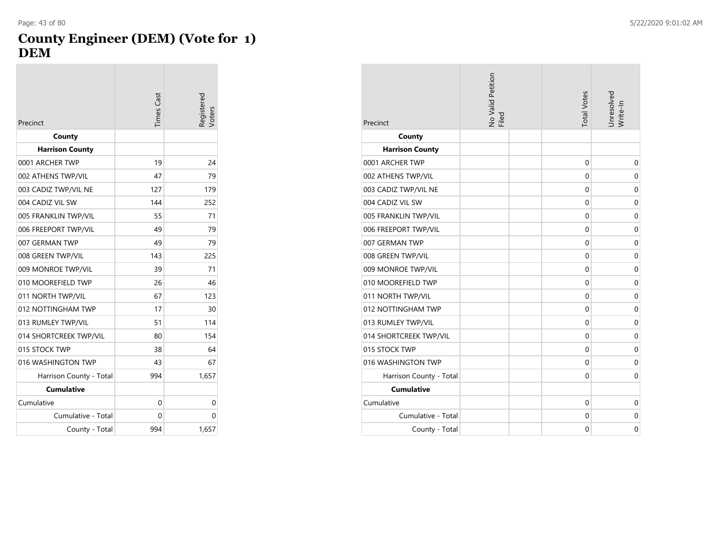#### **County Engineer (DEM) (Vote for 1) DEM**

|                         | <b>Times</b> Cast | egistered |
|-------------------------|-------------------|-----------|
| Precinct                |                   | Voters    |
| County                  |                   |           |
| <b>Harrison County</b>  |                   |           |
| 0001 ARCHER TWP         | 19                | 24        |
| 002 ATHENS TWP/VIL      | 47                | 79        |
| 003 CADIZ TWP/VIL NE    | 127               | 179       |
| 004 CADIZ VIL SW        | 144               | 252       |
| 005 FRANKLIN TWP/VIL    | 55                | 71        |
| 006 FREEPORT TWP/VIL    | 49                | 79        |
| 007 GERMAN TWP          | 49                | 79        |
| 008 GREEN TWP/VIL       | 143               | 225       |
| 009 MONROE TWP/VIL      | 39                | 71        |
| 010 MOOREFIELD TWP      | 26                | 46        |
| 011 NORTH TWP/VIL       | 67                | 123       |
| 012 NOTTINGHAM TWP      | 17                | 30        |
| 013 RUMLEY TWP/VIL      | 51                | 114       |
| 014 SHORTCREEK TWP/VIL  | 80                | 154       |
| 015 STOCK TWP           | 38                | 64        |
| 016 WASHINGTON TWP      | 43                | 67        |
| Harrison County - Total | 994               | 1,657     |
| <b>Cumulative</b>       |                   |           |
| Cumulative              | 0                 | 0         |
| Cumulative - Total      | 0                 | 0         |
| County - Total          | 994               | 1,657     |

| Precinct                | No Valid Petition<br>Filed | <b>Total Votes</b> | Unresolved<br>Write-In |
|-------------------------|----------------------------|--------------------|------------------------|
| County                  |                            |                    |                        |
| <b>Harrison County</b>  |                            |                    |                        |
| 0001 ARCHER TWP         |                            | $\Omega$           | $\mathbf 0$            |
| 002 ATHENS TWP/VIL      |                            | 0                  | 0                      |
| 003 CADIZ TWP/VIL NE    |                            | $\Omega$           | $\mathbf 0$            |
| 004 CADIZ VIL SW        |                            | $\mathbf{0}$       | $\mathbf 0$            |
| 005 FRANKLIN TWP/VIL    |                            | 0                  | 0                      |
| 006 FREEPORT TWP/VIL    |                            | $\mathbf 0$        | $\mathbf 0$            |
| 007 GERMAN TWP          |                            | $\mathbf{0}$       | $\mathbf 0$            |
| 008 GREEN TWP/VIL       |                            | $\Omega$           | 0                      |
| 009 MONROE TWP/VIL      |                            | $\mathbf 0$        | $\mathbf 0$            |
| 010 MOOREFIELD TWP      |                            | $\mathbf{0}$       | $\mathbf 0$            |
| 011 NORTH TWP/VIL       |                            | $\Omega$           | 0                      |
| 012 NOTTINGHAM TWP      |                            | $\mathbf 0$        | $\mathbf 0$            |
| 013 RUMLEY TWP/VIL      |                            | $\mathbf{0}$       | $\mathbf 0$            |
| 014 SHORTCREEK TWP/VIL  |                            | $\Omega$           | 0                      |
| 015 STOCK TWP           |                            | $\mathbf 0$        | $\mathbf 0$            |
| 016 WASHINGTON TWP      |                            | $\mathbf{0}$       | $\mathbf 0$            |
| Harrison County - Total |                            | 0                  | 0                      |
| <b>Cumulative</b>       |                            |                    |                        |
| Cumulative              |                            | $\Omega$           | $\mathbf 0$            |
| Cumulative - Total      |                            | 0                  | $\mathbf 0$            |
| County - Total          |                            | $\mathbf 0$        | $\mathbf 0$            |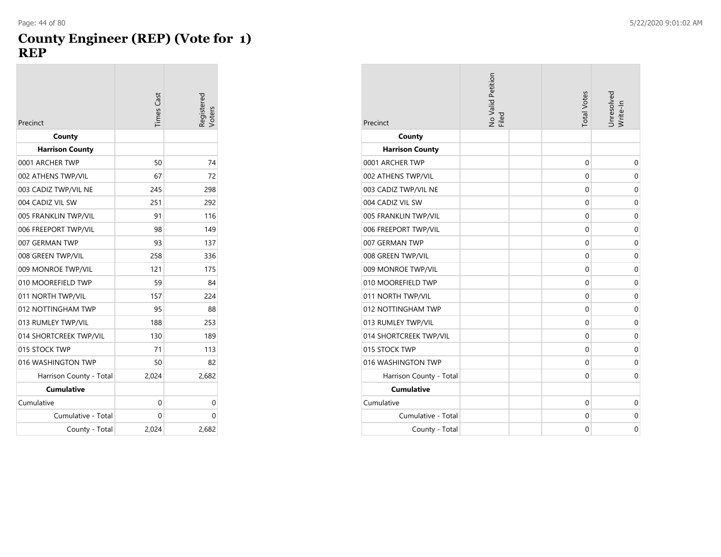#### **County Engineer (REP) (Vote for 1) REP**

|                         | <b>Times Cast</b> | Registered<br><b>/oters</b> |
|-------------------------|-------------------|-----------------------------|
| Precinct                |                   |                             |
| County                  |                   |                             |
| <b>Harrison County</b>  |                   |                             |
| 0001 ARCHER TWP         | 50                | 74                          |
| 002 ATHENS TWP/VIL      | 67                | 72                          |
| 003 CADIZ TWP/VIL NE    | 245               | 298                         |
| 004 CADIZ VIL SW        | 251               | 292                         |
| 005 FRANKLIN TWP/VIL    | 91                | 116                         |
| 006 FREEPORT TWP/VIL    | 98                | 149                         |
| 007 GERMAN TWP          | 93                | 137                         |
| 008 GREEN TWP/VIL       | 258               | 336                         |
| 009 MONROE TWP/VIL      | 121               | 175                         |
| 010 MOOREFIELD TWP      | 59                | 84                          |
| 011 NORTH TWP/VIL       | 157               | 224                         |
| 012 NOTTINGHAM TWP      | 95                | 88                          |
| 013 RUMLEY TWP/VIL      | 188               | 253                         |
| 014 SHORTCREEK TWP/VIL  | 130               | 189                         |
| 015 STOCK TWP           | 71                | 113                         |
| 016 WASHINGTON TWP      | 50                | 82                          |
| Harrison County - Total | 2,024             | 2,682                       |
| <b>Cumulative</b>       |                   |                             |
| Cumulative              | 0                 | 0                           |
| Cumulative - Total      | 0                 | 0                           |
| County - Total          | 2,024             | 2,682                       |

| Precinct                | No Valid Petition<br>Filed | <b>Total Votes</b> | Unresolved<br>Write-In |
|-------------------------|----------------------------|--------------------|------------------------|
| County                  |                            |                    |                        |
| <b>Harrison County</b>  |                            |                    |                        |
| 0001 ARCHER TWP         |                            | $\Omega$           | $\mathbf 0$            |
| 002 ATHENS TWP/VIL      |                            | 0                  | 0                      |
| 003 CADIZ TWP/VIL NE    |                            | $\Omega$           | $\mathbf 0$            |
| 004 CADIZ VIL SW        |                            | $\mathbf{0}$       | $\mathbf 0$            |
| 005 FRANKLIN TWP/VIL    |                            | 0                  | 0                      |
| 006 FREEPORT TWP/VIL    |                            | $\mathbf 0$        | $\mathbf 0$            |
| 007 GERMAN TWP          |                            | $\mathbf{0}$       | $\mathbf 0$            |
| 008 GREEN TWP/VIL       |                            | $\Omega$           | 0                      |
| 009 MONROE TWP/VIL      |                            | $\mathbf 0$        | $\mathbf 0$            |
| 010 MOOREFIELD TWP      |                            | $\mathbf{0}$       | $\mathbf 0$            |
| 011 NORTH TWP/VIL       |                            | $\Omega$           | 0                      |
| 012 NOTTINGHAM TWP      |                            | $\mathbf 0$        | $\mathbf 0$            |
| 013 RUMLEY TWP/VIL      |                            | $\mathbf{0}$       | $\mathbf 0$            |
| 014 SHORTCREEK TWP/VIL  |                            | $\Omega$           | 0                      |
| 015 STOCK TWP           |                            | $\mathbf 0$        | $\mathbf 0$            |
| 016 WASHINGTON TWP      |                            | $\mathbf{0}$       | $\mathbf 0$            |
| Harrison County - Total |                            | 0                  | 0                      |
| <b>Cumulative</b>       |                            |                    |                        |
| Cumulative              |                            | 0                  | $\mathbf 0$            |
| Cumulative - Total      |                            | 0                  | $\mathbf 0$            |
| County - Total          |                            | $\mathbf 0$        | $\mathbf 0$            |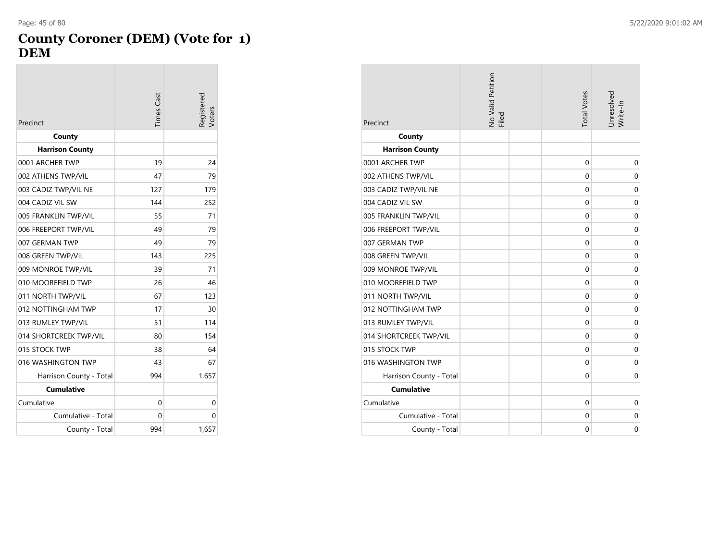#### **County Coroner (DEM) (Vote for 1) DEM**

| Precinct                | <b>Times</b> Cast | Registered<br>/oters |
|-------------------------|-------------------|----------------------|
| County                  |                   |                      |
| <b>Harrison County</b>  |                   |                      |
| 0001 ARCHER TWP         | 19                | 24                   |
| 002 ATHENS TWP/VIL      | 47                | 79                   |
| 003 CADIZ TWP/VIL NE    | 127               | 179                  |
| 004 CADIZ VIL SW        | 144               | 252                  |
| 005 FRANKLIN TWP/VIL    | 55                | 71                   |
| 006 FREEPORT TWP/VIL    | 49                | 79                   |
| 007 GERMAN TWP          | 49                | 79                   |
| 008 GREEN TWP/VIL       | 143               | 225                  |
| 009 MONROE TWP/VIL      | 39                | 71                   |
| 010 MOOREFIELD TWP      | 26                | 46                   |
| 011 NORTH TWP/VIL       | 67                | 123                  |
| 012 NOTTINGHAM TWP      | 17                | 30                   |
| 013 RUMLEY TWP/VIL      | 51                | 114                  |
| 014 SHORTCREEK TWP/VIL  | 80                | 154                  |
| 015 STOCK TWP           | 38                | 64                   |
| 016 WASHINGTON TWP      | 43                | 67                   |
| Harrison County - Total | 994               | 1,657                |
| <b>Cumulative</b>       |                   |                      |
| Cumulative              | 0                 | 0                    |
| Cumulative - Total      | 0                 | 0                    |
| County - Total          | 994               | 1,657                |

| Precinct                | No Valid Petition<br>Filed | <b>Total Votes</b> | Unresolved<br>Write-In |
|-------------------------|----------------------------|--------------------|------------------------|
| County                  |                            |                    |                        |
| <b>Harrison County</b>  |                            |                    |                        |
| 0001 ARCHER TWP         |                            | 0                  | $\mathbf 0$            |
| 002 ATHENS TWP/VIL      |                            | 0                  | 0                      |
| 003 CADIZ TWP/VIL NE    |                            | 0                  | $\mathbf 0$            |
| 004 CADIZ VIL SW        |                            | $\mathbf{0}$       | $\mathbf 0$            |
| 005 FRANKLIN TWP/VIL    |                            | 0                  | 0                      |
| 006 FREEPORT TWP/VIL    |                            | $\mathbf 0$        | $\mathbf 0$            |
| 007 GERMAN TWP          |                            | $\mathbf{0}$       | $\mathbf 0$            |
| 008 GREEN TWP/VIL       |                            | 0                  | 0                      |
| 009 MONROE TWP/VIL      |                            | $\mathbf 0$        | $\mathbf 0$            |
| 010 MOOREFIELD TWP      |                            | $\mathbf{0}$       | $\mathbf 0$            |
| 011 NORTH TWP/VIL       |                            | 0                  | 0                      |
| 012 NOTTINGHAM TWP      |                            | $\mathbf 0$        | $\mathbf 0$            |
| 013 RUMLEY TWP/VIL      |                            | $\mathbf{0}$       | $\mathbf 0$            |
| 014 SHORTCREEK TWP/VIL  |                            | 0                  | 0                      |
| 015 STOCK TWP           |                            | $\mathbf 0$        | $\mathbf 0$            |
| 016 WASHINGTON TWP      |                            | $\mathbf{0}$       | $\mathbf 0$            |
| Harrison County - Total |                            | 0                  | 0                      |
| <b>Cumulative</b>       |                            |                    |                        |
| Cumulative              |                            | 0                  | $\mathbf 0$            |
| Cumulative - Total      |                            | 0                  | $\mathbf 0$            |
| County - Total          |                            | $\mathbf 0$        | $\mathbf 0$            |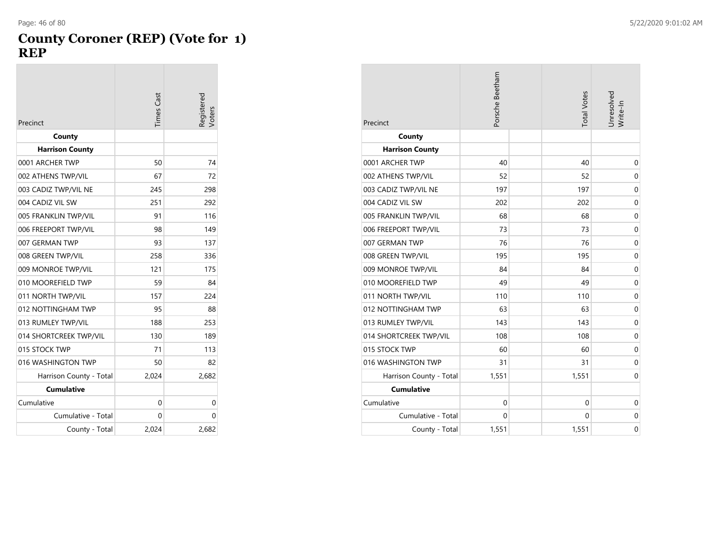#### **County Coroner (REP) (Vote for 1) REP**

| Precinct                | Times Cast | Registered<br>Voters |
|-------------------------|------------|----------------------|
| County                  |            |                      |
| <b>Harrison County</b>  |            |                      |
| 0001 ARCHER TWP         | 50         | 74                   |
| 002 ATHENS TWP/VIL      | 67         | 72                   |
| 003 CADIZ TWP/VIL NE    | 245        | 298                  |
| 004 CADIZ VIL SW        | 251        | 292                  |
| 005 FRANKLIN TWP/VIL    | 91         | 116                  |
| 006 FREEPORT TWP/VIL    | 98         | 149                  |
| 007 GERMAN TWP          | 93         | 137                  |
| 008 GREEN TWP/VIL       | 258        | 336                  |
| 009 MONROE TWP/VIL      | 121        | 175                  |
| 010 MOOREFIELD TWP      | 59         | 84                   |
| 011 NORTH TWP/VIL       | 157        | 224                  |
| 012 NOTTINGHAM TWP      | 95         | 88                   |
| 013 RUMLEY TWP/VIL      | 188        | 253                  |
| 014 SHORTCREEK TWP/VIL  | 130        | 189                  |
| 015 STOCK TWP           | 71         | 113                  |
| 016 WASHINGTON TWP      | 50         | 82                   |
| Harrison County - Total | 2,024      | 2,682                |
| <b>Cumulative</b>       |            |                      |
| Cumulative              | 0          | 0                    |
| Cumulative - Total      | 0          | 0                    |
| County - Total          | 2.024      | 2,682                |

| Precinct                | Porsche Beetham | <b>Total Votes</b> | Unresolved<br>Write-In |
|-------------------------|-----------------|--------------------|------------------------|
| County                  |                 |                    |                        |
| <b>Harrison County</b>  |                 |                    |                        |
| 0001 ARCHER TWP         | 40              | 40                 | 0                      |
| 002 ATHENS TWP/VIL      | 52              | 52                 | 0                      |
| 003 CADIZ TWP/VIL NE    | 197             | 197                | $\mathbf 0$            |
| 004 CADIZ VIL SW        | 202             | 202                | 0                      |
| 005 FRANKLIN TWP/VIL    | 68              | 68                 | $\mathbf 0$            |
| 006 FREEPORT TWP/VIL    | 73              | 73                 | 0                      |
| 007 GERMAN TWP          | 76              | 76                 | 0                      |
| 008 GREEN TWP/VIL       | 195             | 195                | 0                      |
| 009 MONROE TWP/VIL      | 84              | 84                 | $\mathbf 0$            |
| 010 MOOREFIELD TWP      | 49              | 49                 | 0                      |
| 011 NORTH TWP/VIL       | 110             | 110                | 0                      |
| 012 NOTTINGHAM TWP      | 63              | 63                 | $\mathbf 0$            |
| 013 RUMLEY TWP/VIL      | 143             | 143                | $\mathbf 0$            |
| 014 SHORTCREEK TWP/VIL  | 108             | 108                | 0                      |
| 015 STOCK TWP           | 60              | 60                 | $\mathbf 0$            |
| 016 WASHINGTON TWP      | 31              | 31                 | $\mathbf 0$            |
| Harrison County - Total | 1,551           | 1,551              | 0                      |
| <b>Cumulative</b>       |                 |                    |                        |
| Cumulative              | 0               | 0                  | $\mathbf 0$            |
| Cumulative - Total      | 0               | $\Omega$           | 0                      |
| County - Total          | 1,551           | 1,551              | 0                      |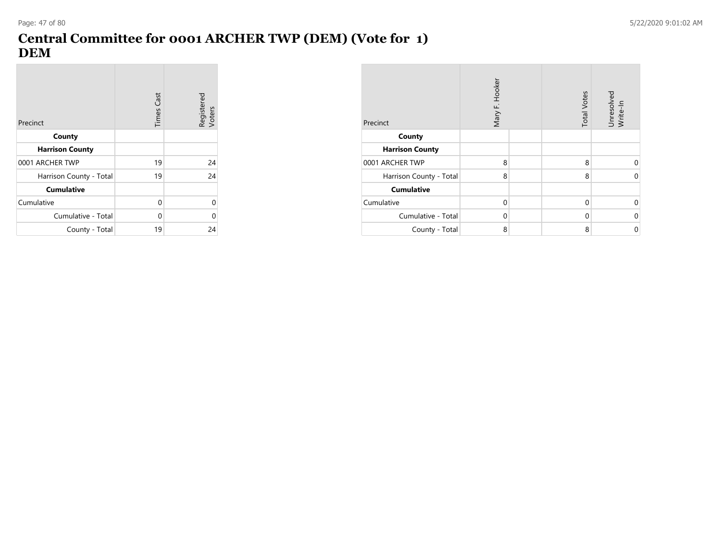# **Central Committee for 0001 ARCHER TWP (DEM) (Vote for 1) DEM**

| Precinct                | <b>Times Cast</b> | Registered<br>Voters |
|-------------------------|-------------------|----------------------|
| County                  |                   |                      |
| <b>Harrison County</b>  |                   |                      |
| 0001 ARCHER TWP         | 19                | 24                   |
| Harrison County - Total | 19                | 24                   |
| <b>Cumulative</b>       |                   |                      |
| Cumulative              | 0                 | 0                    |
| Cumulative - Total      | 0                 | U                    |
| County - Total          | 19                | 24                   |

| Precinct                | Mary F. Hooker | <b>Total Votes</b> | Unresolved<br>Write-In |
|-------------------------|----------------|--------------------|------------------------|
| County                  |                |                    |                        |
| <b>Harrison County</b>  |                |                    |                        |
| 0001 ARCHER TWP         | 8              | 8                  | 0                      |
| Harrison County - Total | 8              | 8                  | $\Omega$               |
| <b>Cumulative</b>       |                |                    |                        |
| Cumulative              | $\Omega$       | 0                  | 0                      |
| Cumulative - Total      | $\Omega$       | 0                  | $\mathbf 0$            |
| County - Total          | 8              | 8                  | 0                      |

**Contract**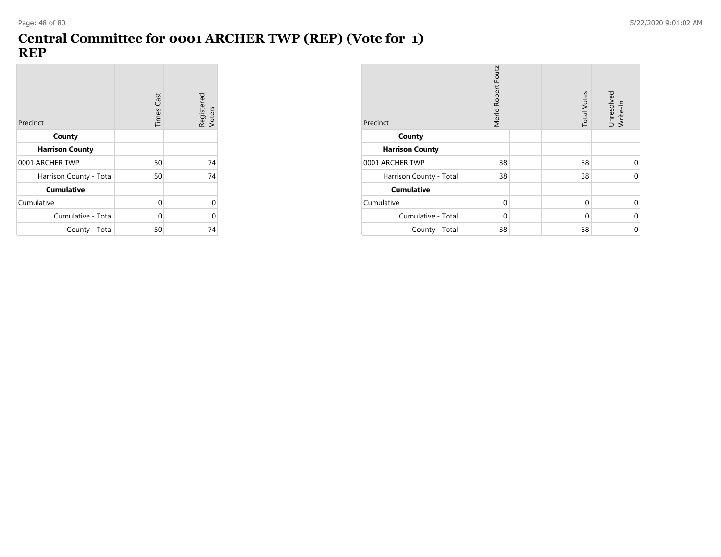# **Central Committee for 0001 ARCHER TWP (REP) (Vote for 1) REP**

| Precinct                | <b>Times Cast</b> | Registered<br>Voters |
|-------------------------|-------------------|----------------------|
| County                  |                   |                      |
| <b>Harrison County</b>  |                   |                      |
| 0001 ARCHER TWP         | 50                | 74                   |
| Harrison County - Total | 50                | 74                   |
| <b>Cumulative</b>       |                   |                      |
| Cumulative              | 0                 | U                    |
| Cumulative - Total      | 0                 | O                    |
| County - Total          | 50                | 74                   |

| Precinct                | Merle Robert Foutz | <b>Total Votes</b> | Unresolved<br>Write-In |
|-------------------------|--------------------|--------------------|------------------------|
| County                  |                    |                    |                        |
| <b>Harrison County</b>  |                    |                    |                        |
| 0001 ARCHER TWP         | 38                 | 38                 | 0                      |
| Harrison County - Total | 38                 | 38                 | $\Omega$               |
| <b>Cumulative</b>       |                    |                    |                        |
| Cumulative              | $\Omega$           | 0                  | 0                      |
| Cumulative - Total      | $\Omega$           | $\Omega$           | $\mathbf 0$            |
| County - Total          | 38                 | 38                 | $\mathbf 0$            |

**COL**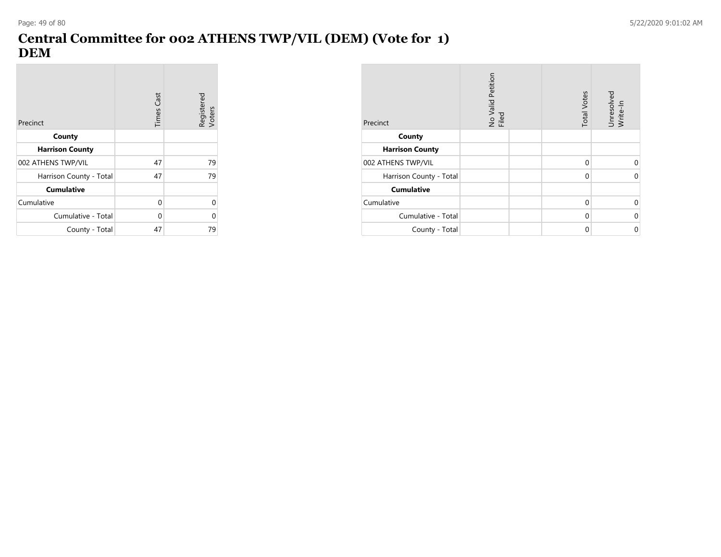$\mathcal{L}_{\mathcal{A}}$ 

# **Central Committee for 002 ATHENS TWP/VIL (DEM) (Vote for 1) DEM**

| Precinct                | <b>Times Cast</b> | Registered<br>Voters |
|-------------------------|-------------------|----------------------|
| County                  |                   |                      |
| <b>Harrison County</b>  |                   |                      |
| 002 ATHENS TWP/VIL      | 47                | 79                   |
| Harrison County - Total | 47                | 79                   |
| <b>Cumulative</b>       |                   |                      |
| Cumulative              | 0                 | U                    |
| Cumulative - Total      | $\Omega$          | ი                    |
| County - Total          | 47                | 79                   |

| Precinct                | No Valid Petition<br>Filed | <b>Total Votes</b> | Unresolved<br>Write-In |
|-------------------------|----------------------------|--------------------|------------------------|
| County                  |                            |                    |                        |
| <b>Harrison County</b>  |                            |                    |                        |
| 002 ATHENS TWP/VIL      |                            | 0                  | 0                      |
| Harrison County - Total |                            | 0                  | 0                      |
| <b>Cumulative</b>       |                            |                    |                        |
| Cumulative              |                            | 0                  | 0                      |
| Cumulative - Total      |                            | $\Omega$           | 0                      |
| County - Total          |                            | $\Omega$           | 0                      |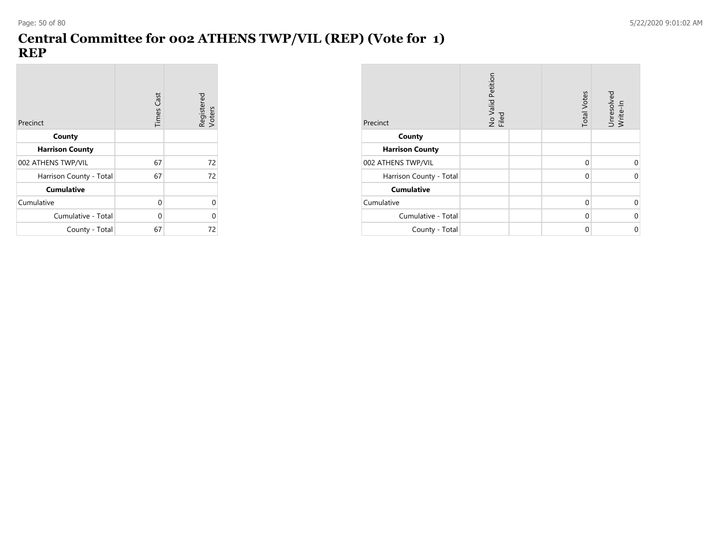**COL** 

### **Central Committee for 002 ATHENS TWP/VIL (REP) (Vote for 1) REP**

| Precinct                | <b>Times Cast</b> | Registered<br>Voters |
|-------------------------|-------------------|----------------------|
| County                  |                   |                      |
| <b>Harrison County</b>  |                   |                      |
| 002 ATHENS TWP/VIL      | 67                | 72                   |
| Harrison County - Total | 67                | 72                   |
| <b>Cumulative</b>       |                   |                      |
| Cumulative              | 0                 | ი                    |
| Cumulative - Total      | $\Omega$          | ი                    |
| County - Total          | 67                | 72                   |

| Precinct                | No Valid Petition<br>Filed | <b>Total Votes</b> | Unresolved<br>Write-In |
|-------------------------|----------------------------|--------------------|------------------------|
| County                  |                            |                    |                        |
| <b>Harrison County</b>  |                            |                    |                        |
| 002 ATHENS TWP/VIL      |                            | 0                  | 0                      |
| Harrison County - Total |                            | 0                  | 0                      |
| <b>Cumulative</b>       |                            |                    |                        |
| Cumulative              |                            | 0                  | 0                      |
| Cumulative - Total      |                            | $\Omega$           | 0                      |
| County - Total          |                            | $\Omega$           | 0                      |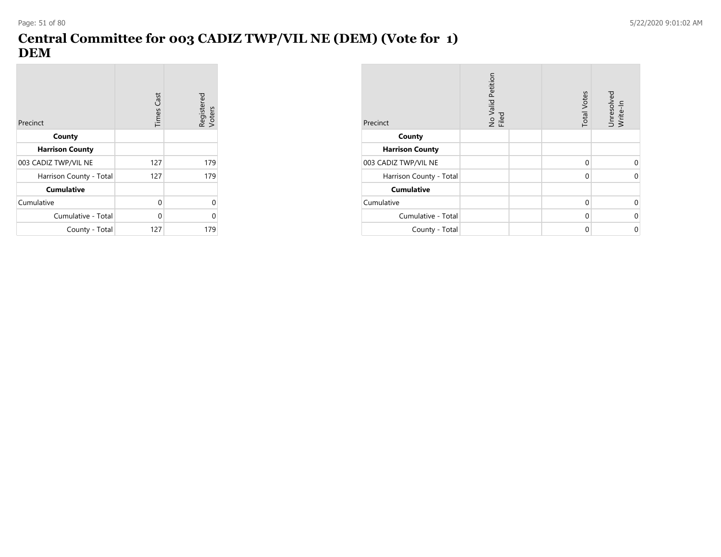**Contract** 

# **Central Committee for 003 CADIZ TWP/VIL NE (DEM) (Vote for 1) DEM**

| Precinct                | <b>Times Cast</b> | Registered<br>Voters |
|-------------------------|-------------------|----------------------|
| County                  |                   |                      |
| <b>Harrison County</b>  |                   |                      |
| 003 CADIZ TWP/VIL NE    | 127               | 179                  |
| Harrison County - Total | 127               | 179                  |
| <b>Cumulative</b>       |                   |                      |
| Cumulative              | 0                 | ი                    |
| Cumulative - Total      | $\Omega$          | Ω                    |
| County - Total          | 127               | 179                  |

| Precinct                | No Valid Petition<br>Filed | <b>Total Votes</b> | Unresolved<br>Write-In |
|-------------------------|----------------------------|--------------------|------------------------|
| County                  |                            |                    |                        |
| <b>Harrison County</b>  |                            |                    |                        |
| 003 CADIZ TWP/VIL NE    |                            | 0                  | 0                      |
| Harrison County - Total |                            | 0                  | 0                      |
| <b>Cumulative</b>       |                            |                    |                        |
| Cumulative              |                            | $\Omega$           | 0                      |
| Cumulative - Total      |                            | 0                  | 0                      |
| County - Total          |                            | $\Omega$           | 0                      |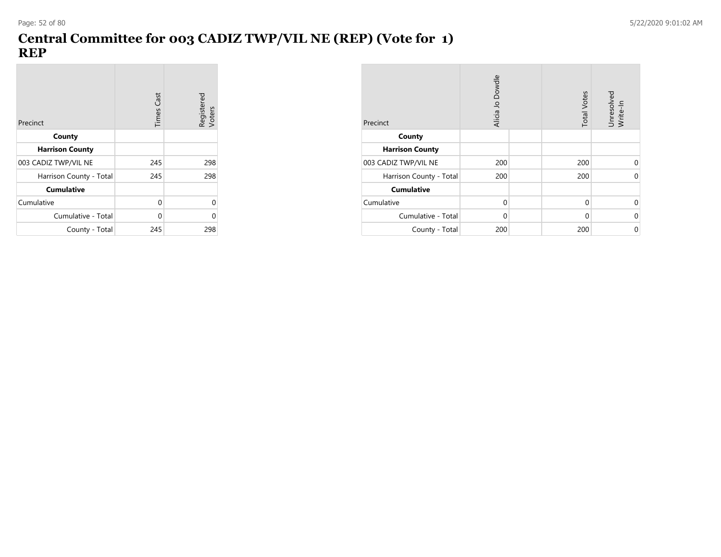## **Central Committee for 003 CADIZ TWP/VIL NE (REP) (Vote for 1) REP**

| Precinct                | <b>Times Cast</b> | Registered<br>Voters |
|-------------------------|-------------------|----------------------|
| County                  |                   |                      |
| <b>Harrison County</b>  |                   |                      |
| 003 CADIZ TWP/VIL NE    | 245               | 298                  |
| Harrison County - Total | 245               | 298                  |
| <b>Cumulative</b>       |                   |                      |
| Cumulative              | 0                 | U                    |
| Cumulative - Total      | $\Omega$          | ი                    |
| County - Total          | 245               | 298                  |

| Precinct                | Alicia Jo Dowdle | <b>Total Votes</b> | Unresolved<br>Write-In |
|-------------------------|------------------|--------------------|------------------------|
| County                  |                  |                    |                        |
| <b>Harrison County</b>  |                  |                    |                        |
| 003 CADIZ TWP/VIL NE    | 200              | 200                | 0                      |
| Harrison County - Total | 200              | 200                | $\Omega$               |
| <b>Cumulative</b>       |                  |                    |                        |
| Cumulative              | $\Omega$         | $\mathbf 0$        | 0                      |
| Cumulative - Total      | $\Omega$         | $\Omega$           | $\mathbf 0$            |
| County - Total          | 200              | 200                | $\mathbf 0$            |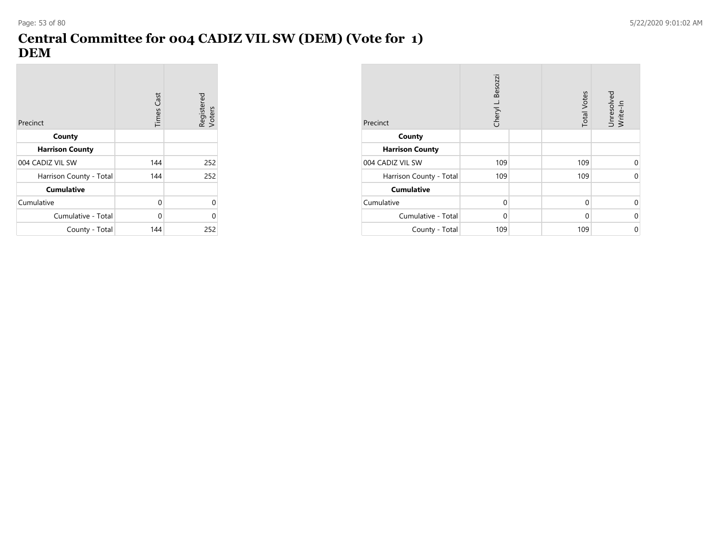# **Central Committee for 004 CADIZ VIL SW (DEM) (Vote for 1) DEM**

| Precinct                | <b>Times Cast</b> | Registered<br>Voters |
|-------------------------|-------------------|----------------------|
| County                  |                   |                      |
| <b>Harrison County</b>  |                   |                      |
| 004 CADIZ VIL SW        | 144               | 252                  |
| Harrison County - Total | 144               | 252                  |
| <b>Cumulative</b>       |                   |                      |
| Cumulative              | 0                 | 0                    |
| Cumulative - Total      | $\Omega$          | በ                    |
| County - Total          | 144               | 252                  |

| Precinct                | Cheryl L. Besozzi | <b>Total Votes</b> | Unresolved<br>Write-In |
|-------------------------|-------------------|--------------------|------------------------|
| County                  |                   |                    |                        |
| <b>Harrison County</b>  |                   |                    |                        |
| 004 CADIZ VIL SW        | 109               | 109                | 0                      |
| Harrison County - Total | 109               | 109                | 0                      |
| <b>Cumulative</b>       |                   |                    |                        |
| Cumulative              | $\Omega$          | $\mathbf 0$        | $\Omega$               |
| Cumulative - Total      | 0                 | $\Omega$           | $\mathbf 0$            |
| County - Total          | 109               | 109                | $\mathbf 0$            |

**Contract**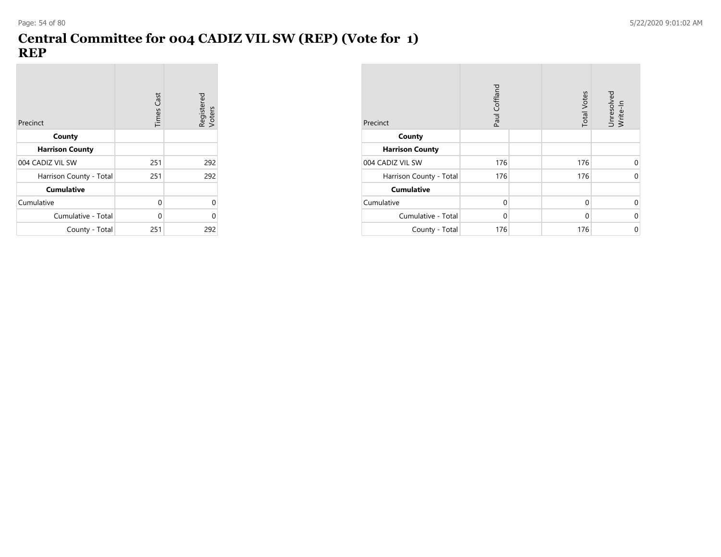### **Central Committee for 004 CADIZ VIL SW (REP) (Vote for 1) REP**

| Precinct                | <b>Times Cast</b> | Registered<br>Voters |
|-------------------------|-------------------|----------------------|
| County                  |                   |                      |
| <b>Harrison County</b>  |                   |                      |
| 004 CADIZ VIL SW        | 251               | 292                  |
| Harrison County - Total | 251               | 292                  |
| <b>Cumulative</b>       |                   |                      |
| Cumulative              | 0                 | 0                    |
| Cumulative - Total      | $\Omega$          | በ                    |
| County - Total          | 251               | 292                  |

| Precinct                | Paul Coffland | <b>Total Votes</b> | Unresolved<br>Write-In |
|-------------------------|---------------|--------------------|------------------------|
| County                  |               |                    |                        |
| <b>Harrison County</b>  |               |                    |                        |
| 004 CADIZ VIL SW        | 176           | 176                | 0                      |
| Harrison County - Total | 176           | 176                | 0                      |
| <b>Cumulative</b>       |               |                    |                        |
| Cumulative              | $\Omega$      | $\Omega$           | 0                      |
| Cumulative - Total      | $\Omega$      | $\Omega$           | 0                      |
| County - Total          | 176           | 176                | 0                      |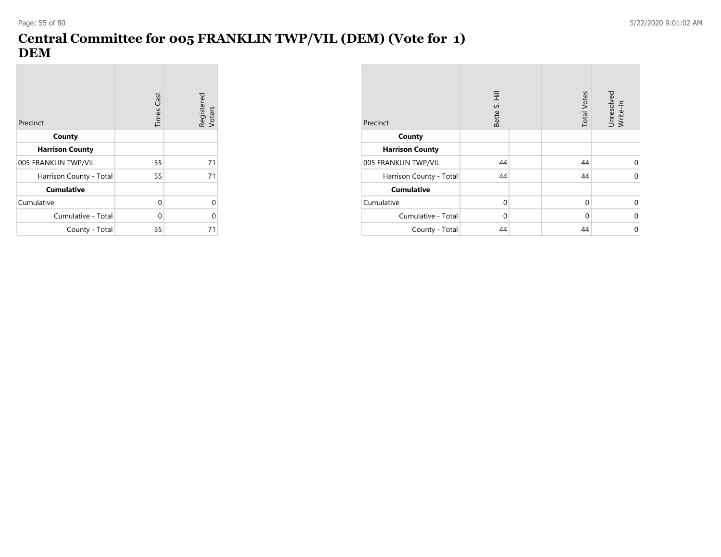**Contract** 

# **Central Committee for 005 FRANKLIN TWP/VIL (DEM) (Vote for 1) DEM**

| Precinct                | <b>Times Cast</b> | Registered<br>Voters |
|-------------------------|-------------------|----------------------|
| County                  |                   |                      |
| <b>Harrison County</b>  |                   |                      |
| 005 FRANKLIN TWP/VIL    | 55                | 71                   |
| Harrison County - Total | 55                | 71                   |
| <b>Cumulative</b>       |                   |                      |
| Cumulative              | 0                 | U                    |
| Cumulative - Total      | 0                 | 0                    |
| County - Total          | 55                | 71                   |

| Precinct                | Ξ<br>Bette S. | <b>Total Votes</b> | Unresolved<br>Write-In |
|-------------------------|---------------|--------------------|------------------------|
| County                  |               |                    |                        |
| <b>Harrison County</b>  |               |                    |                        |
| 005 FRANKLIN TWP/VIL    | 44            | 44                 | 0                      |
| Harrison County - Total | 44            | 44                 | $\Omega$               |
| <b>Cumulative</b>       |               |                    |                        |
| Cumulative              | $\Omega$      | 0                  | 0                      |
| Cumulative - Total      | $\Omega$      | $\Omega$           | $\mathbf 0$            |
| County - Total          | 44            | 44                 | 0                      |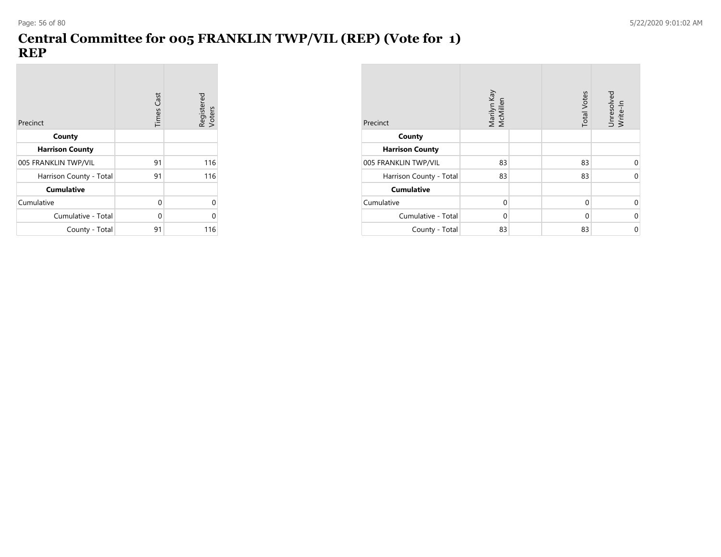# **Central Committee for 005 FRANKLIN TWP/VIL (REP) (Vote for 1) REP**

| Precinct                | <b>Times Cast</b> | Registered<br>Voters |
|-------------------------|-------------------|----------------------|
| County                  |                   |                      |
| <b>Harrison County</b>  |                   |                      |
| 005 FRANKLIN TWP/VIL    | 91                | 116                  |
| Harrison County - Total | 91                | 116                  |
| <b>Cumulative</b>       |                   |                      |
| Cumulative              | $\Omega$          | U                    |
| Cumulative - Total      | $\Omega$          | በ                    |
| County - Total          | 91                | 116                  |

| Precinct                | Marilyn Kay<br>McMillen | <b>Total Votes</b> | Unresolved<br>Write-In |
|-------------------------|-------------------------|--------------------|------------------------|
| County                  |                         |                    |                        |
| <b>Harrison County</b>  |                         |                    |                        |
| 005 FRANKLIN TWP/VIL    | 83                      | 83                 | 0                      |
| Harrison County - Total | 83                      | 83                 | $\Omega$               |
| <b>Cumulative</b>       |                         |                    |                        |
| Cumulative              | $\Omega$                | $\Omega$           | 0                      |
| Cumulative - Total      | $\Omega$                | 0                  | $\mathbf 0$            |
| County - Total          | 83                      | 83                 | 0                      |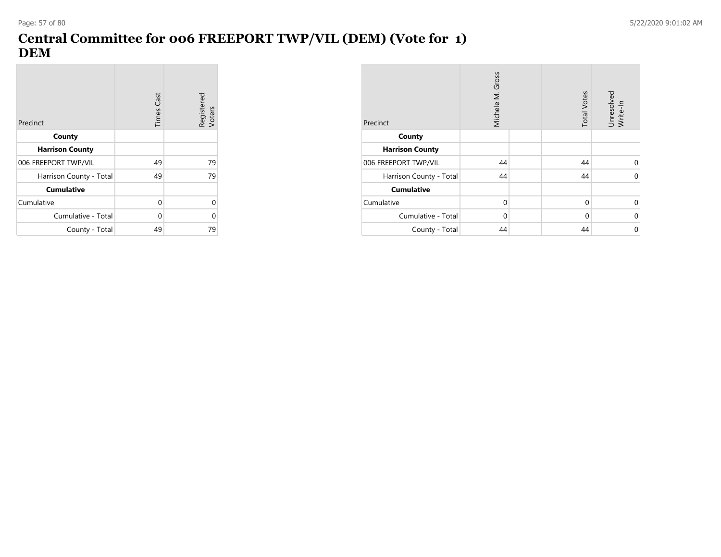**Contract** 

# **Central Committee for 006 FREEPORT TWP/VIL (DEM) (Vote for 1) DEM**

| Precinct                | <b>Times Cast</b> | Registered<br>Voters |
|-------------------------|-------------------|----------------------|
| County                  |                   |                      |
| <b>Harrison County</b>  |                   |                      |
| 006 FREEPORT TWP/VIL    | 49                | 79                   |
| Harrison County - Total | 49                | 79                   |
| <b>Cumulative</b>       |                   |                      |
| Cumulative              | 0                 | U                    |
| Cumulative - Total      | $\Omega$          | 0                    |
| County - Total          | 49                | 79                   |

| Precinct                | Michele M. Gross | <b>Total Votes</b> | Unresolved<br>Write-In |
|-------------------------|------------------|--------------------|------------------------|
| County                  |                  |                    |                        |
| <b>Harrison County</b>  |                  |                    |                        |
| 006 FREEPORT TWP/VIL    | 44               | 44                 | $\Omega$               |
| Harrison County - Total | 44               | 44                 | 0                      |
| <b>Cumulative</b>       |                  |                    |                        |
| Cumulative              | $\Omega$         | $\Omega$           | U                      |
| Cumulative - Total      | $\Omega$         | $\Omega$           | $\Omega$               |
| County - Total          | 44               | 44                 | 0                      |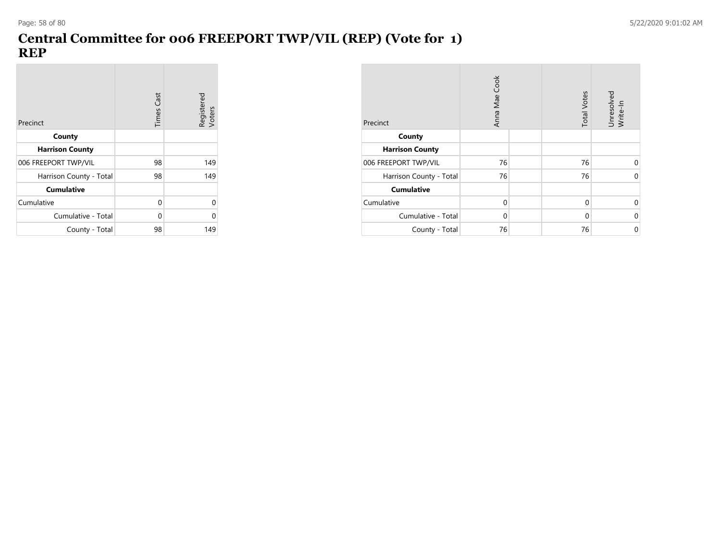**COL** 

# **Central Committee for 006 FREEPORT TWP/VIL (REP) (Vote for 1) REP**

| Precinct                | <b>Times Cast</b> | Registered<br>Voters |
|-------------------------|-------------------|----------------------|
| County                  |                   |                      |
| <b>Harrison County</b>  |                   |                      |
| 006 FREEPORT TWP/VIL    | 98                | 149                  |
| Harrison County - Total | 98                | 149                  |
| <b>Cumulative</b>       |                   |                      |
| Cumulative              | 0                 | U                    |
| Cumulative - Total      | $\Omega$          | ი                    |
| County - Total          | 98                | 149                  |

| Precinct                | Anna Mae Cook | <b>Total Votes</b> | Unresolved<br>Write-In |
|-------------------------|---------------|--------------------|------------------------|
| County                  |               |                    |                        |
| <b>Harrison County</b>  |               |                    |                        |
| 006 FREEPORT TWP/VIL    | 76            | 76                 | 0                      |
| Harrison County - Total | 76            | 76                 | $\Omega$               |
| <b>Cumulative</b>       |               |                    |                        |
| Cumulative              | 0             | 0                  | 0                      |
| Cumulative - Total      | $\Omega$      | 0                  | $\mathbf 0$            |
| County - Total          | 76            | 76                 | $\mathbf 0$            |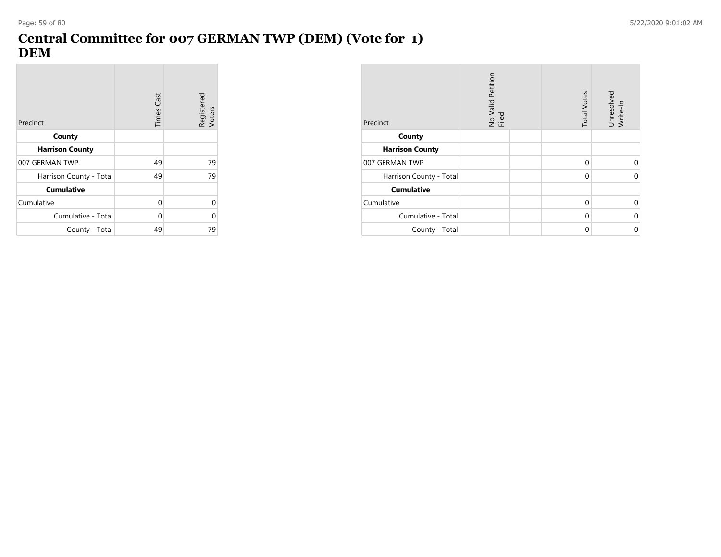## **Central Committee for 007 GERMAN TWP (DEM) (Vote for 1) DEM**

| Precinct                | <b>Times Cast</b> | Registered<br>Voters |
|-------------------------|-------------------|----------------------|
| County                  |                   |                      |
| <b>Harrison County</b>  |                   |                      |
| 007 GERMAN TWP          | 49                | 79                   |
| Harrison County - Total | 49                | 79                   |
| <b>Cumulative</b>       |                   |                      |
| Cumulative              | 0                 | U                    |
| Cumulative - Total      | $\Omega$          | O                    |
| County - Total          | 49                | 79                   |

| Precinct                | No Valid Petition<br>Filed | <b>Total Votes</b> | Unresolved<br>Write-In |
|-------------------------|----------------------------|--------------------|------------------------|
| County                  |                            |                    |                        |
| <b>Harrison County</b>  |                            |                    |                        |
| 007 GERMAN TWP          |                            | 0                  | 0                      |
| Harrison County - Total |                            | $\Omega$           | $\Omega$               |
| <b>Cumulative</b>       |                            |                    |                        |
| Cumulative              |                            | $\Omega$           | 0                      |
| Cumulative - Total      |                            | 0                  | 0                      |
| County - Total          |                            | $\Omega$           | 0                      |

**Contract**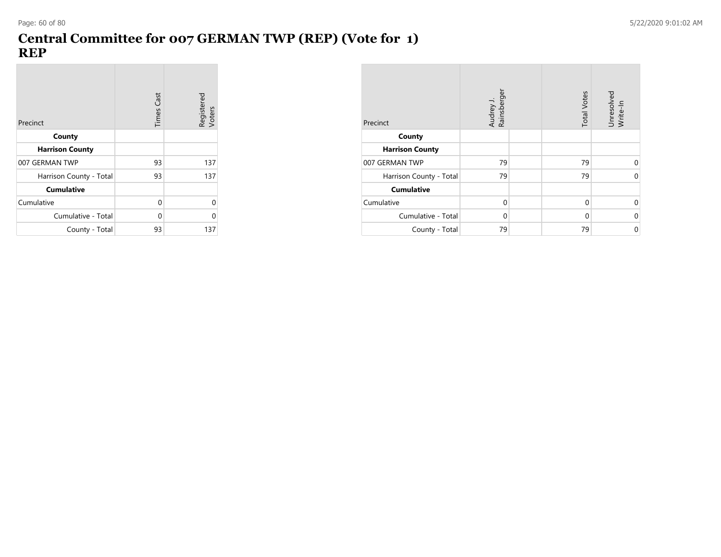### **Central Committee for 007 GERMAN TWP (REP) (Vote for 1) REP**

| Precinct                | <b>Times Cast</b> | Registered<br>Voters |
|-------------------------|-------------------|----------------------|
| County                  |                   |                      |
| <b>Harrison County</b>  |                   |                      |
| 007 GERMAN TWP          | 93                | 137                  |
| Harrison County - Total | 93                | 137                  |
| <b>Cumulative</b>       |                   |                      |
| Cumulative              | 0                 | 0                    |
| Cumulative - Total      | $\Omega$          | ი                    |
| County - Total          | 93                | 137                  |

| Precinct                | Audrey J.<br>Rainsberger | <b>Total Votes</b> | Unresolved<br>Write-In |
|-------------------------|--------------------------|--------------------|------------------------|
| County                  |                          |                    |                        |
| <b>Harrison County</b>  |                          |                    |                        |
| 007 GERMAN TWP          | 79                       | 79                 | 0                      |
| Harrison County - Total | 79                       | 79                 | $\Omega$               |
| <b>Cumulative</b>       |                          |                    |                        |
| Cumulative              | $\Omega$                 | 0                  | 0                      |
| Cumulative - Total      | $\Omega$                 | $\Omega$           | $\mathbf 0$            |
| County - Total          | 79                       | 79                 | 0                      |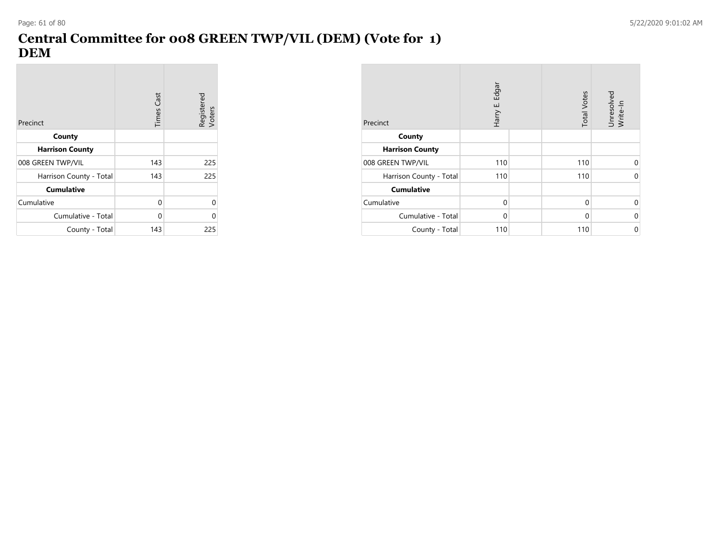# **Central Committee for 008 GREEN TWP/VIL (DEM) (Vote for 1) DEM**

| Precinct                | Times Cast | Registered<br>Voters |
|-------------------------|------------|----------------------|
| County                  |            |                      |
| <b>Harrison County</b>  |            |                      |
| 008 GREEN TWP/VIL       | 143        | 225                  |
| Harrison County - Total | 143        | 225                  |
| <b>Cumulative</b>       |            |                      |
| Cumulative              | 0          | U                    |
| Cumulative - Total      | $\Omega$   | በ                    |
| County - Total          | 143        | 225                  |

| Precinct                | Harry E. Edgar | <b>Total Votes</b> | Unresolved<br>Write-In |
|-------------------------|----------------|--------------------|------------------------|
| County                  |                |                    |                        |
| <b>Harrison County</b>  |                |                    |                        |
| 008 GREEN TWP/VIL       | 110            | 110                | 0                      |
| Harrison County - Total | 110            | 110                | $\mathbf 0$            |
| <b>Cumulative</b>       |                |                    |                        |
| Cumulative              | $\Omega$       | $\Omega$           | $\Omega$               |
| Cumulative - Total      | $\Omega$       | $\Omega$           | $\mathbf 0$            |
| County - Total          | 110            | 110                | 0                      |

**Contract**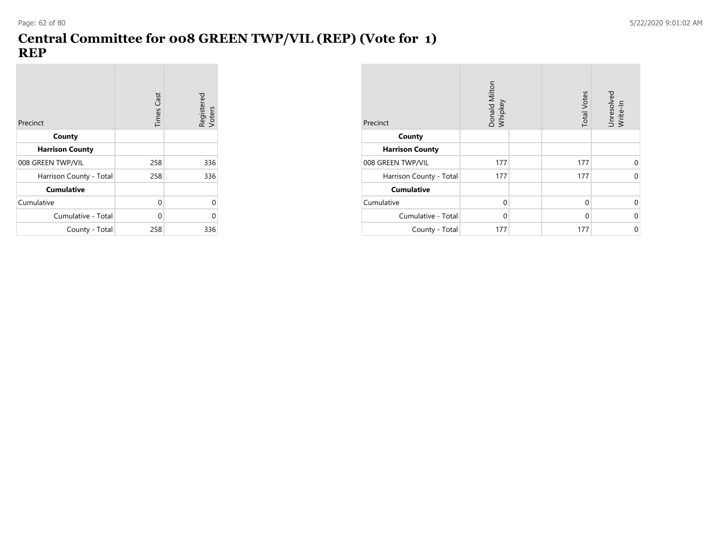# **Central Committee for 008 GREEN TWP/VIL (REP) (Vote for 1) REP**

| Precinct                | <b>Times Cast</b> | Registered<br>Voters |
|-------------------------|-------------------|----------------------|
| County                  |                   |                      |
| <b>Harrison County</b>  |                   |                      |
| 008 GREEN TWP/VIL       | 258               | 336                  |
| Harrison County - Total | 258               | 336                  |
| <b>Cumulative</b>       |                   |                      |
| Cumulative              | 0                 | U                    |
| Cumulative - Total      | $\Omega$          | በ                    |
| County - Total          | 258               | 336                  |

| Precinct                | Donald Milton<br>Whipkey | <b>Total Votes</b> | Unresolved<br>Write-In |
|-------------------------|--------------------------|--------------------|------------------------|
| County                  |                          |                    |                        |
| <b>Harrison County</b>  |                          |                    |                        |
| 008 GREEN TWP/VIL       | 177                      | 177                | 0                      |
| Harrison County - Total | 177                      | 177                | 0                      |
| <b>Cumulative</b>       |                          |                    |                        |
| Cumulative              | $\Omega$                 | $\Omega$           | 0                      |
| Cumulative - Total      | $\Omega$                 | 0                  | $\mathbf 0$            |
| County - Total          | 177                      | 177                | $\mathbf 0$            |

**Contract**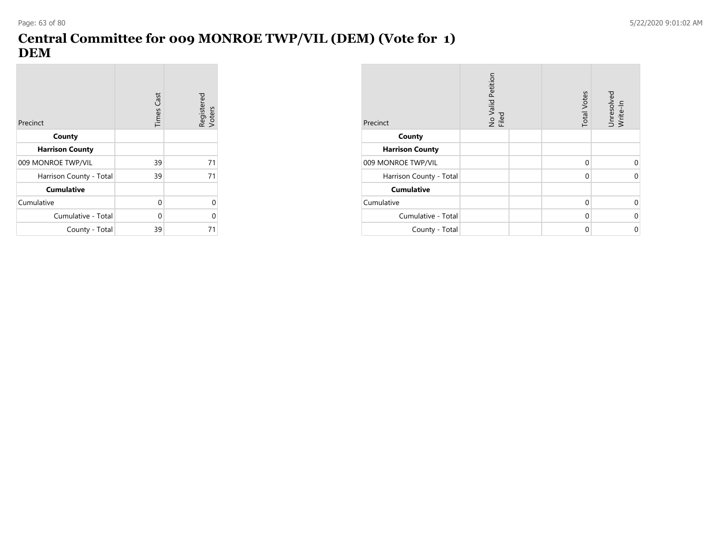**Contract** 

# **Central Committee for 009 MONROE TWP/VIL (DEM) (Vote for 1) DEM**

| Precinct                | Times Cast | Registered<br>Voters |
|-------------------------|------------|----------------------|
| County                  |            |                      |
| <b>Harrison County</b>  |            |                      |
| 009 MONROE TWP/VIL      | 39         | 71                   |
| Harrison County - Total | 39         | 71                   |
| <b>Cumulative</b>       |            |                      |
| Cumulative              | 0          | 0                    |
| Cumulative - Total      | $\Omega$   | 0                    |
| County - Total          | 39         | 71                   |

| Precinct                | No Valid Petition<br>Filed | <b>Total Votes</b> | Unresolved<br>Write-In |
|-------------------------|----------------------------|--------------------|------------------------|
| County                  |                            |                    |                        |
| <b>Harrison County</b>  |                            |                    |                        |
| 009 MONROE TWP/VIL      |                            | $\Omega$           | 0                      |
| Harrison County - Total |                            | 0                  | 0                      |
| <b>Cumulative</b>       |                            |                    |                        |
| Cumulative              |                            | $\Omega$           | 0                      |
| Cumulative - Total      |                            | $\Omega$           | 0                      |
| County - Total          |                            | 0                  | 0                      |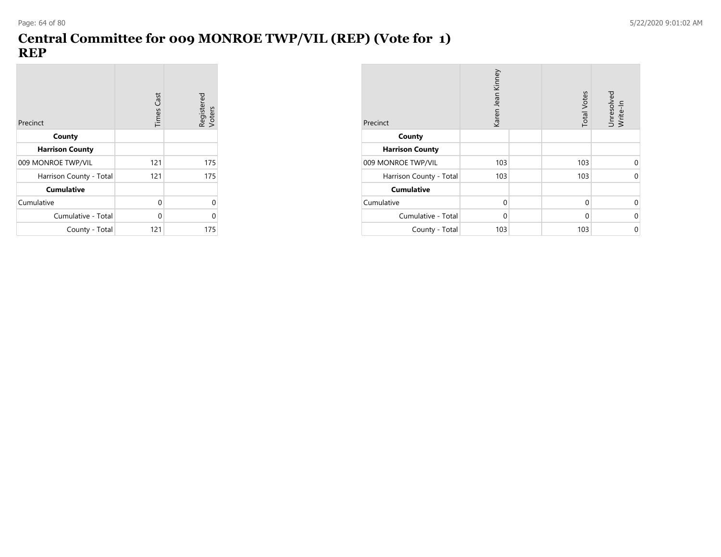## **Central Committee for 009 MONROE TWP/VIL (REP) (Vote for 1) REP**

| Precinct                | <b>Times Cast</b> | Registered<br>Voters |
|-------------------------|-------------------|----------------------|
| County                  |                   |                      |
| <b>Harrison County</b>  |                   |                      |
| 009 MONROE TWP/VIL      | 121               | 175                  |
| Harrison County - Total | 121               | 175                  |
| <b>Cumulative</b>       |                   |                      |
| Cumulative              | 0                 | U                    |
| Cumulative - Total      | $\Omega$          | ი                    |
| County - Total          | 121               | 175                  |

| Precinct                | Karen Jean Kinney | <b>Total Votes</b> | Unresolved<br>Write-In |
|-------------------------|-------------------|--------------------|------------------------|
| County                  |                   |                    |                        |
| <b>Harrison County</b>  |                   |                    |                        |
| 009 MONROE TWP/VIL      | 103               | 103                | 0                      |
| Harrison County - Total | 103               | 103                | 0                      |
| <b>Cumulative</b>       |                   |                    |                        |
| Cumulative              | $\Omega$          | $\Omega$           | 0                      |
| Cumulative - Total      | $\Omega$          | $\Omega$           | $\mathbf 0$            |
| County - Total          | 103               | 103                | $\mathbf 0$            |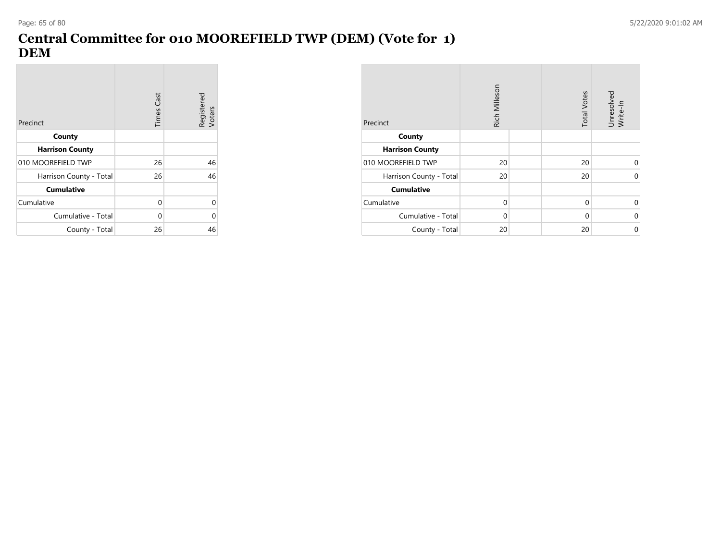**Contract** 

# **Central Committee for 010 MOOREFIELD TWP (DEM) (Vote for 1) DEM**

| Precinct                | Times Cast | Registered<br>Voters |
|-------------------------|------------|----------------------|
| County                  |            |                      |
| <b>Harrison County</b>  |            |                      |
| 010 MOOREFIELD TWP      | 26         | 46                   |
| Harrison County - Total | 26         | 46                   |
| <b>Cumulative</b>       |            |                      |
| Cumulative              | 0          | 0                    |
| Cumulative - Total      | 0          | 0                    |
| County - Total          | 26         | 46                   |

| Precinct                | Rich Milleson | <b>Total Votes</b> | Unresolved<br>Write-In |
|-------------------------|---------------|--------------------|------------------------|
| County                  |               |                    |                        |
| <b>Harrison County</b>  |               |                    |                        |
| 010 MOOREFIELD TWP      | 20            | 20                 | 0                      |
| Harrison County - Total | 20            | 20                 | $\Omega$               |
| <b>Cumulative</b>       |               |                    |                        |
| Cumulative              | $\Omega$      | $\mathbf 0$        | 0                      |
| Cumulative - Total      | $\Omega$      | 0                  | $\mathbf 0$            |
| County - Total          | 20            | 20                 | $\mathbf 0$            |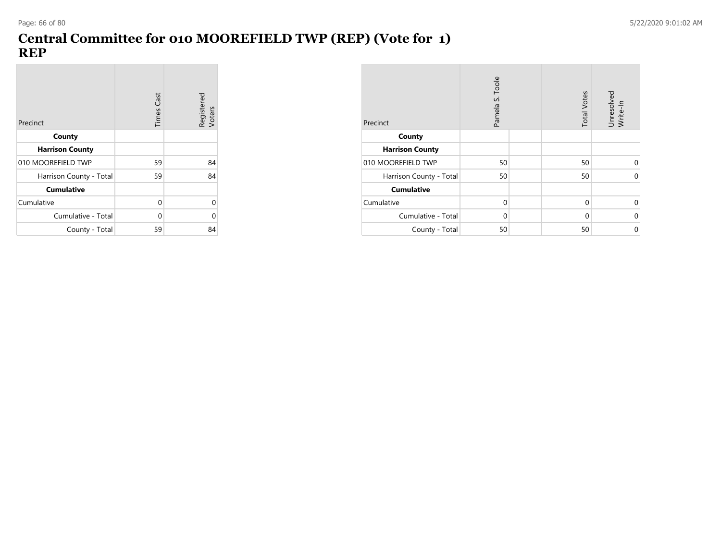## **Central Committee for 010 MOOREFIELD TWP (REP) (Vote for 1) REP**

| Precinct                | <b>Times Cast</b> | Registered<br>Voters |
|-------------------------|-------------------|----------------------|
| County                  |                   |                      |
| <b>Harrison County</b>  |                   |                      |
| 010 MOOREFIELD TWP      | 59                | 84                   |
| Harrison County - Total | 59                | 84                   |
| <b>Cumulative</b>       |                   |                      |
| Cumulative              | 0                 | U                    |
| Cumulative - Total      | $\Omega$          | ი                    |
| County - Total          | 59                | 84                   |

| Precinct                | Pamela S. Toole | <b>Total Votes</b> | Unresolved<br>Write-In |
|-------------------------|-----------------|--------------------|------------------------|
| County                  |                 |                    |                        |
| <b>Harrison County</b>  |                 |                    |                        |
| 010 MOOREFIELD TWP      | 50              | 50                 | 0                      |
| Harrison County - Total | 50              | 50                 | 0                      |
| <b>Cumulative</b>       |                 |                    |                        |
| Cumulative              | $\Omega$        | 0                  | 0                      |
| Cumulative - Total      | $\Omega$        | 0                  | $\mathbf 0$            |
| County - Total          | 50              | 50                 | 0                      |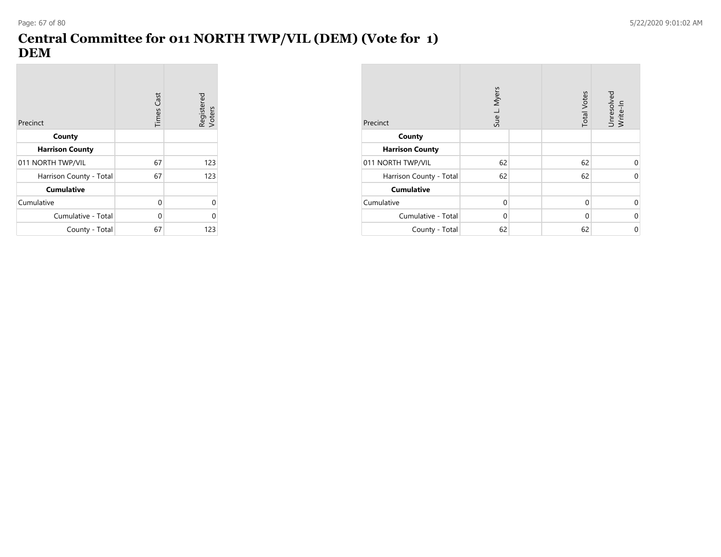# **Central Committee for 011 NORTH TWP/VIL (DEM) (Vote for 1) DEM**

| Precinct                | <b>Times Cast</b> | Registered<br>Voters |
|-------------------------|-------------------|----------------------|
| County                  |                   |                      |
| <b>Harrison County</b>  |                   |                      |
| 011 NORTH TWP/VIL       | 67                | 123                  |
| Harrison County - Total | 67                | 123                  |
| <b>Cumulative</b>       |                   |                      |
| Cumulative              | $\Omega$          | U                    |
| Cumulative - Total      | $\Omega$          | በ                    |
| County - Total          | 67                | 123                  |

| Precinct                | Sue L. Myers | <b>Total Votes</b> | Unresolved<br>Write-In |
|-------------------------|--------------|--------------------|------------------------|
| County                  |              |                    |                        |
| <b>Harrison County</b>  |              |                    |                        |
| 011 NORTH TWP/VIL       | 62           | 62                 | $\Omega$               |
| Harrison County - Total | 62           | 62                 | $\Omega$               |
| <b>Cumulative</b>       |              |                    |                        |
| Cumulative              | $\Omega$     | $\Omega$           | $\Omega$               |
| Cumulative - Total      | $\Omega$     | $\Omega$           | $\Omega$               |
| County - Total          | 62           | 62                 | 0                      |

**Contract**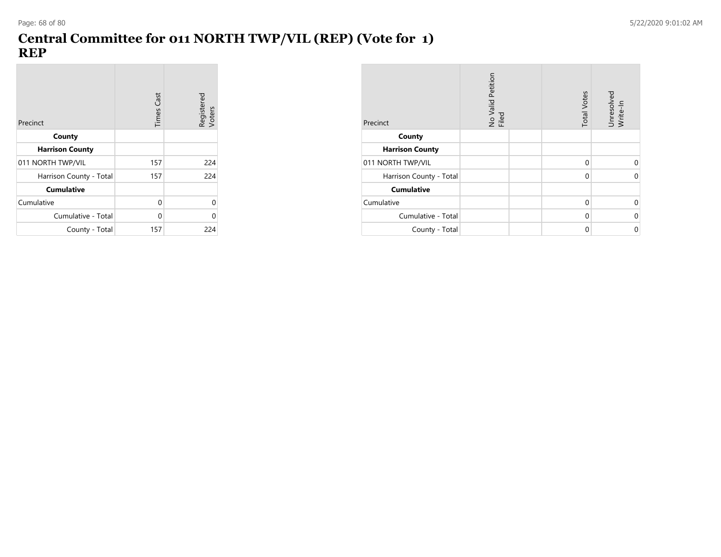# **Central Committee for 011 NORTH TWP/VIL (REP) (Vote for 1) REP**

 $\sim$ 

| Precinct                | <b>Times Cast</b> | Registered<br>Voters |
|-------------------------|-------------------|----------------------|
| County                  |                   |                      |
| <b>Harrison County</b>  |                   |                      |
| 011 NORTH TWP/VIL       | 157               | 224                  |
| Harrison County - Total | 157               | 224                  |
| <b>Cumulative</b>       |                   |                      |
| Cumulative              | 0                 | 0                    |
| Cumulative - Total      | $\Omega$          | Λ                    |
| County - Total          | 157               | 224                  |

| Precinct                | No Valid Petition<br>Filed | <b>Total Votes</b> | Unresolved<br>Write-In |
|-------------------------|----------------------------|--------------------|------------------------|
| County                  |                            |                    |                        |
| <b>Harrison County</b>  |                            |                    |                        |
| 011 NORTH TWP/VIL       |                            | $\Omega$           | 0                      |
| Harrison County - Total |                            | $\Omega$           | 0                      |
| <b>Cumulative</b>       |                            |                    |                        |
| Cumulative              |                            | $\Omega$           | 0                      |
| Cumulative - Total      |                            | $\Omega$           | 0                      |
| County - Total          |                            | 0                  | 0                      |

**Contract**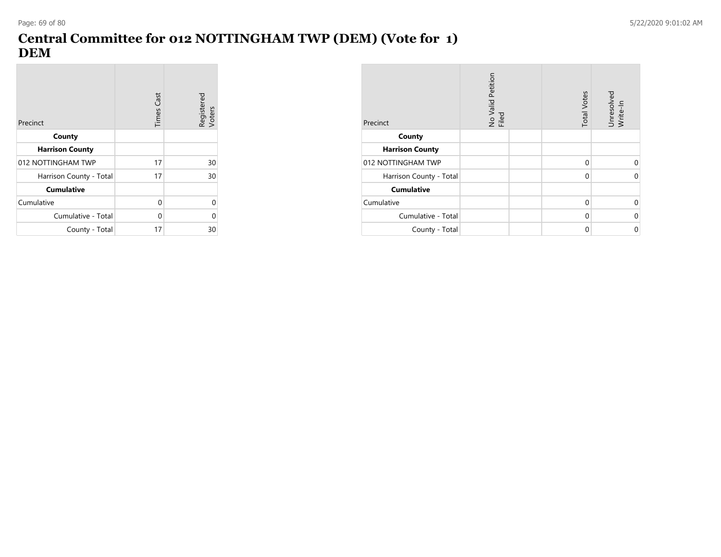**Contract** 

# **Central Committee for 012 NOTTINGHAM TWP (DEM) (Vote for 1) DEM**

| Precinct                | <b>Times Cast</b> | Registered<br>Voters |
|-------------------------|-------------------|----------------------|
| County                  |                   |                      |
| <b>Harrison County</b>  |                   |                      |
| 012 NOTTINGHAM TWP      | 17                | 30                   |
| Harrison County - Total | 17                | 30                   |
| <b>Cumulative</b>       |                   |                      |
| Cumulative              | 0                 | U                    |
| Cumulative - Total      | $\Omega$          | ი                    |
| County - Total          | 17                | 30                   |

| Precinct                | No Valid Petition<br>Filed | <b>Total Votes</b> | Unresolved<br>Write-In |
|-------------------------|----------------------------|--------------------|------------------------|
| County                  |                            |                    |                        |
| <b>Harrison County</b>  |                            |                    |                        |
| 012 NOTTINGHAM TWP      |                            | 0                  | 0                      |
| Harrison County - Total |                            | 0                  | 0                      |
| <b>Cumulative</b>       |                            |                    |                        |
| Cumulative              |                            | 0                  | 0                      |
| Cumulative - Total      |                            | 0                  | 0                      |
| County - Total          |                            | $\Omega$           | 0                      |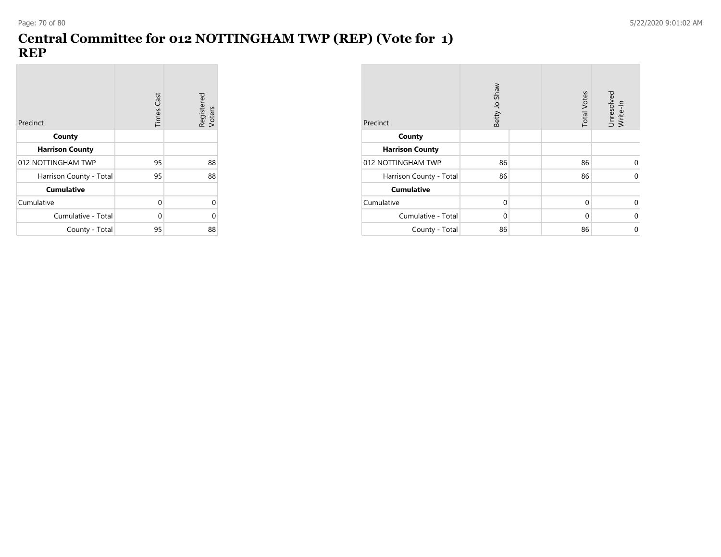**COL** 

### **Central Committee for 012 NOTTINGHAM TWP (REP) (Vote for 1) REP**

| Precinct                | Times Cast | Registered<br>Voters |
|-------------------------|------------|----------------------|
| County                  |            |                      |
| <b>Harrison County</b>  |            |                      |
| 012 NOTTINGHAM TWP      | 95         | 88                   |
| Harrison County - Total | 95         | 88                   |
| <b>Cumulative</b>       |            |                      |
| Cumulative              | 0          | ი                    |
| Cumulative - Total      | $\Omega$   | ი                    |
| County - Total          | 95         | 88                   |

| Precinct                | Betty Jo Shaw | <b>Total Votes</b> | Unresolved<br>Write-In |
|-------------------------|---------------|--------------------|------------------------|
| County                  |               |                    |                        |
| <b>Harrison County</b>  |               |                    |                        |
| 012 NOTTINGHAM TWP      | 86            | 86                 | $\Omega$               |
| Harrison County - Total | 86            | 86                 | 0                      |
| <b>Cumulative</b>       |               |                    |                        |
| Cumulative              | $\Omega$      | $\Omega$           | ∩                      |
| Cumulative - Total      | $\Omega$      | $\Omega$           | $\Omega$               |
| County - Total          | 86            | 86                 | 0                      |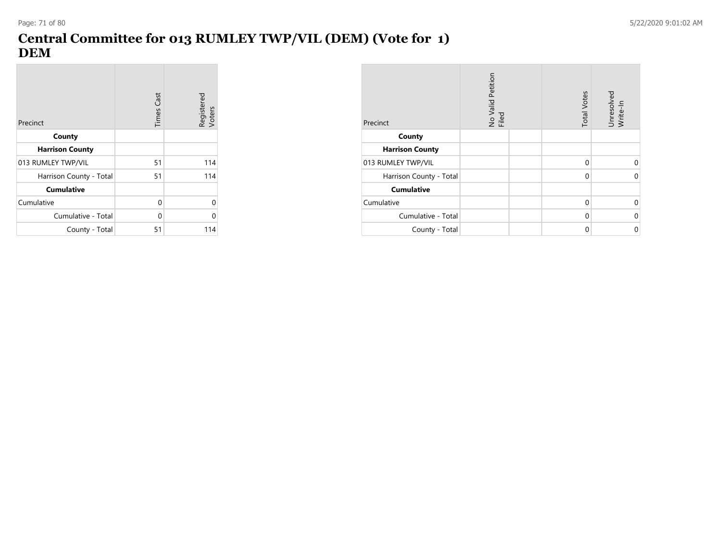**Contract** 

# **Central Committee for 013 RUMLEY TWP/VIL (DEM) (Vote for 1) DEM**

| Precinct                | <b>Times Cast</b> | Registered<br>Voters |
|-------------------------|-------------------|----------------------|
| County                  |                   |                      |
| <b>Harrison County</b>  |                   |                      |
| 013 RUMLEY TWP/VIL      | 51                | 114                  |
| Harrison County - Total | 51                | 114                  |
| <b>Cumulative</b>       |                   |                      |
| Cumulative              | 0                 | ი                    |
| Cumulative - Total      | 0                 | N                    |
| County - Total          | 51                | 114                  |

| Precinct                | No Valid Petition<br>Filed | <b>Total Votes</b> | Unresolved<br>Write-In |
|-------------------------|----------------------------|--------------------|------------------------|
| County                  |                            |                    |                        |
| <b>Harrison County</b>  |                            |                    |                        |
| 013 RUMLEY TWP/VIL      |                            | 0                  | 0                      |
| Harrison County - Total |                            | 0                  | 0                      |
| <b>Cumulative</b>       |                            |                    |                        |
| Cumulative              |                            | $\Omega$           | 0                      |
| Cumulative - Total      |                            | $\Omega$           | 0                      |
| County - Total          |                            | $\Omega$           | 0                      |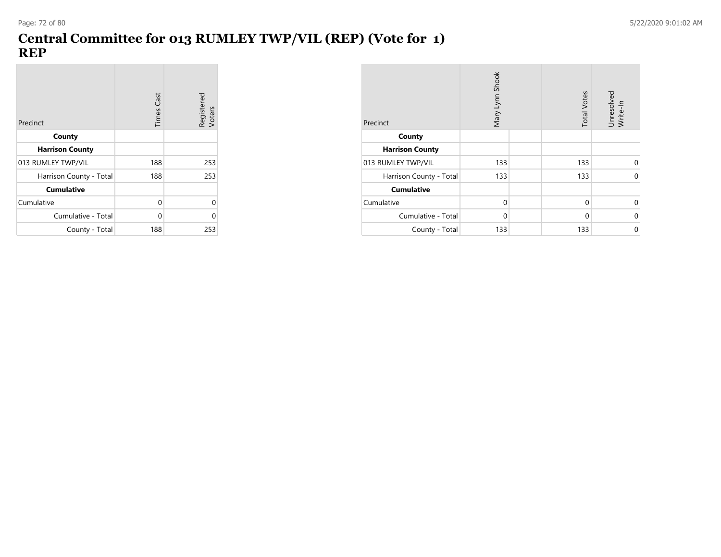# **Central Committee for 013 RUMLEY TWP/VIL (REP) (Vote for 1) REP**

| Precinct                | <b>Times Cast</b> | Registered<br>Voters |
|-------------------------|-------------------|----------------------|
| County                  |                   |                      |
| <b>Harrison County</b>  |                   |                      |
| 013 RUMLEY TWP/VIL      | 188               | 253                  |
| Harrison County - Total | 188               | 253                  |
| <b>Cumulative</b>       |                   |                      |
| Cumulative              | 0                 | 0                    |
| Cumulative - Total      | $\Omega$          | ი                    |
| County - Total          | 188               | 253                  |

| Precinct                | Mary Lynn Shook | <b>Total Votes</b> | Unresolved<br>Write-In |
|-------------------------|-----------------|--------------------|------------------------|
| County                  |                 |                    |                        |
| <b>Harrison County</b>  |                 |                    |                        |
| 013 RUMLEY TWP/VIL      | 133             | 133                | $\Omega$               |
| Harrison County - Total | 133             | 133                | $\Omega$               |
| <b>Cumulative</b>       |                 |                    |                        |
| Cumulative              | $\Omega$        | $\Omega$           | $\Omega$               |
| Cumulative - Total      | $\Omega$        | $\Omega$           | $\Omega$               |
| County - Total          | 133             | 133                | 0                      |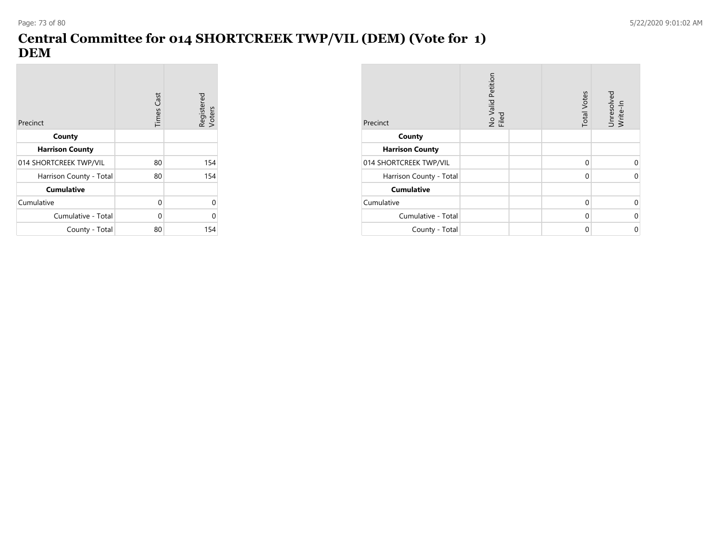**Contract** 

## **Central Committee for 014 SHORTCREEK TWP/VIL (DEM) (Vote for 1) DEM**

| Precinct                | <b>Times Cast</b> | Registered<br>Voters |
|-------------------------|-------------------|----------------------|
| County                  |                   |                      |
| <b>Harrison County</b>  |                   |                      |
| 014 SHORTCREEK TWP/VIL  | 80                | 154                  |
| Harrison County - Total | 80                | 154                  |
| <b>Cumulative</b>       |                   |                      |
| Cumulative              | 0                 | 0                    |
| Cumulative - Total      | 0                 | 0                    |
| County - Total          | 80                | 154                  |

| Precinct                | No Valid Petition<br>Filed | <b>Total Votes</b> | Unresolved<br>Write-In |
|-------------------------|----------------------------|--------------------|------------------------|
| County                  |                            |                    |                        |
| <b>Harrison County</b>  |                            |                    |                        |
| 014 SHORTCREEK TWP/VIL  |                            | 0                  | 0                      |
| Harrison County - Total |                            | 0                  | 0                      |
| <b>Cumulative</b>       |                            |                    |                        |
| Cumulative              |                            | $\Omega$           | 0                      |
| Cumulative - Total      |                            | $\Omega$           | 0                      |
| County - Total          |                            | $\Omega$           | 0                      |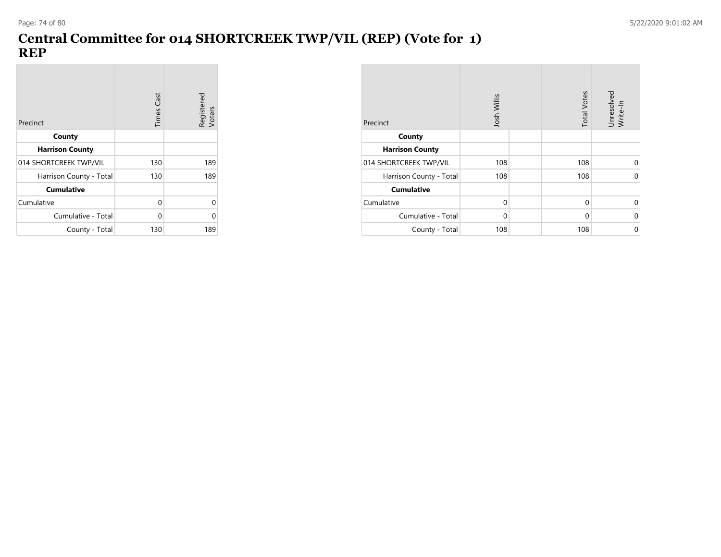## **Central Committee for 014 SHORTCREEK TWP/VIL (REP) (Vote for 1) REP**

| Precinct                | Times Cast | Registered<br>Voters |
|-------------------------|------------|----------------------|
| County                  |            |                      |
| <b>Harrison County</b>  |            |                      |
| 014 SHORTCREEK TWP/VIL  | 130        | 189                  |
| Harrison County - Total | 130        | 189                  |
| <b>Cumulative</b>       |            |                      |
| Cumulative              | 0          | ი                    |
| Cumulative - Total      | 0          | ი                    |
| County - Total          | 130        | 189                  |

| Precinct                | Josh Willis | <b>Total Votes</b> | Unresolved<br>Write-In |
|-------------------------|-------------|--------------------|------------------------|
| County                  |             |                    |                        |
| <b>Harrison County</b>  |             |                    |                        |
| 014 SHORTCREEK TWP/VIL  | 108         | 108                | 0                      |
| Harrison County - Total | 108         | 108                | $\mathbf 0$            |
| <b>Cumulative</b>       |             |                    |                        |
| Cumulative              | $\Omega$    | $\Omega$           | $\Omega$               |
| Cumulative - Total      | $\Omega$    | $\Omega$           | $\mathbf 0$            |
| County - Total          | 108         | 108                | 0                      |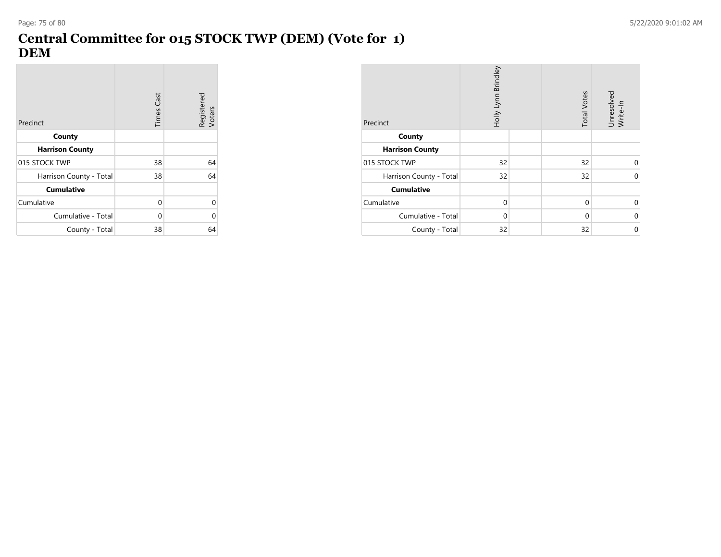### **Central Committee for 015 STOCK TWP (DEM) (Vote for 1) DEM**

| Precinct                | <b>Times Cast</b> | Registered<br>Voters |
|-------------------------|-------------------|----------------------|
| County                  |                   |                      |
| <b>Harrison County</b>  |                   |                      |
| 015 STOCK TWP           | 38                | 64                   |
| Harrison County - Total | 38                | 64                   |
| <b>Cumulative</b>       |                   |                      |
| Cumulative              | 0                 | U                    |
| Cumulative - Total      | $\Omega$          | U                    |
| County - Total          | 38                | 64                   |

| Precinct                | Holly Lynn Brindley | <b>Total Votes</b> | Unresolved<br>Write-In |
|-------------------------|---------------------|--------------------|------------------------|
| County                  |                     |                    |                        |
| <b>Harrison County</b>  |                     |                    |                        |
| 015 STOCK TWP           | 32                  | 32                 | U                      |
| Harrison County - Total | 32                  | 32                 | $\Omega$               |
| <b>Cumulative</b>       |                     |                    |                        |
| Cumulative              | $\Omega$            | $\Omega$           | $\Omega$               |
| Cumulative - Total      | $\Omega$            | $\Omega$           | U                      |
| County - Total          | 32                  | 32                 | 0                      |

**Contract**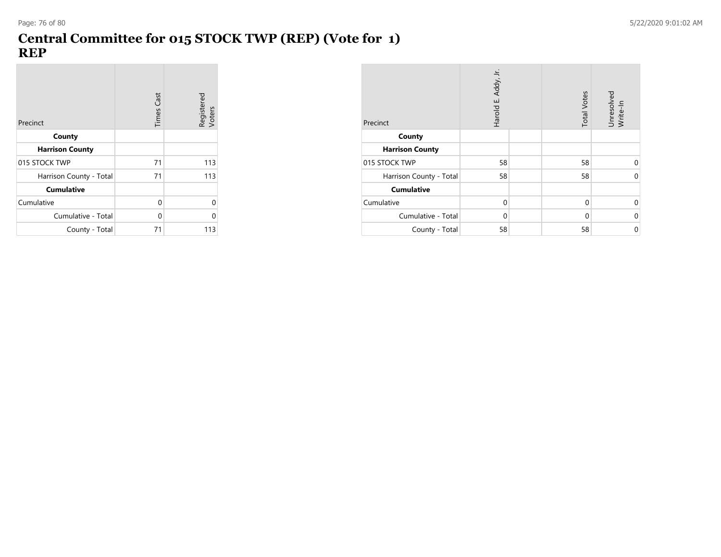### **Central Committee for 015 STOCK TWP (REP) (Vote for 1) REP**

| Precinct                | <b>Times Cast</b> | Registered<br>Voters |
|-------------------------|-------------------|----------------------|
| County                  |                   |                      |
| <b>Harrison County</b>  |                   |                      |
| 015 STOCK TWP           | 71                | 113                  |
| Harrison County - Total | 71                | 113                  |
| <b>Cumulative</b>       |                   |                      |
| Cumulative              | 0                 | U                    |
| Cumulative - Total      | $\Omega$          | Λ                    |
| County - Total          | 71                | 113                  |

| Precinct                | Harold E. Addy, Jr. | <b>Total Votes</b> | Unresolved<br>Write-In |
|-------------------------|---------------------|--------------------|------------------------|
| County                  |                     |                    |                        |
| <b>Harrison County</b>  |                     |                    |                        |
| 015 STOCK TWP           | 58                  | 58                 | ∩                      |
| Harrison County - Total | 58                  | 58                 | $\Omega$               |
| <b>Cumulative</b>       |                     |                    |                        |
| Cumulative              | $\Omega$            | $\Omega$           | $\Omega$               |
| Cumulative - Total      | $\Omega$            | $\Omega$           | ∩                      |
| County - Total          | 58                  | 58                 | 0                      |

 $\overline{\phantom{a}}$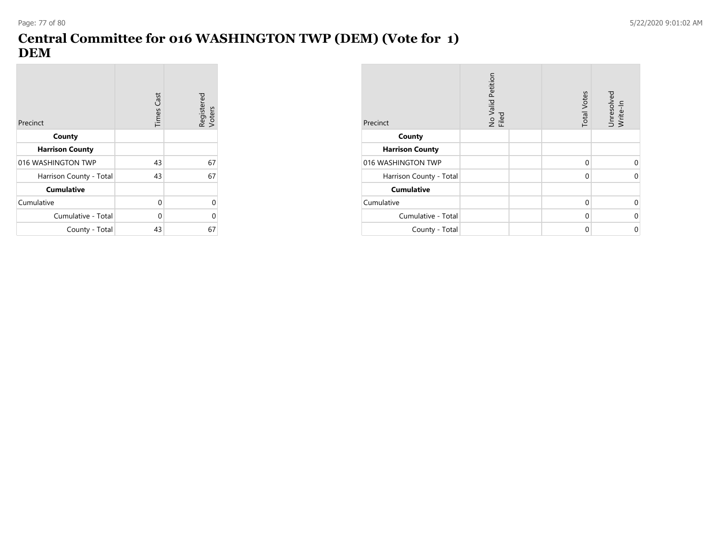**Contract** 

## **Central Committee for 016 WASHINGTON TWP (DEM) (Vote for 1) DEM**

| Precinct                | <b>Times Cast</b> | Registered<br>Voters |
|-------------------------|-------------------|----------------------|
| County                  |                   |                      |
| <b>Harrison County</b>  |                   |                      |
| 016 WASHINGTON TWP      | 43                | 67                   |
| Harrison County - Total | 43                | 67                   |
| <b>Cumulative</b>       |                   |                      |
| Cumulative              | 0                 | U                    |
| Cumulative - Total      | $\Omega$          | ი                    |
| County - Total          | 43                | 67                   |

| Precinct                | No Valid Petition<br>Filed | <b>Total Votes</b> | Unresolved<br>Write-In |
|-------------------------|----------------------------|--------------------|------------------------|
| County                  |                            |                    |                        |
| <b>Harrison County</b>  |                            |                    |                        |
| 016 WASHINGTON TWP      |                            | $\Omega$           | 0                      |
| Harrison County - Total |                            | 0                  | 0                      |
| <b>Cumulative</b>       |                            |                    |                        |
| Cumulative              |                            | 0                  | 0                      |
| Cumulative - Total      |                            | 0                  | 0                      |
| County - Total          |                            | $\Omega$           | 0                      |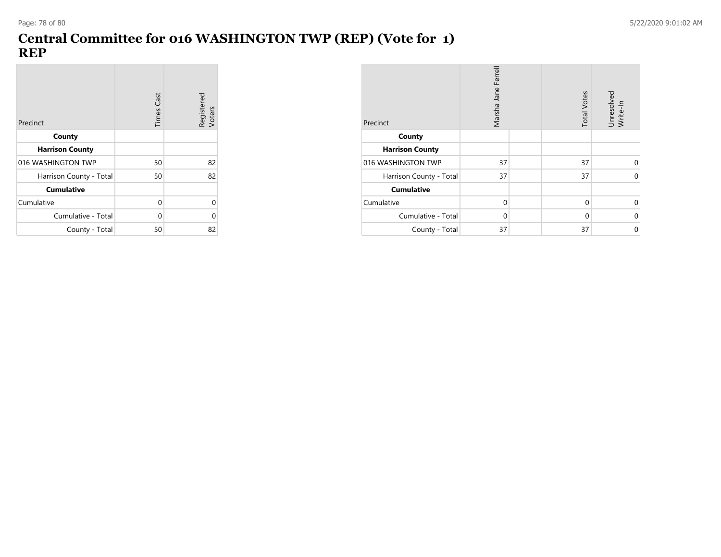### **Central Committee for 016 WASHINGTON TWP (REP) (Vote for 1) REP**

| Precinct                | <b>Times Cast</b> | Registered<br>Voters |
|-------------------------|-------------------|----------------------|
| County                  |                   |                      |
| <b>Harrison County</b>  |                   |                      |
| 016 WASHINGTON TWP      | 50                | 82                   |
| Harrison County - Total | 50                | 82                   |
| <b>Cumulative</b>       |                   |                      |
| Cumulative              | 0                 | 0                    |
| Cumulative - Total      | 0                 | 0                    |
| County - Total          | 50                | 82                   |

| Precinct                | Marsha Jane Ferrell | <b>Total Votes</b> | Unresolved<br>Write-In |
|-------------------------|---------------------|--------------------|------------------------|
| County                  |                     |                    |                        |
| <b>Harrison County</b>  |                     |                    |                        |
| 016 WASHINGTON TWP      | 37                  | 37                 | 0                      |
| Harrison County - Total | 37                  | 37                 | $\Omega$               |
| <b>Cumulative</b>       |                     |                    |                        |
| Cumulative              | $\Omega$            | $\Omega$           | 0                      |
| Cumulative - Total      | $\Omega$            | $\Omega$           | $\Omega$               |
| County - Total          | 37                  | 37                 | 0                      |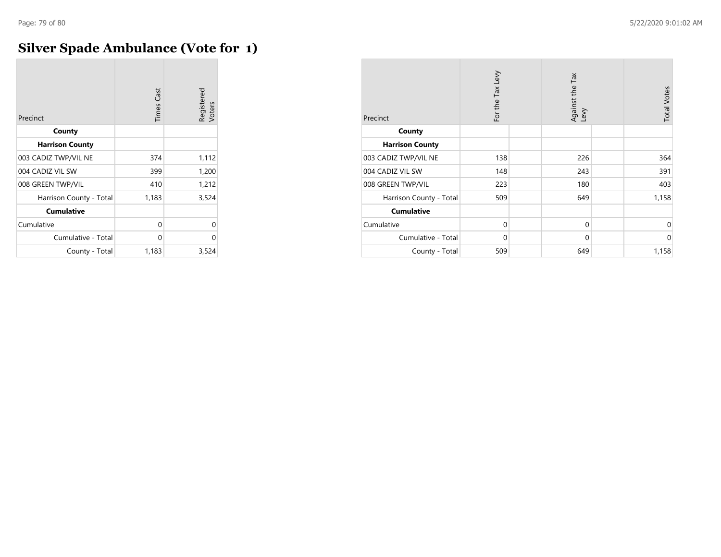# **Silver Spade Ambulance (Vote for 1)**

| Precinct                | <b>Times Cast</b> | Registered<br>Voters |
|-------------------------|-------------------|----------------------|
| County                  |                   |                      |
| <b>Harrison County</b>  |                   |                      |
| 003 CADIZ TWP/VIL NE    | 374               | 1,112                |
| 004 CADIZ VIL SW        | 399               | 1,200                |
| 008 GREEN TWP/VIL       | 410               | 1,212                |
| Harrison County - Total | 1,183             | 3,524                |
| <b>Cumulative</b>       |                   |                      |
| Cumulative              | 0                 | 0                    |
| Cumulative - Total      | 0                 | 0                    |
| County - Total          | 1,183             | 3,524                |

| Precinct                | For the Tax Levy | Against the Tax<br>Levy | <b>Total Votes</b> |
|-------------------------|------------------|-------------------------|--------------------|
| County                  |                  |                         |                    |
| <b>Harrison County</b>  |                  |                         |                    |
| 003 CADIZ TWP/VIL NE    | 138              | 226                     | 364                |
| 004 CADIZ VIL SW        | 148              | 243                     | 391                |
| 008 GREEN TWP/VIL       | 223              | 180                     | 403                |
| Harrison County - Total | 509              | 649                     | 1,158              |
| <b>Cumulative</b>       |                  |                         |                    |
| Cumulative              | $\Omega$         | $\mathbf 0$             | $\Omega$           |
| Cumulative - Total      | $\Omega$         | $\mathbf 0$             | $\Omega$           |
| County - Total          | 509              | 649                     | 1,158              |